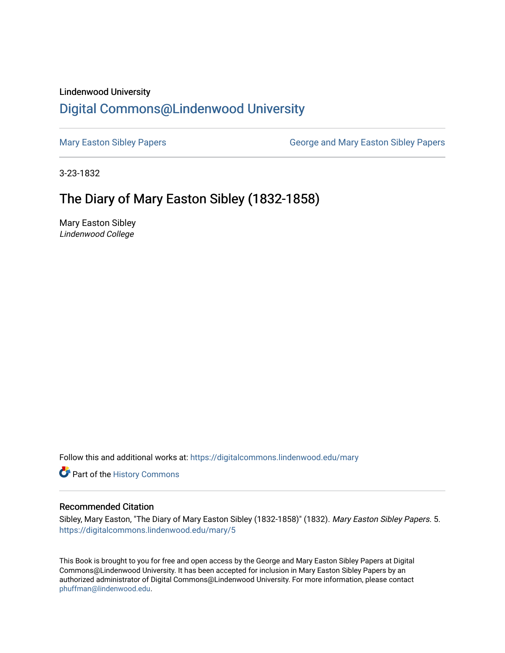### Lindenwood University

# [Digital Commons@Lindenwood University](https://digitalcommons.lindenwood.edu/)

[Mary Easton Sibley Papers](https://digitalcommons.lindenwood.edu/mary) **George and Mary Easton Sibley Papers** George and Mary Easton Sibley Papers

3-23-1832

# The Diary of Mary Easton Sibley (1832-1858)

Mary Easton Sibley Lindenwood College

Follow this and additional works at: [https://digitalcommons.lindenwood.edu/mary](https://digitalcommons.lindenwood.edu/mary?utm_source=digitalcommons.lindenwood.edu%2Fmary%2F5&utm_medium=PDF&utm_campaign=PDFCoverPages) 

Part of the [History Commons](http://network.bepress.com/hgg/discipline/489?utm_source=digitalcommons.lindenwood.edu%2Fmary%2F5&utm_medium=PDF&utm_campaign=PDFCoverPages) 

### Recommended Citation

Sibley, Mary Easton, "The Diary of Mary Easton Sibley (1832-1858)" (1832). Mary Easton Sibley Papers. 5. [https://digitalcommons.lindenwood.edu/mary/5](https://digitalcommons.lindenwood.edu/mary/5?utm_source=digitalcommons.lindenwood.edu%2Fmary%2F5&utm_medium=PDF&utm_campaign=PDFCoverPages) 

This Book is brought to you for free and open access by the George and Mary Easton Sibley Papers at Digital Commons@Lindenwood University. It has been accepted for inclusion in Mary Easton Sibley Papers by an authorized administrator of Digital Commons@Lindenwood University. For more information, please contact [phuffman@lindenwood.edu](mailto:phuffman@lindenwood.edu).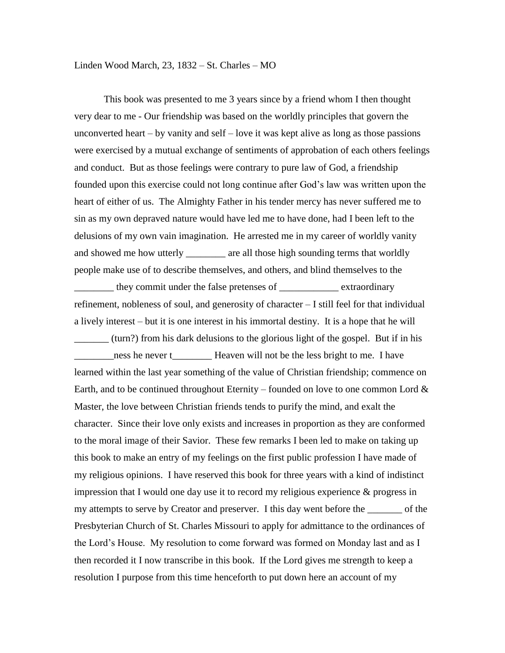Linden Wood March, 23, 1832 – St. Charles – MO

This book was presented to me 3 years since by a friend whom I then thought very dear to me - Our friendship was based on the worldly principles that govern the unconverted heart – by vanity and self – love it was kept alive as long as those passions were exercised by a mutual exchange of sentiments of approbation of each others feelings and conduct. But as those feelings were contrary to pure law of God, a friendship founded upon this exercise could not long continue after God's law was written upon the heart of either of us. The Almighty Father in his tender mercy has never suffered me to sin as my own depraved nature would have led me to have done, had I been left to the delusions of my own vain imagination. He arrested me in my career of worldly vanity and showed me how utterly \_\_\_\_\_\_\_\_ are all those high sounding terms that worldly people make use of to describe themselves, and others, and blind themselves to the \_\_\_\_\_\_\_\_ they commit under the false pretenses of \_\_\_\_\_\_\_\_\_\_\_\_ extraordinary refinement, nobleness of soul, and generosity of character – I still feel for that individual a lively interest – but it is one interest in his immortal destiny. It is a hope that he will \_\_\_\_\_\_\_ (turn?) from his dark delusions to the glorious light of the gospel. But if in his \_\_\_\_\_\_\_\_ness he never t\_\_\_\_\_\_\_\_ Heaven will not be the less bright to me. I have learned within the last year something of the value of Christian friendship; commence on Earth, and to be continued throughout Eternity – founded on love to one common Lord  $\&$ Master, the love between Christian friends tends to purify the mind, and exalt the character. Since their love only exists and increases in proportion as they are conformed to the moral image of their Savior. These few remarks I been led to make on taking up this book to make an entry of my feelings on the first public profession I have made of my religious opinions. I have reserved this book for three years with a kind of indistinct impression that I would one day use it to record my religious experience & progress in my attempts to serve by Creator and preserver. I this day went before the \_\_\_\_\_\_\_ of the Presbyterian Church of St. Charles Missouri to apply for admittance to the ordinances of the Lord's House. My resolution to come forward was formed on Monday last and as I then recorded it I now transcribe in this book. If the Lord gives me strength to keep a resolution I purpose from this time henceforth to put down here an account of my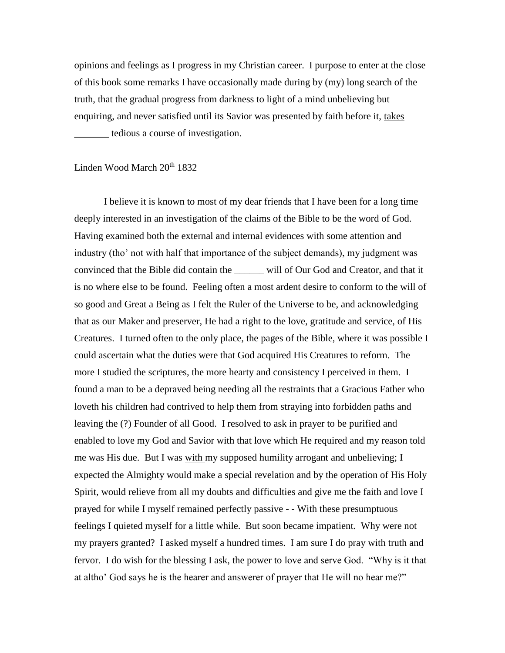opinions and feelings as I progress in my Christian career. I purpose to enter at the close of this book some remarks I have occasionally made during by (my) long search of the truth, that the gradual progress from darkness to light of a mind unbelieving but enquiring, and never satisfied until its Savior was presented by faith before it, takes \_\_\_\_\_\_\_ tedious a course of investigation.

## Linden Wood March 20<sup>th</sup> 1832

I believe it is known to most of my dear friends that I have been for a long time deeply interested in an investigation of the claims of the Bible to be the word of God. Having examined both the external and internal evidences with some attention and industry (tho' not with half that importance of the subject demands), my judgment was convinced that the Bible did contain the \_\_\_\_\_\_ will of Our God and Creator, and that it is no where else to be found. Feeling often a most ardent desire to conform to the will of so good and Great a Being as I felt the Ruler of the Universe to be, and acknowledging that as our Maker and preserver, He had a right to the love, gratitude and service, of His Creatures. I turned often to the only place, the pages of the Bible, where it was possible I could ascertain what the duties were that God acquired His Creatures to reform. The more I studied the scriptures, the more hearty and consistency I perceived in them. I found a man to be a depraved being needing all the restraints that a Gracious Father who loveth his children had contrived to help them from straying into forbidden paths and leaving the (?) Founder of all Good. I resolved to ask in prayer to be purified and enabled to love my God and Savior with that love which He required and my reason told me was His due. But I was with my supposed humility arrogant and unbelieving; I expected the Almighty would make a special revelation and by the operation of His Holy Spirit, would relieve from all my doubts and difficulties and give me the faith and love I prayed for while I myself remained perfectly passive - - With these presumptuous feelings I quieted myself for a little while. But soon became impatient. Why were not my prayers granted? I asked myself a hundred times. I am sure I do pray with truth and fervor. I do wish for the blessing I ask, the power to love and serve God. "Why is it that at altho' God says he is the hearer and answerer of prayer that He will no hear me?"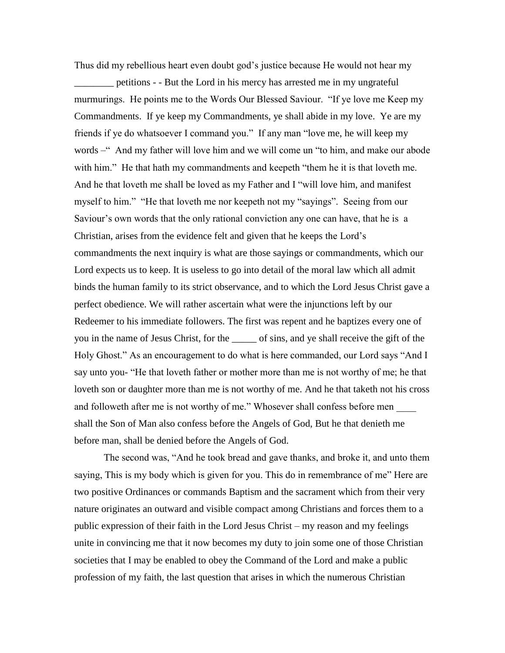Thus did my rebellious heart even doubt god's justice because He would not hear my

\_\_\_\_\_\_\_\_ petitions - - But the Lord in his mercy has arrested me in my ungrateful murmurings. He points me to the Words Our Blessed Saviour. "If ye love me Keep my Commandments. If ye keep my Commandments, ye shall abide in my love. Ye are my friends if ye do whatsoever I command you." If any man "love me, he will keep my words –" And my father will love him and we will come un "to him, and make our abode with him." He that hath my commandments and keepeth "them he it is that loveth me. And he that loveth me shall be loved as my Father and I "will love him, and manifest myself to him." "He that loveth me nor keepeth not my "sayings". Seeing from our Saviour's own words that the only rational conviction any one can have, that he is a Christian, arises from the evidence felt and given that he keeps the Lord's commandments the next inquiry is what are those sayings or commandments, which our Lord expects us to keep. It is useless to go into detail of the moral law which all admit binds the human family to its strict observance, and to which the Lord Jesus Christ gave a perfect obedience. We will rather ascertain what were the injunctions left by our Redeemer to his immediate followers. The first was repent and he baptizes every one of you in the name of Jesus Christ, for the \_\_\_\_\_ of sins, and ye shall receive the gift of the Holy Ghost." As an encouragement to do what is here commanded, our Lord says "And I say unto you- "He that loveth father or mother more than me is not worthy of me; he that loveth son or daughter more than me is not worthy of me. And he that taketh not his cross and followeth after me is not worthy of me." Whosever shall confess before men shall the Son of Man also confess before the Angels of God, But he that denieth me before man, shall be denied before the Angels of God.

The second was, "And he took bread and gave thanks, and broke it, and unto them saying, This is my body which is given for you. This do in remembrance of me" Here are two positive Ordinances or commands Baptism and the sacrament which from their very nature originates an outward and visible compact among Christians and forces them to a public expression of their faith in the Lord Jesus Christ – my reason and my feelings unite in convincing me that it now becomes my duty to join some one of those Christian societies that I may be enabled to obey the Command of the Lord and make a public profession of my faith, the last question that arises in which the numerous Christian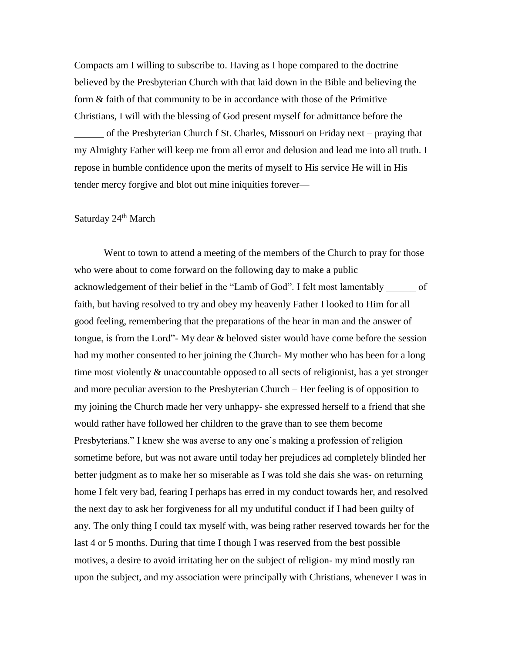Compacts am I willing to subscribe to. Having as I hope compared to the doctrine believed by the Presbyterian Church with that laid down in the Bible and believing the form & faith of that community to be in accordance with those of the Primitive Christians, I will with the blessing of God present myself for admittance before the

of the Presbyterian Church f St. Charles, Missouri on Friday next – praying that my Almighty Father will keep me from all error and delusion and lead me into all truth. I repose in humble confidence upon the merits of myself to His service He will in His tender mercy forgive and blot out mine iniquities forever—

### Saturday 24<sup>th</sup> March

Went to town to attend a meeting of the members of the Church to pray for those who were about to come forward on the following day to make a public acknowledgement of their belief in the "Lamb of God". I felt most lamentably of faith, but having resolved to try and obey my heavenly Father I looked to Him for all good feeling, remembering that the preparations of the hear in man and the answer of tongue, is from the Lord"- My dear & beloved sister would have come before the session had my mother consented to her joining the Church- My mother who has been for a long time most violently & unaccountable opposed to all sects of religionist, has a yet stronger and more peculiar aversion to the Presbyterian Church – Her feeling is of opposition to my joining the Church made her very unhappy- she expressed herself to a friend that she would rather have followed her children to the grave than to see them become Presbyterians." I knew she was averse to any one's making a profession of religion sometime before, but was not aware until today her prejudices ad completely blinded her better judgment as to make her so miserable as I was told she dais she was- on returning home I felt very bad, fearing I perhaps has erred in my conduct towards her, and resolved the next day to ask her forgiveness for all my undutiful conduct if I had been guilty of any. The only thing I could tax myself with, was being rather reserved towards her for the last 4 or 5 months. During that time I though I was reserved from the best possible motives, a desire to avoid irritating her on the subject of religion- my mind mostly ran upon the subject, and my association were principally with Christians, whenever I was in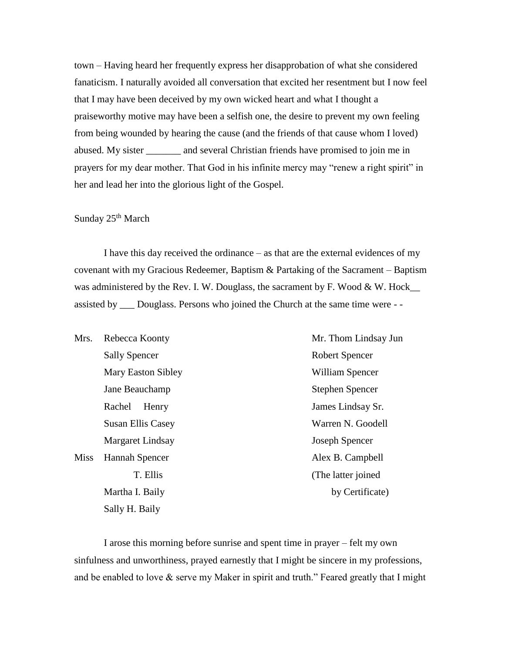town – Having heard her frequently express her disapprobation of what she considered fanaticism. I naturally avoided all conversation that excited her resentment but I now feel that I may have been deceived by my own wicked heart and what I thought a praiseworthy motive may have been a selfish one, the desire to prevent my own feeling from being wounded by hearing the cause (and the friends of that cause whom I loved) abused. My sister \_\_\_\_\_\_\_ and several Christian friends have promised to join me in prayers for my dear mother. That God in his infinite mercy may "renew a right spirit" in her and lead her into the glorious light of the Gospel.

## Sunday 25<sup>th</sup> March

I have this day received the ordinance – as that are the external evidences of my covenant with my Gracious Redeemer, Baptism & Partaking of the Sacrament – Baptism was administered by the Rev. I. W. Douglass, the sacrament by F. Wood  $\&$  W. Hock assisted by \_\_\_ Douglass. Persons who joined the Church at the same time were - -

Mrs. Rebecca Koonty **Mrs.** Thom Lindsay Jun Sally Spencer Robert Spencer Mary Easton Sibley William Spencer Jane Beauchamp Stephen Spencer Rachel Henry James Lindsay Sr. Susan Ellis Casey Warren N. Goodell Margaret Lindsay Joseph Spencer Miss Hannah Spencer Alex B. Campbell T. Ellis (The latter joined Martha I. Baily by Certificate) Sally H. Baily

I arose this morning before sunrise and spent time in prayer – felt my own sinfulness and unworthiness, prayed earnestly that I might be sincere in my professions, and be enabled to love  $\&$  serve my Maker in spirit and truth." Feared greatly that I might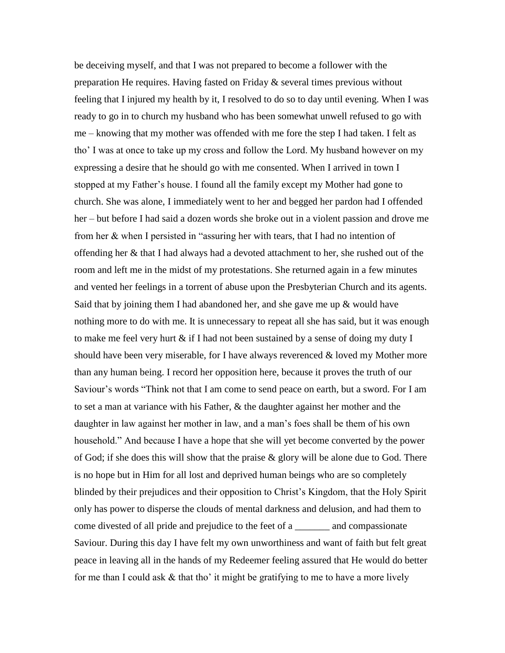be deceiving myself, and that I was not prepared to become a follower with the preparation He requires. Having fasted on Friday & several times previous without feeling that I injured my health by it, I resolved to do so to day until evening. When I was ready to go in to church my husband who has been somewhat unwell refused to go with me – knowing that my mother was offended with me fore the step I had taken. I felt as tho' I was at once to take up my cross and follow the Lord. My husband however on my expressing a desire that he should go with me consented. When I arrived in town I stopped at my Father's house. I found all the family except my Mother had gone to church. She was alone, I immediately went to her and begged her pardon had I offended her – but before I had said a dozen words she broke out in a violent passion and drove me from her & when I persisted in "assuring her with tears, that I had no intention of offending her & that I had always had a devoted attachment to her, she rushed out of the room and left me in the midst of my protestations. She returned again in a few minutes and vented her feelings in a torrent of abuse upon the Presbyterian Church and its agents. Said that by joining them I had abandoned her, and she gave me up  $\&$  would have nothing more to do with me. It is unnecessary to repeat all she has said, but it was enough to make me feel very hurt & if I had not been sustained by a sense of doing my duty I should have been very miserable, for I have always reverenced & loved my Mother more than any human being. I record her opposition here, because it proves the truth of our Saviour's words "Think not that I am come to send peace on earth, but a sword. For I am to set a man at variance with his Father, & the daughter against her mother and the daughter in law against her mother in law, and a man's foes shall be them of his own household." And because I have a hope that she will yet become converted by the power of God; if she does this will show that the praise  $\&$  glory will be alone due to God. There is no hope but in Him for all lost and deprived human beings who are so completely blinded by their prejudices and their opposition to Christ's Kingdom, that the Holy Spirit only has power to disperse the clouds of mental darkness and delusion, and had them to come divested of all pride and prejudice to the feet of a \_\_\_\_\_\_\_ and compassionate Saviour. During this day I have felt my own unworthiness and want of faith but felt great peace in leaving all in the hands of my Redeemer feeling assured that He would do better for me than I could ask & that tho' it might be gratifying to me to have a more lively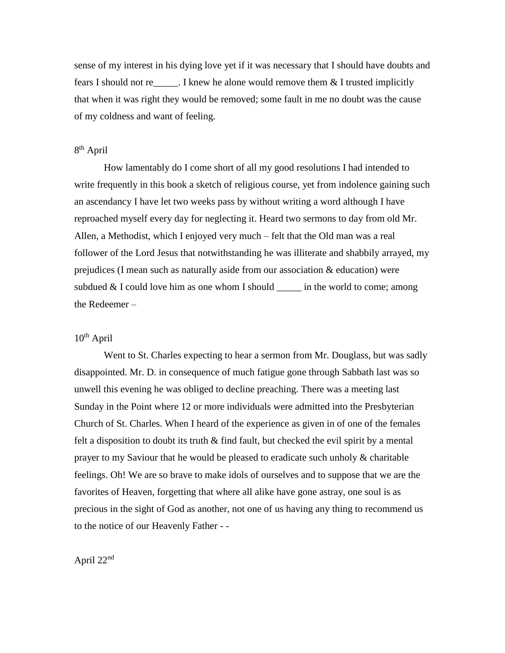sense of my interest in his dying love yet if it was necessary that I should have doubts and fears I should not re $\blacksquare$ . I knew he alone would remove them  $\&$  I trusted implicitly that when it was right they would be removed; some fault in me no doubt was the cause of my coldness and want of feeling.

## 8<sup>th</sup> April

How lamentably do I come short of all my good resolutions I had intended to write frequently in this book a sketch of religious course, yet from indolence gaining such an ascendancy I have let two weeks pass by without writing a word although I have reproached myself every day for neglecting it. Heard two sermons to day from old Mr. Allen, a Methodist, which I enjoyed very much – felt that the Old man was a real follower of the Lord Jesus that notwithstanding he was illiterate and shabbily arrayed, my prejudices (I mean such as naturally aside from our association & education) were subdued  $&$  I could love him as one whom I should  $\qquad$  in the world to come; among the Redeemer –

# 10th April

Went to St. Charles expecting to hear a sermon from Mr. Douglass, but was sadly disappointed. Mr. D. in consequence of much fatigue gone through Sabbath last was so unwell this evening he was obliged to decline preaching. There was a meeting last Sunday in the Point where 12 or more individuals were admitted into the Presbyterian Church of St. Charles. When I heard of the experience as given in of one of the females felt a disposition to doubt its truth  $\&$  find fault, but checked the evil spirit by a mental prayer to my Saviour that he would be pleased to eradicate such unholy & charitable feelings. Oh! We are so brave to make idols of ourselves and to suppose that we are the favorites of Heaven, forgetting that where all alike have gone astray, one soul is as precious in the sight of God as another, not one of us having any thing to recommend us to the notice of our Heavenly Father - -

# April 22nd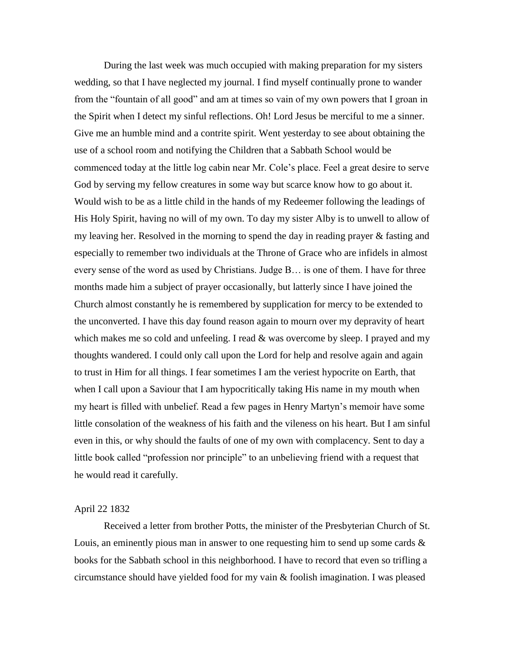During the last week was much occupied with making preparation for my sisters wedding, so that I have neglected my journal. I find myself continually prone to wander from the "fountain of all good" and am at times so vain of my own powers that I groan in the Spirit when I detect my sinful reflections. Oh! Lord Jesus be merciful to me a sinner. Give me an humble mind and a contrite spirit. Went yesterday to see about obtaining the use of a school room and notifying the Children that a Sabbath School would be commenced today at the little log cabin near Mr. Cole's place. Feel a great desire to serve God by serving my fellow creatures in some way but scarce know how to go about it. Would wish to be as a little child in the hands of my Redeemer following the leadings of His Holy Spirit, having no will of my own. To day my sister Alby is to unwell to allow of my leaving her. Resolved in the morning to spend the day in reading prayer & fasting and especially to remember two individuals at the Throne of Grace who are infidels in almost every sense of the word as used by Christians. Judge B… is one of them. I have for three months made him a subject of prayer occasionally, but latterly since I have joined the Church almost constantly he is remembered by supplication for mercy to be extended to the unconverted. I have this day found reason again to mourn over my depravity of heart which makes me so cold and unfeeling. I read & was overcome by sleep. I prayed and my thoughts wandered. I could only call upon the Lord for help and resolve again and again to trust in Him for all things. I fear sometimes I am the veriest hypocrite on Earth, that when I call upon a Saviour that I am hypocritically taking His name in my mouth when my heart is filled with unbelief. Read a few pages in Henry Martyn's memoir have some little consolation of the weakness of his faith and the vileness on his heart. But I am sinful even in this, or why should the faults of one of my own with complacency. Sent to day a little book called "profession nor principle" to an unbelieving friend with a request that he would read it carefully.

### April 22 1832

Received a letter from brother Potts, the minister of the Presbyterian Church of St. Louis, an eminently pious man in answer to one requesting him to send up some cards  $\&$ books for the Sabbath school in this neighborhood. I have to record that even so trifling a circumstance should have yielded food for my vain & foolish imagination. I was pleased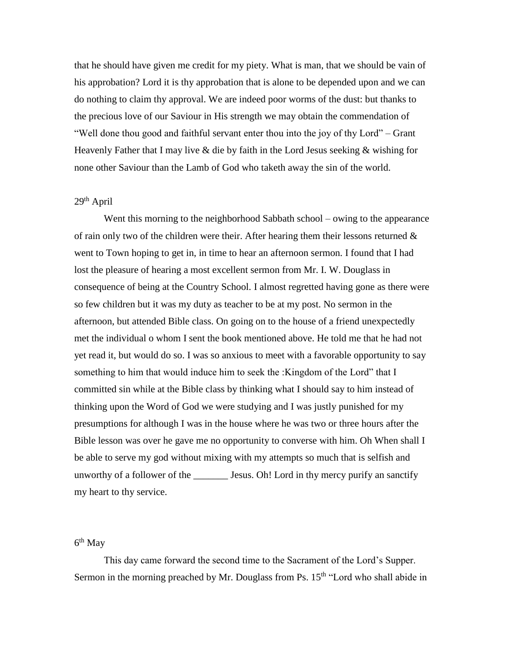that he should have given me credit for my piety. What is man, that we should be vain of his approbation? Lord it is thy approbation that is alone to be depended upon and we can do nothing to claim thy approval. We are indeed poor worms of the dust: but thanks to the precious love of our Saviour in His strength we may obtain the commendation of "Well done thou good and faithful servant enter thou into the joy of thy Lord" – Grant Heavenly Father that I may live  $\&$  die by faith in the Lord Jesus seeking  $\&$  wishing for none other Saviour than the Lamb of God who taketh away the sin of the world.

### $29<sup>th</sup>$  April

Went this morning to the neighborhood Sabbath school – owing to the appearance of rain only two of the children were their. After hearing them their lessons returned  $\&$ went to Town hoping to get in, in time to hear an afternoon sermon. I found that I had lost the pleasure of hearing a most excellent sermon from Mr. I. W. Douglass in consequence of being at the Country School. I almost regretted having gone as there were so few children but it was my duty as teacher to be at my post. No sermon in the afternoon, but attended Bible class. On going on to the house of a friend unexpectedly met the individual o whom I sent the book mentioned above. He told me that he had not yet read it, but would do so. I was so anxious to meet with a favorable opportunity to say something to him that would induce him to seek the :Kingdom of the Lord" that I committed sin while at the Bible class by thinking what I should say to him instead of thinking upon the Word of God we were studying and I was justly punished for my presumptions for although I was in the house where he was two or three hours after the Bible lesson was over he gave me no opportunity to converse with him. Oh When shall I be able to serve my god without mixing with my attempts so much that is selfish and unworthy of a follower of the \_\_\_\_\_\_\_\_\_ Jesus. Oh! Lord in thy mercy purify an sanctify my heart to thy service.

## 6<sup>th</sup> May

This day came forward the second time to the Sacrament of the Lord's Supper. Sermon in the morning preached by Mr. Douglass from Ps.  $15<sup>th</sup>$  "Lord who shall abide in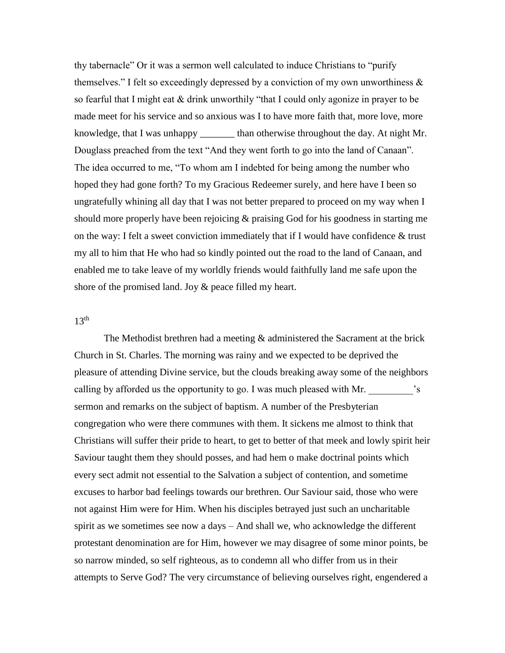thy tabernacle" Or it was a sermon well calculated to induce Christians to "purify themselves." I felt so exceedingly depressed by a conviction of my own unworthiness  $\&$ so fearful that I might eat & drink unworthily "that I could only agonize in prayer to be made meet for his service and so anxious was I to have more faith that, more love, more knowledge, that I was unhappy \_\_\_\_\_\_\_ than otherwise throughout the day. At night Mr. Douglass preached from the text "And they went forth to go into the land of Canaan". The idea occurred to me, "To whom am I indebted for being among the number who hoped they had gone forth? To my Gracious Redeemer surely, and here have I been so ungratefully whining all day that I was not better prepared to proceed on my way when I should more properly have been rejoicing & praising God for his goodness in starting me on the way: I felt a sweet conviction immediately that if I would have confidence & trust my all to him that He who had so kindly pointed out the road to the land of Canaan, and enabled me to take leave of my worldly friends would faithfully land me safe upon the shore of the promised land. Joy & peace filled my heart.

### $13<sup>th</sup>$

The Methodist brethren had a meeting & administered the Sacrament at the brick Church in St. Charles. The morning was rainy and we expected to be deprived the pleasure of attending Divine service, but the clouds breaking away some of the neighbors calling by afforded us the opportunity to go. I was much pleased with Mr.  $\cdot$  is sermon and remarks on the subject of baptism. A number of the Presbyterian congregation who were there communes with them. It sickens me almost to think that Christians will suffer their pride to heart, to get to better of that meek and lowly spirit heir Saviour taught them they should posses, and had hem o make doctrinal points which every sect admit not essential to the Salvation a subject of contention, and sometime excuses to harbor bad feelings towards our brethren. Our Saviour said, those who were not against Him were for Him. When his disciples betrayed just such an uncharitable spirit as we sometimes see now a days – And shall we, who acknowledge the different protestant denomination are for Him, however we may disagree of some minor points, be so narrow minded, so self righteous, as to condemn all who differ from us in their attempts to Serve God? The very circumstance of believing ourselves right, engendered a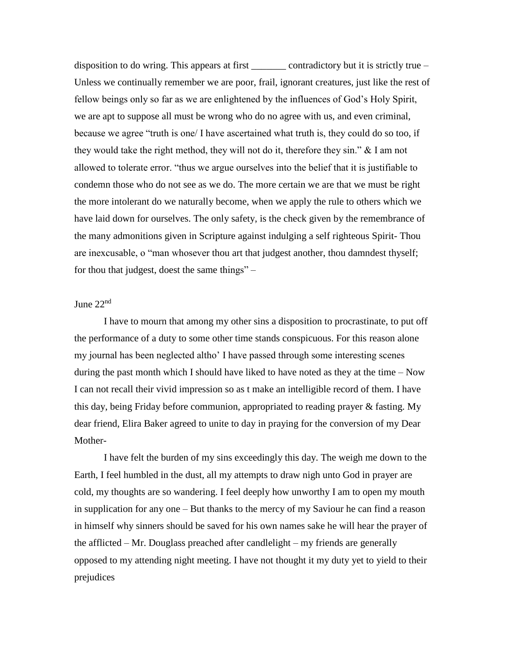disposition to do wring. This appears at first \_\_\_\_\_\_\_ contradictory but it is strictly true – Unless we continually remember we are poor, frail, ignorant creatures, just like the rest of fellow beings only so far as we are enlightened by the influences of God's Holy Spirit, we are apt to suppose all must be wrong who do no agree with us, and even criminal, because we agree "truth is one/ I have ascertained what truth is, they could do so too, if they would take the right method, they will not do it, therefore they sin." & I am not allowed to tolerate error. "thus we argue ourselves into the belief that it is justifiable to condemn those who do not see as we do. The more certain we are that we must be right the more intolerant do we naturally become, when we apply the rule to others which we have laid down for ourselves. The only safety, is the check given by the remembrance of the many admonitions given in Scripture against indulging a self righteous Spirit- Thou are inexcusable, o "man whosever thou art that judgest another, thou damndest thyself; for thou that judgest, doest the same things" –

### June  $22<sup>nd</sup>$

I have to mourn that among my other sins a disposition to procrastinate, to put off the performance of a duty to some other time stands conspicuous. For this reason alone my journal has been neglected altho' I have passed through some interesting scenes during the past month which I should have liked to have noted as they at the time  $-$  Now I can not recall their vivid impression so as t make an intelligible record of them. I have this day, being Friday before communion, appropriated to reading prayer & fasting. My dear friend, Elira Baker agreed to unite to day in praying for the conversion of my Dear Mother-

I have felt the burden of my sins exceedingly this day. The weigh me down to the Earth, I feel humbled in the dust, all my attempts to draw nigh unto God in prayer are cold, my thoughts are so wandering. I feel deeply how unworthy I am to open my mouth in supplication for any one – But thanks to the mercy of my Saviour he can find a reason in himself why sinners should be saved for his own names sake he will hear the prayer of the afflicted – Mr. Douglass preached after candlelight – my friends are generally opposed to my attending night meeting. I have not thought it my duty yet to yield to their prejudices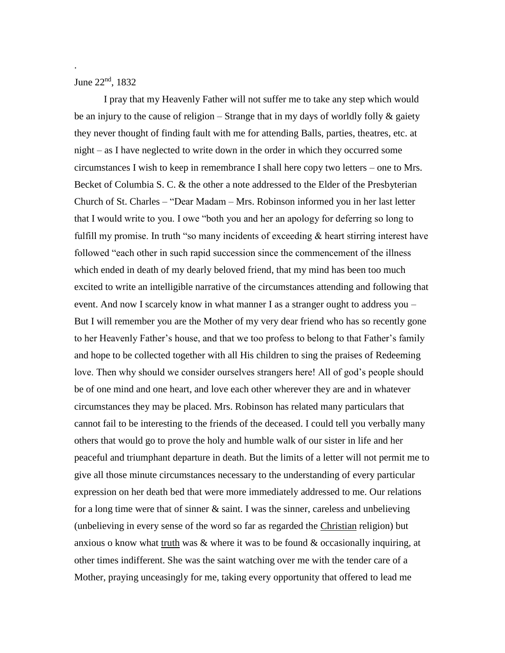June 22<sup>nd</sup>, 1832

.

I pray that my Heavenly Father will not suffer me to take any step which would be an injury to the cause of religion – Strange that in my days of worldly folly  $\&$  gaiety they never thought of finding fault with me for attending Balls, parties, theatres, etc. at night – as I have neglected to write down in the order in which they occurred some circumstances I wish to keep in remembrance I shall here copy two letters – one to Mrs. Becket of Columbia S. C. & the other a note addressed to the Elder of the Presbyterian Church of St. Charles – "Dear Madam – Mrs. Robinson informed you in her last letter that I would write to you. I owe "both you and her an apology for deferring so long to fulfill my promise. In truth "so many incidents of exceeding & heart stirring interest have followed "each other in such rapid succession since the commencement of the illness which ended in death of my dearly beloved friend, that my mind has been too much excited to write an intelligible narrative of the circumstances attending and following that event. And now I scarcely know in what manner I as a stranger ought to address you – But I will remember you are the Mother of my very dear friend who has so recently gone to her Heavenly Father's house, and that we too profess to belong to that Father's family and hope to be collected together with all His children to sing the praises of Redeeming love. Then why should we consider ourselves strangers here! All of god's people should be of one mind and one heart, and love each other wherever they are and in whatever circumstances they may be placed. Mrs. Robinson has related many particulars that cannot fail to be interesting to the friends of the deceased. I could tell you verbally many others that would go to prove the holy and humble walk of our sister in life and her peaceful and triumphant departure in death. But the limits of a letter will not permit me to give all those minute circumstances necessary to the understanding of every particular expression on her death bed that were more immediately addressed to me. Our relations for a long time were that of sinner  $\&$  saint. I was the sinner, careless and unbelieving (unbelieving in every sense of the word so far as regarded the Christian religion) but anxious o know what truth was  $\&$  where it was to be found  $\&$  occasionally inquiring, at other times indifferent. She was the saint watching over me with the tender care of a Mother, praying unceasingly for me, taking every opportunity that offered to lead me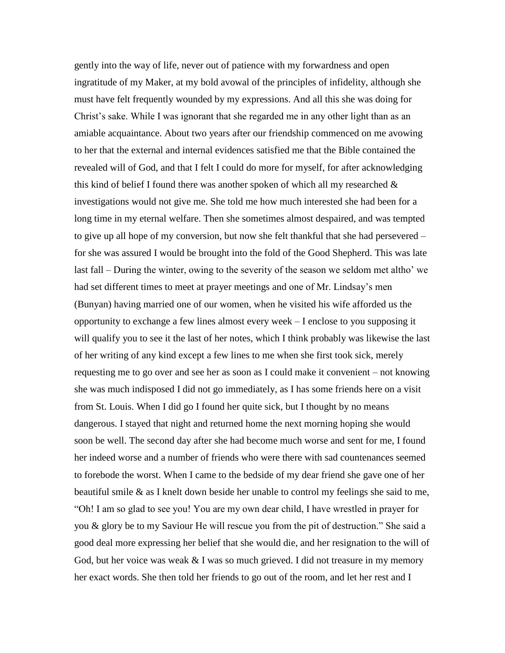gently into the way of life, never out of patience with my forwardness and open ingratitude of my Maker, at my bold avowal of the principles of infidelity, although she must have felt frequently wounded by my expressions. And all this she was doing for Christ's sake. While I was ignorant that she regarded me in any other light than as an amiable acquaintance. About two years after our friendship commenced on me avowing to her that the external and internal evidences satisfied me that the Bible contained the revealed will of God, and that I felt I could do more for myself, for after acknowledging this kind of belief I found there was another spoken of which all my researched  $\&$ investigations would not give me. She told me how much interested she had been for a long time in my eternal welfare. Then she sometimes almost despaired, and was tempted to give up all hope of my conversion, but now she felt thankful that she had persevered – for she was assured I would be brought into the fold of the Good Shepherd. This was late last fall – During the winter, owing to the severity of the season we seldom met altho' we had set different times to meet at prayer meetings and one of Mr. Lindsay's men (Bunyan) having married one of our women, when he visited his wife afforded us the opportunity to exchange a few lines almost every week – I enclose to you supposing it will qualify you to see it the last of her notes, which I think probably was likewise the last of her writing of any kind except a few lines to me when she first took sick, merely requesting me to go over and see her as soon as I could make it convenient – not knowing she was much indisposed I did not go immediately, as I has some friends here on a visit from St. Louis. When I did go I found her quite sick, but I thought by no means dangerous. I stayed that night and returned home the next morning hoping she would soon be well. The second day after she had become much worse and sent for me, I found her indeed worse and a number of friends who were there with sad countenances seemed to forebode the worst. When I came to the bedside of my dear friend she gave one of her beautiful smile & as I knelt down beside her unable to control my feelings she said to me, "Oh! I am so glad to see you! You are my own dear child, I have wrestled in prayer for you & glory be to my Saviour He will rescue you from the pit of destruction." She said a good deal more expressing her belief that she would die, and her resignation to the will of God, but her voice was weak & I was so much grieved. I did not treasure in my memory her exact words. She then told her friends to go out of the room, and let her rest and I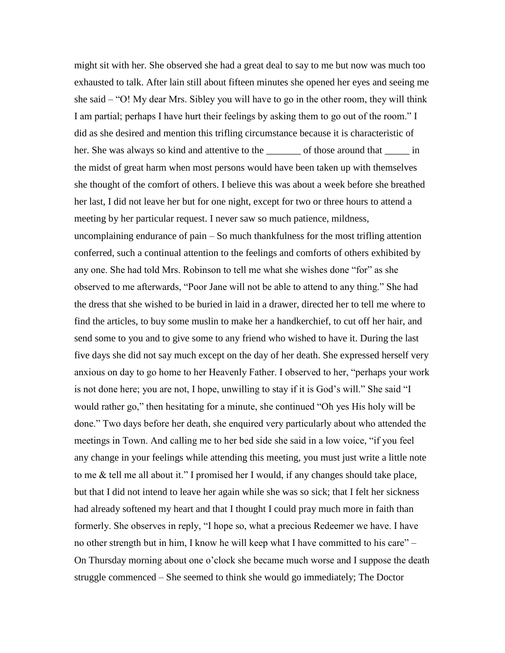might sit with her. She observed she had a great deal to say to me but now was much too exhausted to talk. After lain still about fifteen minutes she opened her eyes and seeing me she said – "O! My dear Mrs. Sibley you will have to go in the other room, they will think I am partial; perhaps I have hurt their feelings by asking them to go out of the room." I did as she desired and mention this trifling circumstance because it is characteristic of her. She was always so kind and attentive to the \_\_\_\_\_\_\_\_ of those around that \_\_\_\_\_\_ in the midst of great harm when most persons would have been taken up with themselves she thought of the comfort of others. I believe this was about a week before she breathed her last, I did not leave her but for one night, except for two or three hours to attend a meeting by her particular request. I never saw so much patience, mildness, uncomplaining endurance of pain – So much thankfulness for the most trifling attention conferred, such a continual attention to the feelings and comforts of others exhibited by any one. She had told Mrs. Robinson to tell me what she wishes done "for" as she observed to me afterwards, "Poor Jane will not be able to attend to any thing." She had the dress that she wished to be buried in laid in a drawer, directed her to tell me where to find the articles, to buy some muslin to make her a handkerchief, to cut off her hair, and send some to you and to give some to any friend who wished to have it. During the last five days she did not say much except on the day of her death. She expressed herself very anxious on day to go home to her Heavenly Father. I observed to her, "perhaps your work is not done here; you are not, I hope, unwilling to stay if it is God's will." She said "I would rather go," then hesitating for a minute, she continued "Oh yes His holy will be done." Two days before her death, she enquired very particularly about who attended the meetings in Town. And calling me to her bed side she said in a low voice, "if you feel any change in your feelings while attending this meeting, you must just write a little note to me & tell me all about it." I promised her I would, if any changes should take place, but that I did not intend to leave her again while she was so sick; that I felt her sickness had already softened my heart and that I thought I could pray much more in faith than formerly. She observes in reply, "I hope so, what a precious Redeemer we have. I have no other strength but in him, I know he will keep what I have committed to his care" – On Thursday morning about one o'clock she became much worse and I suppose the death struggle commenced – She seemed to think she would go immediately; The Doctor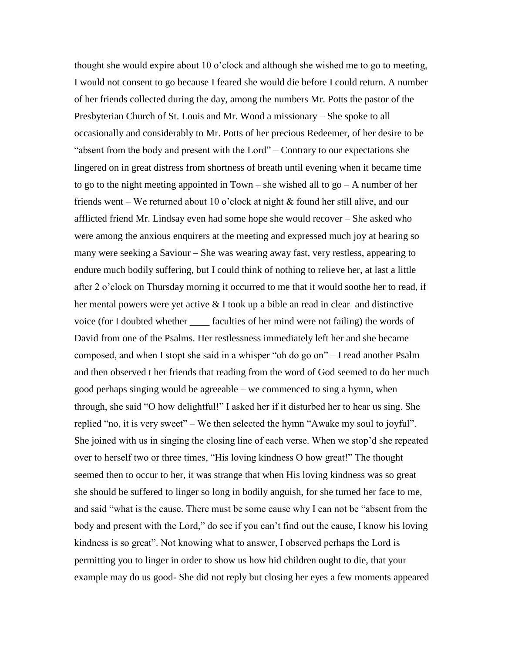thought she would expire about 10 o'clock and although she wished me to go to meeting, I would not consent to go because I feared she would die before I could return. A number of her friends collected during the day, among the numbers Mr. Potts the pastor of the Presbyterian Church of St. Louis and Mr. Wood a missionary – She spoke to all occasionally and considerably to Mr. Potts of her precious Redeemer, of her desire to be "absent from the body and present with the Lord" – Contrary to our expectations she lingered on in great distress from shortness of breath until evening when it became time to go to the night meeting appointed in Town – she wished all to go – A number of her friends went – We returned about 10 o'clock at night & found her still alive, and our afflicted friend Mr. Lindsay even had some hope she would recover – She asked who were among the anxious enquirers at the meeting and expressed much joy at hearing so many were seeking a Saviour – She was wearing away fast, very restless, appearing to endure much bodily suffering, but I could think of nothing to relieve her, at last a little after 2 o'clock on Thursday morning it occurred to me that it would soothe her to read, if her mental powers were yet active & I took up a bible an read in clear and distinctive voice (for I doubted whether \_\_\_\_ faculties of her mind were not failing) the words of David from one of the Psalms. Her restlessness immediately left her and she became composed, and when I stopt she said in a whisper "oh do go on" – I read another Psalm and then observed t her friends that reading from the word of God seemed to do her much good perhaps singing would be agreeable – we commenced to sing a hymn, when through, she said "O how delightful!" I asked her if it disturbed her to hear us sing. She replied "no, it is very sweet" – We then selected the hymn "Awake my soul to joyful". She joined with us in singing the closing line of each verse. When we stop'd she repeated over to herself two or three times, "His loving kindness O how great!" The thought seemed then to occur to her, it was strange that when His loving kindness was so great she should be suffered to linger so long in bodily anguish, for she turned her face to me, and said "what is the cause. There must be some cause why I can not be "absent from the body and present with the Lord," do see if you can't find out the cause, I know his loving kindness is so great". Not knowing what to answer, I observed perhaps the Lord is permitting you to linger in order to show us how hid children ought to die, that your example may do us good- She did not reply but closing her eyes a few moments appeared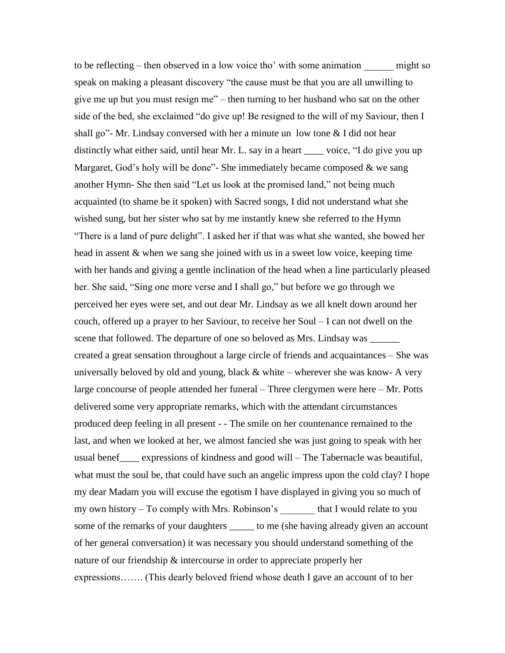to be reflecting – then observed in a low voice tho' with some animation might so speak on making a pleasant discovery "the cause must be that you are all unwilling to give me up but you must resign me" – then turning to her husband who sat on the other side of the bed, she exclaimed "do give up! Be resigned to the will of my Saviour, then I shall go"- Mr. Lindsay conversed with her a minute un low tone  $& I$  did not hear distinctly what either said, until hear Mr. L. say in a heart \_\_\_\_\_ voice, "I do give you up Margaret, God's holy will be done"- She immediately became composed & we sang another Hymn- She then said "Let us look at the promised land," not being much acquainted (to shame be it spoken) with Sacred songs, I did not understand what she wished sung, but her sister who sat by me instantly knew she referred to the Hymn "There is a land of pure delight". I asked her if that was what she wanted, she bowed her head in assent & when we sang she joined with us in a sweet low voice, keeping time with her hands and giving a gentle inclination of the head when a line particularly pleased her. She said, "Sing one more verse and I shall go," but before we go through we perceived her eyes were set, and out dear Mr. Lindsay as we all knelt down around her couch, offered up a prayer to her Saviour, to receive her Soul – I can not dwell on the scene that followed. The departure of one so beloved as Mrs. Lindsay was \_\_\_\_\_\_ created a great sensation throughout a large circle of friends and acquaintances – She was universally beloved by old and young, black  $&$  white – wherever she was know- A very large concourse of people attended her funeral – Three clergymen were here – Mr. Potts delivered some very appropriate remarks, which with the attendant circumstances produced deep feeling in all present - - The smile on her countenance remained to the last, and when we looked at her, we almost fancied she was just going to speak with her usual benef\_\_\_\_ expressions of kindness and good will – The Tabernacle was beautiful, what must the soul be, that could have such an angelic impress upon the cold clay? I hope my dear Madam you will excuse the egotism I have displayed in giving you so much of my own history – To comply with Mrs. Robinson's that I would relate to you some of the remarks of your daughters \_\_\_\_\_\_ to me (she having already given an account of her general conversation) it was necessary you should understand something of the nature of our friendship & intercourse in order to appreciate properly her expressions……. (This dearly beloved friend whose death I gave an account of to her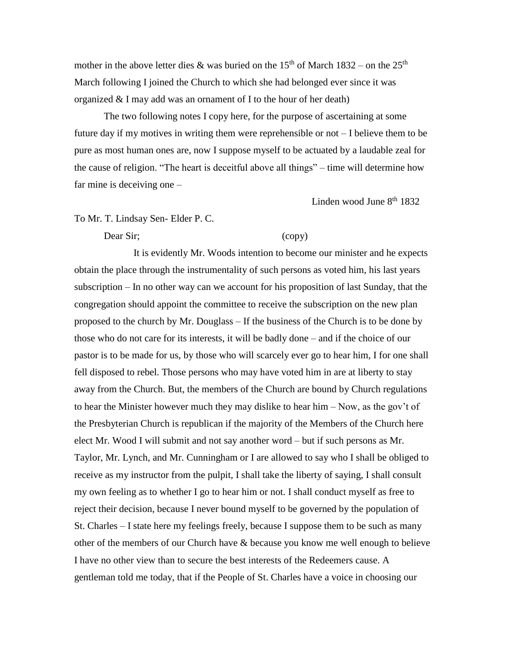mother in the above letter dies  $\&$  was buried on the 15<sup>th</sup> of March 1832 – on the 25<sup>th</sup> March following I joined the Church to which she had belonged ever since it was organized & I may add was an ornament of I to the hour of her death)

The two following notes I copy here, for the purpose of ascertaining at some future day if my motives in writing them were reprehensible or not – I believe them to be pure as most human ones are, now I suppose myself to be actuated by a laudable zeal for the cause of religion. "The heart is deceitful above all things" – time will determine how far mine is deceiving one –

Linden wood June 8<sup>th</sup> 1832

To Mr. T. Lindsay Sen- Elder P. C.

Dear Sir; (copy)

It is evidently Mr. Woods intention to become our minister and he expects obtain the place through the instrumentality of such persons as voted him, his last years subscription – In no other way can we account for his proposition of last Sunday, that the congregation should appoint the committee to receive the subscription on the new plan proposed to the church by Mr. Douglass – If the business of the Church is to be done by those who do not care for its interests, it will be badly done – and if the choice of our pastor is to be made for us, by those who will scarcely ever go to hear him, I for one shall fell disposed to rebel. Those persons who may have voted him in are at liberty to stay away from the Church. But, the members of the Church are bound by Church regulations to hear the Minister however much they may dislike to hear him – Now, as the gov't of the Presbyterian Church is republican if the majority of the Members of the Church here elect Mr. Wood I will submit and not say another word – but if such persons as Mr. Taylor, Mr. Lynch, and Mr. Cunningham or I are allowed to say who I shall be obliged to receive as my instructor from the pulpit, I shall take the liberty of saying, I shall consult my own feeling as to whether I go to hear him or not. I shall conduct myself as free to reject their decision, because I never bound myself to be governed by the population of St. Charles – I state here my feelings freely, because I suppose them to be such as many other of the members of our Church have & because you know me well enough to believe I have no other view than to secure the best interests of the Redeemers cause. A gentleman told me today, that if the People of St. Charles have a voice in choosing our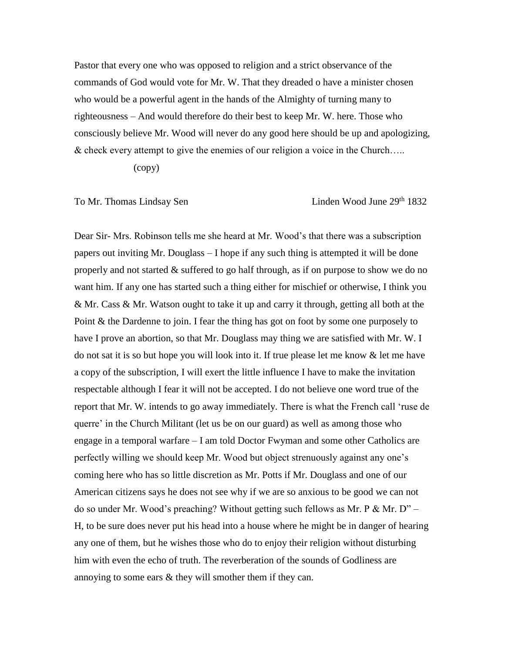Pastor that every one who was opposed to religion and a strict observance of the commands of God would vote for Mr. W. That they dreaded o have a minister chosen who would be a powerful agent in the hands of the Almighty of turning many to righteousness – And would therefore do their best to keep Mr. W. here. Those who consciously believe Mr. Wood will never do any good here should be up and apologizing, & check every attempt to give the enemies of our religion a voice in the Church…..

(copy)

To Mr. Thomas Lindsay Sen Linden Wood June 29<sup>th</sup> 1832

Dear Sir- Mrs. Robinson tells me she heard at Mr. Wood's that there was a subscription papers out inviting Mr. Douglass – I hope if any such thing is attempted it will be done properly and not started & suffered to go half through, as if on purpose to show we do no want him. If any one has started such a thing either for mischief or otherwise, I think you & Mr. Cass & Mr. Watson ought to take it up and carry it through, getting all both at the Point & the Dardenne to join. I fear the thing has got on foot by some one purposely to have I prove an abortion, so that Mr. Douglass may thing we are satisfied with Mr. W. I do not sat it is so but hope you will look into it. If true please let me know & let me have a copy of the subscription, I will exert the little influence I have to make the invitation respectable although I fear it will not be accepted. I do not believe one word true of the report that Mr. W. intends to go away immediately. There is what the French call 'ruse de querre' in the Church Militant (let us be on our guard) as well as among those who engage in a temporal warfare – I am told Doctor Fwyman and some other Catholics are perfectly willing we should keep Mr. Wood but object strenuously against any one's coming here who has so little discretion as Mr. Potts if Mr. Douglass and one of our American citizens says he does not see why if we are so anxious to be good we can not do so under Mr. Wood's preaching? Without getting such fellows as Mr. P & Mr. D" – H, to be sure does never put his head into a house where he might be in danger of hearing any one of them, but he wishes those who do to enjoy their religion without disturbing him with even the echo of truth. The reverberation of the sounds of Godliness are annoying to some ears & they will smother them if they can.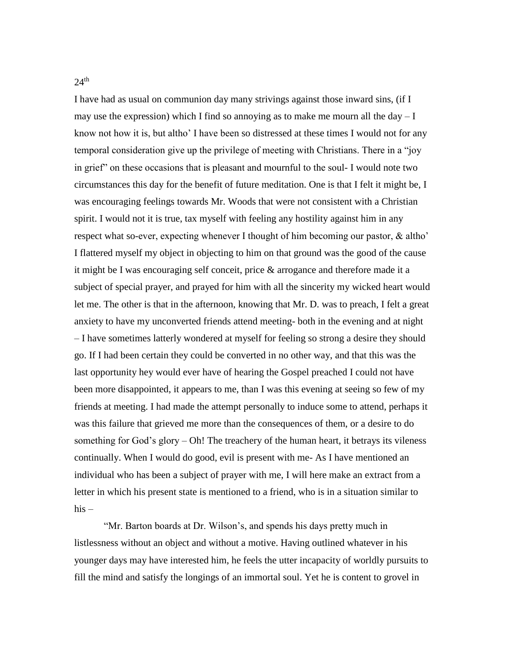I have had as usual on communion day many strivings against those inward sins, (if I may use the expression) which I find so annoying as to make me mourn all the day  $-I$ know not how it is, but altho' I have been so distressed at these times I would not for any temporal consideration give up the privilege of meeting with Christians. There in a "joy in grief" on these occasions that is pleasant and mournful to the soul- I would note two circumstances this day for the benefit of future meditation. One is that I felt it might be, I was encouraging feelings towards Mr. Woods that were not consistent with a Christian spirit. I would not it is true, tax myself with feeling any hostility against him in any respect what so-ever, expecting whenever I thought of him becoming our pastor, & altho' I flattered myself my object in objecting to him on that ground was the good of the cause it might be I was encouraging self conceit, price & arrogance and therefore made it a subject of special prayer, and prayed for him with all the sincerity my wicked heart would let me. The other is that in the afternoon, knowing that Mr. D. was to preach, I felt a great anxiety to have my unconverted friends attend meeting- both in the evening and at night – I have sometimes latterly wondered at myself for feeling so strong a desire they should go. If I had been certain they could be converted in no other way, and that this was the last opportunity hey would ever have of hearing the Gospel preached I could not have been more disappointed, it appears to me, than I was this evening at seeing so few of my friends at meeting. I had made the attempt personally to induce some to attend, perhaps it was this failure that grieved me more than the consequences of them, or a desire to do something for God's glory – Oh! The treachery of the human heart, it betrays its vileness continually. When I would do good, evil is present with me- As I have mentioned an individual who has been a subject of prayer with me, I will here make an extract from a letter in which his present state is mentioned to a friend, who is in a situation similar to

"Mr. Barton boards at Dr. Wilson's, and spends his days pretty much in listlessness without an object and without a motive. Having outlined whatever in his younger days may have interested him, he feels the utter incapacity of worldly pursuits to fill the mind and satisfy the longings of an immortal soul. Yet he is content to grovel in

 $24<sup>th</sup>$ 

his –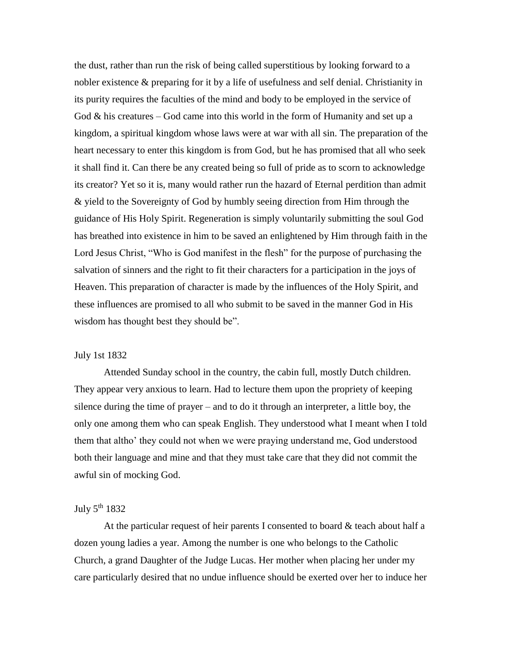the dust, rather than run the risk of being called superstitious by looking forward to a nobler existence & preparing for it by a life of usefulness and self denial. Christianity in its purity requires the faculties of the mind and body to be employed in the service of God  $\&$  his creatures – God came into this world in the form of Humanity and set up a kingdom, a spiritual kingdom whose laws were at war with all sin. The preparation of the heart necessary to enter this kingdom is from God, but he has promised that all who seek it shall find it. Can there be any created being so full of pride as to scorn to acknowledge its creator? Yet so it is, many would rather run the hazard of Eternal perdition than admit & yield to the Sovereignty of God by humbly seeing direction from Him through the guidance of His Holy Spirit. Regeneration is simply voluntarily submitting the soul God has breathed into existence in him to be saved an enlightened by Him through faith in the Lord Jesus Christ, "Who is God manifest in the flesh" for the purpose of purchasing the salvation of sinners and the right to fit their characters for a participation in the joys of Heaven. This preparation of character is made by the influences of the Holy Spirit, and these influences are promised to all who submit to be saved in the manner God in His wisdom has thought best they should be".

### July 1st 1832

Attended Sunday school in the country, the cabin full, mostly Dutch children. They appear very anxious to learn. Had to lecture them upon the propriety of keeping silence during the time of prayer – and to do it through an interpreter, a little boy, the only one among them who can speak English. They understood what I meant when I told them that altho' they could not when we were praying understand me, God understood both their language and mine and that they must take care that they did not commit the awful sin of mocking God.

# July  $5^{\text{th}}$  1832

At the particular request of heir parents I consented to board & teach about half a dozen young ladies a year. Among the number is one who belongs to the Catholic Church, a grand Daughter of the Judge Lucas. Her mother when placing her under my care particularly desired that no undue influence should be exerted over her to induce her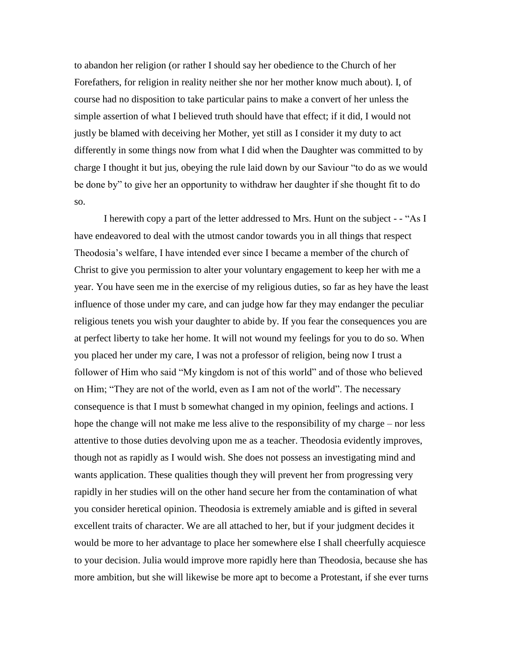to abandon her religion (or rather I should say her obedience to the Church of her Forefathers, for religion in reality neither she nor her mother know much about). I, of course had no disposition to take particular pains to make a convert of her unless the simple assertion of what I believed truth should have that effect; if it did, I would not justly be blamed with deceiving her Mother, yet still as I consider it my duty to act differently in some things now from what I did when the Daughter was committed to by charge I thought it but jus, obeying the rule laid down by our Saviour "to do as we would be done by" to give her an opportunity to withdraw her daughter if she thought fit to do so.

I herewith copy a part of the letter addressed to Mrs. Hunt on the subject - - "As I have endeavored to deal with the utmost candor towards you in all things that respect Theodosia's welfare, I have intended ever since I became a member of the church of Christ to give you permission to alter your voluntary engagement to keep her with me a year. You have seen me in the exercise of my religious duties, so far as hey have the least influence of those under my care, and can judge how far they may endanger the peculiar religious tenets you wish your daughter to abide by. If you fear the consequences you are at perfect liberty to take her home. It will not wound my feelings for you to do so. When you placed her under my care, I was not a professor of religion, being now I trust a follower of Him who said "My kingdom is not of this world" and of those who believed on Him; "They are not of the world, even as I am not of the world". The necessary consequence is that I must b somewhat changed in my opinion, feelings and actions. I hope the change will not make me less alive to the responsibility of my charge – nor less attentive to those duties devolving upon me as a teacher. Theodosia evidently improves, though not as rapidly as I would wish. She does not possess an investigating mind and wants application. These qualities though they will prevent her from progressing very rapidly in her studies will on the other hand secure her from the contamination of what you consider heretical opinion. Theodosia is extremely amiable and is gifted in several excellent traits of character. We are all attached to her, but if your judgment decides it would be more to her advantage to place her somewhere else I shall cheerfully acquiesce to your decision. Julia would improve more rapidly here than Theodosia, because she has more ambition, but she will likewise be more apt to become a Protestant, if she ever turns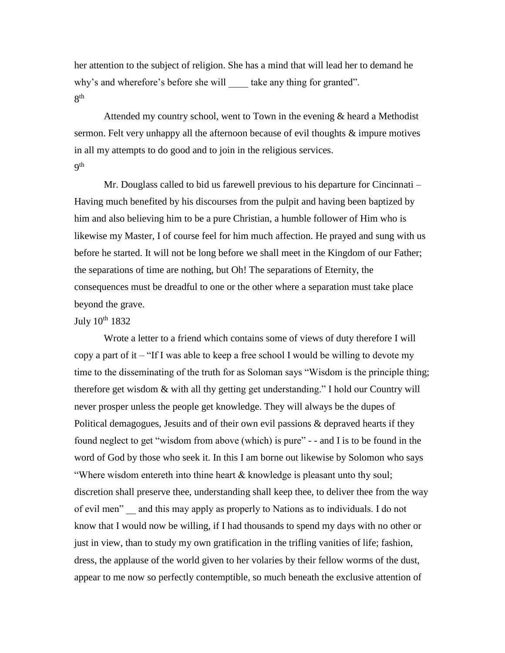her attention to the subject of religion. She has a mind that will lead her to demand he why's and wherefore's before she will take any thing for granted". 8 th

Attended my country school, went to Town in the evening & heard a Methodist sermon. Felt very unhappy all the afternoon because of evil thoughts & impure motives in all my attempts to do good and to join in the religious services. 9 th

Mr. Douglass called to bid us farewell previous to his departure for Cincinnati – Having much benefited by his discourses from the pulpit and having been baptized by him and also believing him to be a pure Christian, a humble follower of Him who is likewise my Master, I of course feel for him much affection. He prayed and sung with us before he started. It will not be long before we shall meet in the Kingdom of our Father; the separations of time are nothing, but Oh! The separations of Eternity, the consequences must be dreadful to one or the other where a separation must take place beyond the grave.

# July 10th 1832

Wrote a letter to a friend which contains some of views of duty therefore I will copy a part of it – "If I was able to keep a free school I would be willing to devote my time to the disseminating of the truth for as Soloman says "Wisdom is the principle thing; therefore get wisdom & with all thy getting get understanding." I hold our Country will never prosper unless the people get knowledge. They will always be the dupes of Political demagogues, Jesuits and of their own evil passions & depraved hearts if they found neglect to get "wisdom from above (which) is pure" - - and I is to be found in the word of God by those who seek it. In this I am borne out likewise by Solomon who says "Where wisdom entereth into thine heart  $\&$  knowledge is pleasant unto thy soul; discretion shall preserve thee, understanding shall keep thee, to deliver thee from the way of evil men" \_\_ and this may apply as properly to Nations as to individuals. I do not know that I would now be willing, if I had thousands to spend my days with no other or just in view, than to study my own gratification in the trifling vanities of life; fashion, dress, the applause of the world given to her volaries by their fellow worms of the dust, appear to me now so perfectly contemptible, so much beneath the exclusive attention of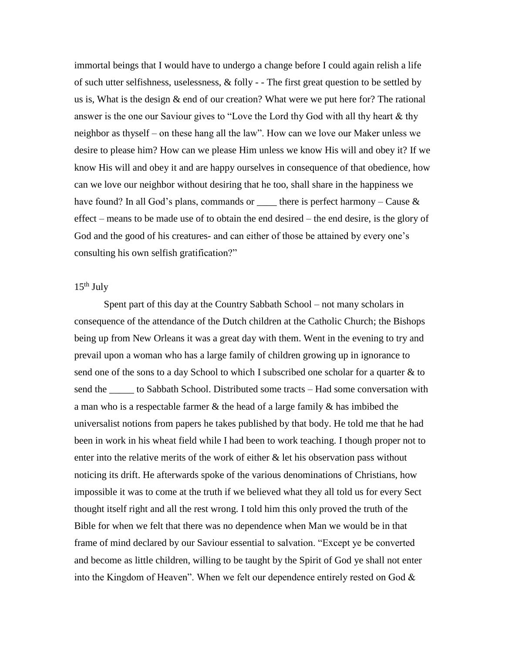immortal beings that I would have to undergo a change before I could again relish a life of such utter selfishness, uselessness, & folly - - The first great question to be settled by us is, What is the design  $&$  end of our creation? What were we put here for? The rational answer is the one our Saviour gives to "Love the Lord thy God with all thy heart & thy neighbor as thyself – on these hang all the law". How can we love our Maker unless we desire to please him? How can we please Him unless we know His will and obey it? If we know His will and obey it and are happy ourselves in consequence of that obedience, how can we love our neighbor without desiring that he too, shall share in the happiness we have found? In all God's plans, commands or \_\_\_\_\_ there is perfect harmony – Cause  $\&$ effect – means to be made use of to obtain the end desired – the end desire, is the glory of God and the good of his creatures- and can either of those be attained by every one's consulting his own selfish gratification?"

## $15<sup>th</sup>$  July

Spent part of this day at the Country Sabbath School – not many scholars in consequence of the attendance of the Dutch children at the Catholic Church; the Bishops being up from New Orleans it was a great day with them. Went in the evening to try and prevail upon a woman who has a large family of children growing up in ignorance to send one of the sons to a day School to which I subscribed one scholar for a quarter & to send the \_\_\_\_\_ to Sabbath School. Distributed some tracts – Had some conversation with a man who is a respectable farmer & the head of a large family & has imbibed the universalist notions from papers he takes published by that body. He told me that he had been in work in his wheat field while I had been to work teaching. I though proper not to enter into the relative merits of the work of either  $\&$  let his observation pass without noticing its drift. He afterwards spoke of the various denominations of Christians, how impossible it was to come at the truth if we believed what they all told us for every Sect thought itself right and all the rest wrong. I told him this only proved the truth of the Bible for when we felt that there was no dependence when Man we would be in that frame of mind declared by our Saviour essential to salvation. "Except ye be converted and become as little children, willing to be taught by the Spirit of God ye shall not enter into the Kingdom of Heaven". When we felt our dependence entirely rested on God  $\&$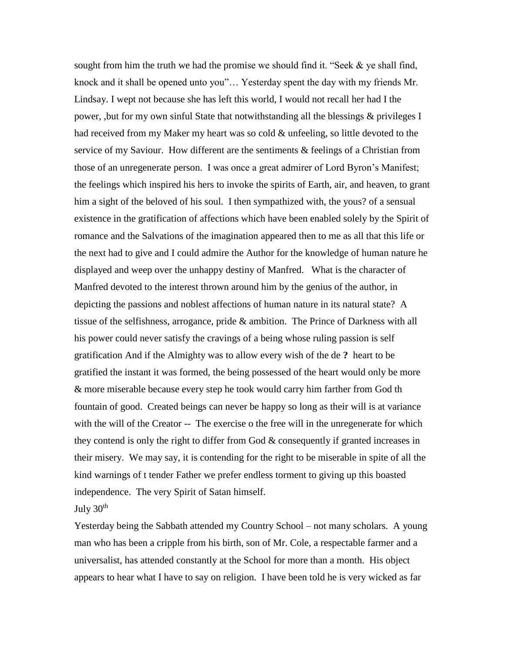sought from him the truth we had the promise we should find it. "Seek  $\&$  ye shall find, knock and it shall be opened unto you"… Yesterday spent the day with my friends Mr. Lindsay. I wept not because she has left this world, I would not recall her had I the power, ,but for my own sinful State that notwithstanding all the blessings & privileges I had received from my Maker my heart was so cold & unfeeling, so little devoted to the service of my Saviour. How different are the sentiments & feelings of a Christian from those of an unregenerate person. I was once a great admirer of Lord Byron's Manifest; the feelings which inspired his hers to invoke the spirits of Earth, air, and heaven, to grant him a sight of the beloved of his soul. I then sympathized with, the yous? of a sensual existence in the gratification of affections which have been enabled solely by the Spirit of romance and the Salvations of the imagination appeared then to me as all that this life or the next had to give and I could admire the Author for the knowledge of human nature he displayed and weep over the unhappy destiny of Manfred. What is the character of Manfred devoted to the interest thrown around him by the genius of the author, in depicting the passions and noblest affections of human nature in its natural state? A tissue of the selfishness, arrogance, pride & ambition. The Prince of Darkness with all his power could never satisfy the cravings of a being whose ruling passion is self gratification And if the Almighty was to allow every wish of the de **?** heart to be gratified the instant it was formed, the being possessed of the heart would only be more & more miserable because every step he took would carry him farther from God th fountain of good. Created beings can never be happy so long as their will is at variance with the will of the Creator -- The exercise o the free will in the unregenerate for which they contend is only the right to differ from God & consequently if granted increases in their misery. We may say, it is contending for the right to be miserable in spite of all the kind warnings of t tender Father we prefer endless torment to giving up this boasted independence. The very Spirit of Satan himself.

July  $30<sup>th</sup>$ 

Yesterday being the Sabbath attended my Country School – not many scholars. A young man who has been a cripple from his birth, son of Mr. Cole, a respectable farmer and a universalist, has attended constantly at the School for more than a month. His object appears to hear what I have to say on religion. I have been told he is very wicked as far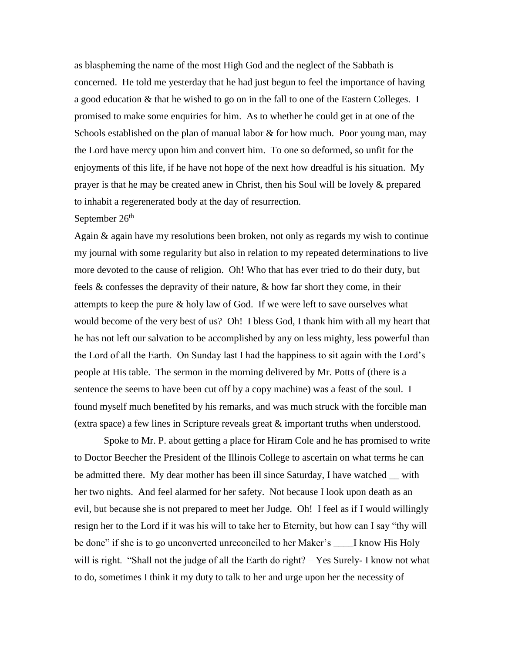as blaspheming the name of the most High God and the neglect of the Sabbath is concerned. He told me yesterday that he had just begun to feel the importance of having a good education & that he wished to go on in the fall to one of the Eastern Colleges. I promised to make some enquiries for him. As to whether he could get in at one of the Schools established on the plan of manual labor & for how much. Poor young man, may the Lord have mercy upon him and convert him. To one so deformed, so unfit for the enjoyments of this life, if he have not hope of the next how dreadful is his situation. My prayer is that he may be created anew in Christ, then his Soul will be lovely & prepared to inhabit a regerenerated body at the day of resurrection.

## September 26<sup>th</sup>

Again & again have my resolutions been broken, not only as regards my wish to continue my journal with some regularity but also in relation to my repeated determinations to live more devoted to the cause of religion. Oh! Who that has ever tried to do their duty, but feels & confesses the depravity of their nature, & how far short they come, in their attempts to keep the pure  $\&$  holy law of God. If we were left to save ourselves what would become of the very best of us? Oh! I bless God, I thank him with all my heart that he has not left our salvation to be accomplished by any on less mighty, less powerful than the Lord of all the Earth. On Sunday last I had the happiness to sit again with the Lord's people at His table. The sermon in the morning delivered by Mr. Potts of (there is a sentence the seems to have been cut off by a copy machine) was a feast of the soul. I found myself much benefited by his remarks, and was much struck with the forcible man (extra space) a few lines in Scripture reveals great & important truths when understood.

Spoke to Mr. P. about getting a place for Hiram Cole and he has promised to write to Doctor Beecher the President of the Illinois College to ascertain on what terms he can be admitted there. My dear mother has been ill since Saturday, I have watched \_\_ with her two nights. And feel alarmed for her safety. Not because I look upon death as an evil, but because she is not prepared to meet her Judge. Oh! I feel as if I would willingly resign her to the Lord if it was his will to take her to Eternity, but how can I say "thy will be done" if she is to go unconverted unreconciled to her Maker's \_\_\_\_I know His Holy will is right. "Shall not the judge of all the Earth do right? – Yes Surely- I know not what to do, sometimes I think it my duty to talk to her and urge upon her the necessity of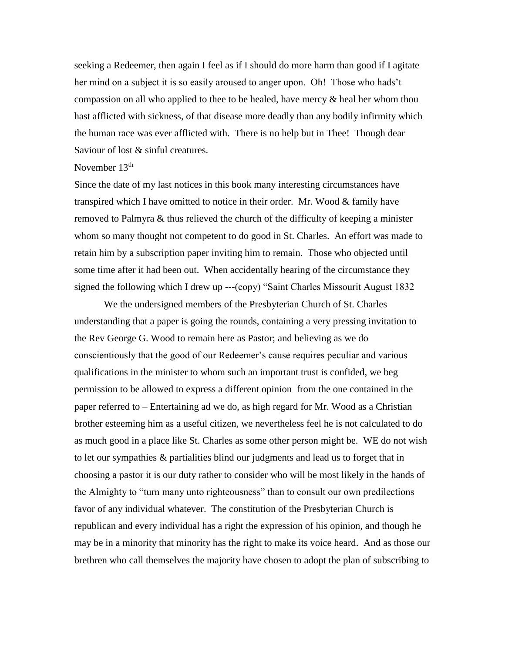seeking a Redeemer, then again I feel as if I should do more harm than good if I agitate her mind on a subject it is so easily aroused to anger upon. Oh! Those who hads't compassion on all who applied to thee to be healed, have mercy  $\&$  heal her whom thou hast afflicted with sickness, of that disease more deadly than any bodily infirmity which the human race was ever afflicted with. There is no help but in Thee! Though dear Saviour of lost & sinful creatures.

### November 13<sup>th</sup>

Since the date of my last notices in this book many interesting circumstances have transpired which I have omitted to notice in their order. Mr. Wood & family have removed to Palmyra & thus relieved the church of the difficulty of keeping a minister whom so many thought not competent to do good in St. Charles. An effort was made to retain him by a subscription paper inviting him to remain. Those who objected until some time after it had been out. When accidentally hearing of the circumstance they signed the following which I drew up ---(copy) "Saint Charles Missourit August 1832

We the undersigned members of the Presbyterian Church of St. Charles understanding that a paper is going the rounds, containing a very pressing invitation to the Rev George G. Wood to remain here as Pastor; and believing as we do conscientiously that the good of our Redeemer's cause requires peculiar and various qualifications in the minister to whom such an important trust is confided, we beg permission to be allowed to express a different opinion from the one contained in the paper referred to – Entertaining ad we do, as high regard for Mr. Wood as a Christian brother esteeming him as a useful citizen, we nevertheless feel he is not calculated to do as much good in a place like St. Charles as some other person might be. WE do not wish to let our sympathies & partialities blind our judgments and lead us to forget that in choosing a pastor it is our duty rather to consider who will be most likely in the hands of the Almighty to "turn many unto righteousness" than to consult our own predilections favor of any individual whatever. The constitution of the Presbyterian Church is republican and every individual has a right the expression of his opinion, and though he may be in a minority that minority has the right to make its voice heard. And as those our brethren who call themselves the majority have chosen to adopt the plan of subscribing to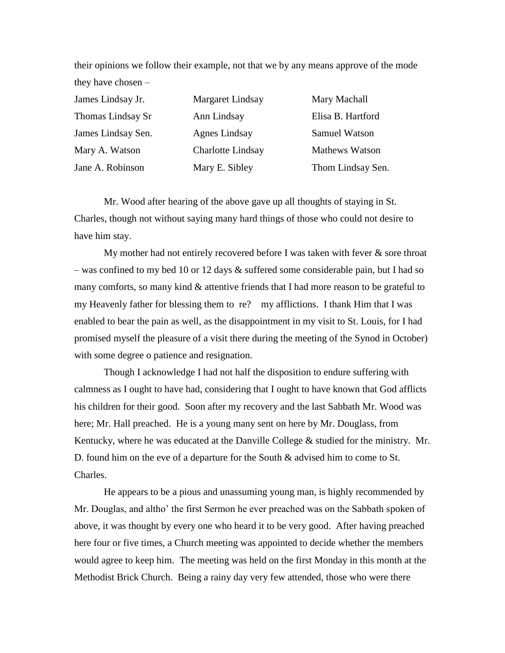their opinions we follow their example, not that we by any means approve of the mode they have chosen –

| James Lindsay Jr.  | Margaret Lindsay  | Mary Machall      |
|--------------------|-------------------|-------------------|
| Thomas Lindsay Sr  | Ann Lindsay       | Elisa B. Hartford |
| James Lindsay Sen. | Agnes Lindsay     | Samuel Watson     |
| Mary A. Watson     | Charlotte Lindsay | Mathews Watson    |
| Jane A. Robinson   | Mary E. Sibley    | Thom Lindsay Sen. |

Mr. Wood after hearing of the above gave up all thoughts of staying in St. Charles, though not without saying many hard things of those who could not desire to have him stay.

My mother had not entirely recovered before I was taken with fever  $\&$  sore throat – was confined to my bed 10 or 12 days & suffered some considerable pain, but I had so many comforts, so many kind  $\&$  attentive friends that I had more reason to be grateful to my Heavenly father for blessing them to re? my afflictions. I thank Him that I was enabled to bear the pain as well, as the disappointment in my visit to St. Louis, for I had promised myself the pleasure of a visit there during the meeting of the Synod in October) with some degree o patience and resignation.

Though I acknowledge I had not half the disposition to endure suffering with calmness as I ought to have had, considering that I ought to have known that God afflicts his children for their good. Soon after my recovery and the last Sabbath Mr. Wood was here; Mr. Hall preached. He is a young many sent on here by Mr. Douglass, from Kentucky, where he was educated at the Danville College  $\&$  studied for the ministry. Mr. D. found him on the eve of a departure for the South & advised him to come to St. Charles.

He appears to be a pious and unassuming young man, is highly recommended by Mr. Douglas, and altho' the first Sermon he ever preached was on the Sabbath spoken of above, it was thought by every one who heard it to be very good. After having preached here four or five times, a Church meeting was appointed to decide whether the members would agree to keep him. The meeting was held on the first Monday in this month at the Methodist Brick Church. Being a rainy day very few attended, those who were there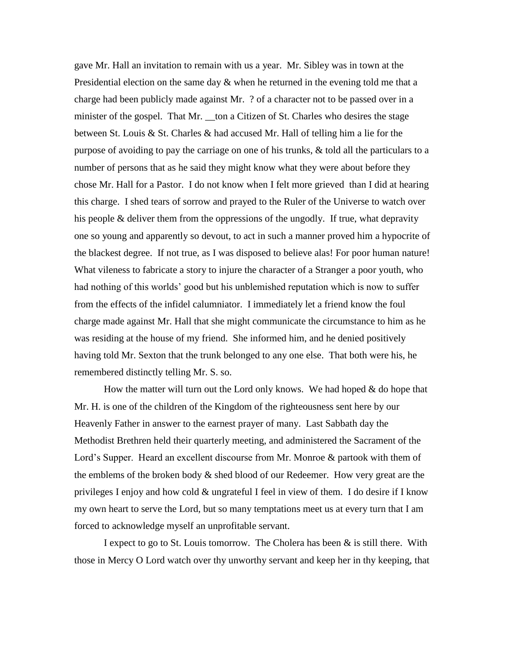gave Mr. Hall an invitation to remain with us a year. Mr. Sibley was in town at the Presidential election on the same day & when he returned in the evening told me that a charge had been publicly made against Mr. ? of a character not to be passed over in a minister of the gospel. That Mr. \_ton a Citizen of St. Charles who desires the stage between St. Louis & St. Charles & had accused Mr. Hall of telling him a lie for the purpose of avoiding to pay the carriage on one of his trunks, & told all the particulars to a number of persons that as he said they might know what they were about before they chose Mr. Hall for a Pastor. I do not know when I felt more grieved than I did at hearing this charge. I shed tears of sorrow and prayed to the Ruler of the Universe to watch over his people & deliver them from the oppressions of the ungodly. If true, what depravity one so young and apparently so devout, to act in such a manner proved him a hypocrite of the blackest degree. If not true, as I was disposed to believe alas! For poor human nature! What vileness to fabricate a story to injure the character of a Stranger a poor youth, who had nothing of this worlds' good but his unblemished reputation which is now to suffer from the effects of the infidel calumniator. I immediately let a friend know the foul charge made against Mr. Hall that she might communicate the circumstance to him as he was residing at the house of my friend. She informed him, and he denied positively having told Mr. Sexton that the trunk belonged to any one else. That both were his, he remembered distinctly telling Mr. S. so.

How the matter will turn out the Lord only knows. We had hoped  $&$  do hope that Mr. H. is one of the children of the Kingdom of the righteousness sent here by our Heavenly Father in answer to the earnest prayer of many. Last Sabbath day the Methodist Brethren held their quarterly meeting, and administered the Sacrament of the Lord's Supper. Heard an excellent discourse from Mr. Monroe & partook with them of the emblems of the broken body  $\&$  shed blood of our Redeemer. How very great are the privileges I enjoy and how cold & ungrateful I feel in view of them. I do desire if I know my own heart to serve the Lord, but so many temptations meet us at every turn that I am forced to acknowledge myself an unprofitable servant.

I expect to go to St. Louis tomorrow. The Cholera has been  $\&$  is still there. With those in Mercy O Lord watch over thy unworthy servant and keep her in thy keeping, that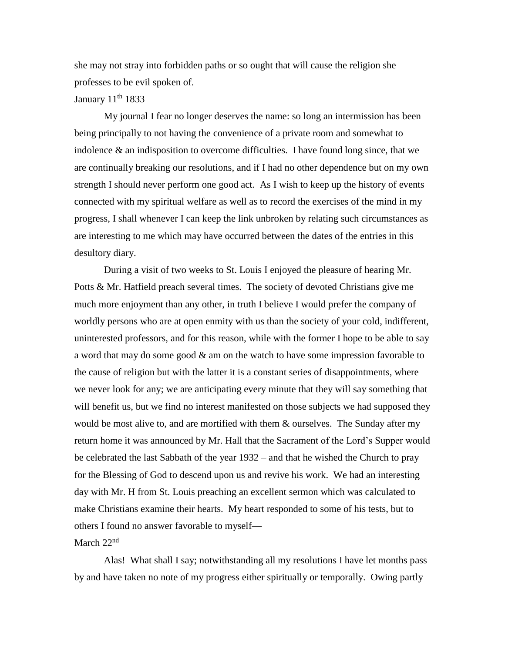she may not stray into forbidden paths or so ought that will cause the religion she professes to be evil spoken of.

# January 11<sup>th</sup> 1833

My journal I fear no longer deserves the name: so long an intermission has been being principally to not having the convenience of a private room and somewhat to indolence  $\&$  an indisposition to overcome difficulties. I have found long since, that we are continually breaking our resolutions, and if I had no other dependence but on my own strength I should never perform one good act. As I wish to keep up the history of events connected with my spiritual welfare as well as to record the exercises of the mind in my progress, I shall whenever I can keep the link unbroken by relating such circumstances as are interesting to me which may have occurred between the dates of the entries in this desultory diary.

During a visit of two weeks to St. Louis I enjoyed the pleasure of hearing Mr. Potts & Mr. Hatfield preach several times. The society of devoted Christians give me much more enjoyment than any other, in truth I believe I would prefer the company of worldly persons who are at open enmity with us than the society of your cold, indifferent, uninterested professors, and for this reason, while with the former I hope to be able to say a word that may do some good  $\&$  am on the watch to have some impression favorable to the cause of religion but with the latter it is a constant series of disappointments, where we never look for any; we are anticipating every minute that they will say something that will benefit us, but we find no interest manifested on those subjects we had supposed they would be most alive to, and are mortified with them  $\&$  ourselves. The Sunday after my return home it was announced by Mr. Hall that the Sacrament of the Lord's Supper would be celebrated the last Sabbath of the year 1932 – and that he wished the Church to pray for the Blessing of God to descend upon us and revive his work. We had an interesting day with Mr. H from St. Louis preaching an excellent sermon which was calculated to make Christians examine their hearts. My heart responded to some of his tests, but to others I found no answer favorable to myself—

### March 22<sup>nd</sup>

Alas! What shall I say; notwithstanding all my resolutions I have let months pass by and have taken no note of my progress either spiritually or temporally. Owing partly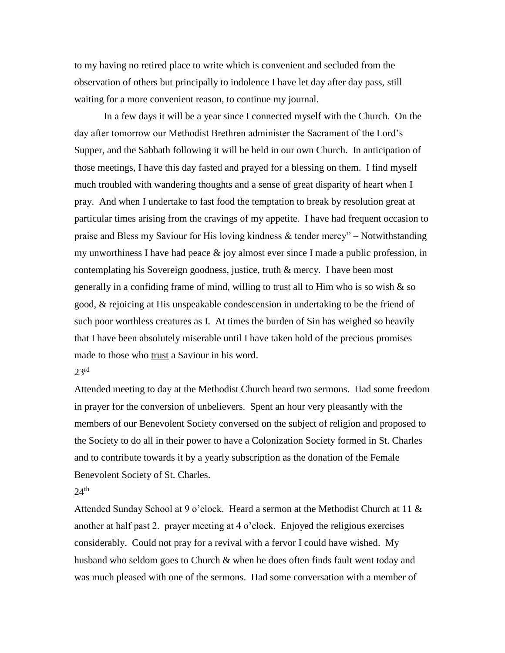to my having no retired place to write which is convenient and secluded from the observation of others but principally to indolence I have let day after day pass, still waiting for a more convenient reason, to continue my journal.

In a few days it will be a year since I connected myself with the Church. On the day after tomorrow our Methodist Brethren administer the Sacrament of the Lord's Supper, and the Sabbath following it will be held in our own Church. In anticipation of those meetings, I have this day fasted and prayed for a blessing on them. I find myself much troubled with wandering thoughts and a sense of great disparity of heart when I pray. And when I undertake to fast food the temptation to break by resolution great at particular times arising from the cravings of my appetite. I have had frequent occasion to praise and Bless my Saviour for His loving kindness & tender mercy" – Notwithstanding my unworthiness I have had peace  $\&$  joy almost ever since I made a public profession, in contemplating his Sovereign goodness, justice, truth & mercy. I have been most generally in a confiding frame of mind, willing to trust all to Him who is so wish & so good, & rejoicing at His unspeakable condescension in undertaking to be the friend of such poor worthless creatures as I. At times the burden of Sin has weighed so heavily that I have been absolutely miserable until I have taken hold of the precious promises made to those who trust a Saviour in his word.

### $23<sup>rd</sup>$

Attended meeting to day at the Methodist Church heard two sermons. Had some freedom in prayer for the conversion of unbelievers. Spent an hour very pleasantly with the members of our Benevolent Society conversed on the subject of religion and proposed to the Society to do all in their power to have a Colonization Society formed in St. Charles and to contribute towards it by a yearly subscription as the donation of the Female Benevolent Society of St. Charles.

### $24<sup>th</sup>$

Attended Sunday School at 9 o'clock. Heard a sermon at the Methodist Church at 11  $\&$ another at half past 2. prayer meeting at 4 o'clock. Enjoyed the religious exercises considerably. Could not pray for a revival with a fervor I could have wished. My husband who seldom goes to Church & when he does often finds fault went today and was much pleased with one of the sermons. Had some conversation with a member of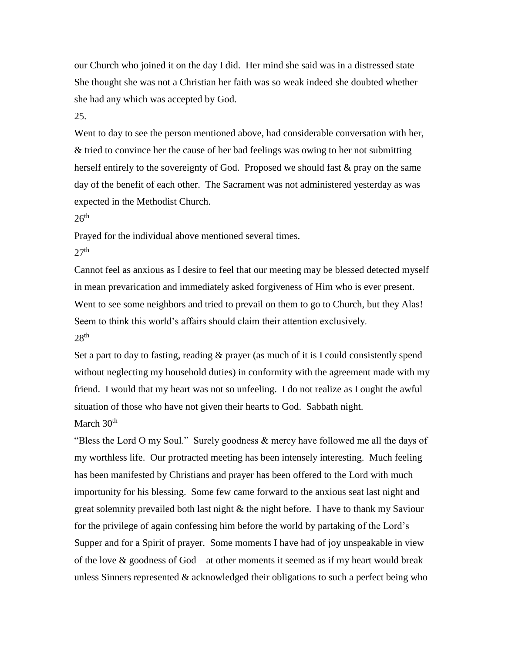our Church who joined it on the day I did. Her mind she said was in a distressed state She thought she was not a Christian her faith was so weak indeed she doubted whether she had any which was accepted by God.

25.

Went to day to see the person mentioned above, had considerable conversation with her, & tried to convince her the cause of her bad feelings was owing to her not submitting herself entirely to the sovereignty of God. Proposed we should fast  $\&$  pray on the same day of the benefit of each other. The Sacrament was not administered yesterday as was expected in the Methodist Church.

 $26<sup>th</sup>$ 

Prayed for the individual above mentioned several times.

 $27<sup>th</sup>$ 

Cannot feel as anxious as I desire to feel that our meeting may be blessed detected myself in mean prevarication and immediately asked forgiveness of Him who is ever present. Went to see some neighbors and tried to prevail on them to go to Church, but they Alas! Seem to think this world's affairs should claim their attention exclusively.  $28<sup>th</sup>$ 

Set a part to day to fasting, reading  $\&$  prayer (as much of it is I could consistently spend without neglecting my household duties) in conformity with the agreement made with my friend. I would that my heart was not so unfeeling. I do not realize as I ought the awful situation of those who have not given their hearts to God. Sabbath night. March 30<sup>th</sup>

"Bless the Lord O my Soul." Surely goodness  $\&$  mercy have followed me all the days of my worthless life. Our protracted meeting has been intensely interesting. Much feeling has been manifested by Christians and prayer has been offered to the Lord with much importunity for his blessing. Some few came forward to the anxious seat last night and great solemnity prevailed both last night  $\&$  the night before. I have to thank my Saviour for the privilege of again confessing him before the world by partaking of the Lord's Supper and for a Spirit of prayer. Some moments I have had of joy unspeakable in view of the love  $\&$  goodness of God – at other moments it seemed as if my heart would break unless Sinners represented  $\&$  acknowledged their obligations to such a perfect being who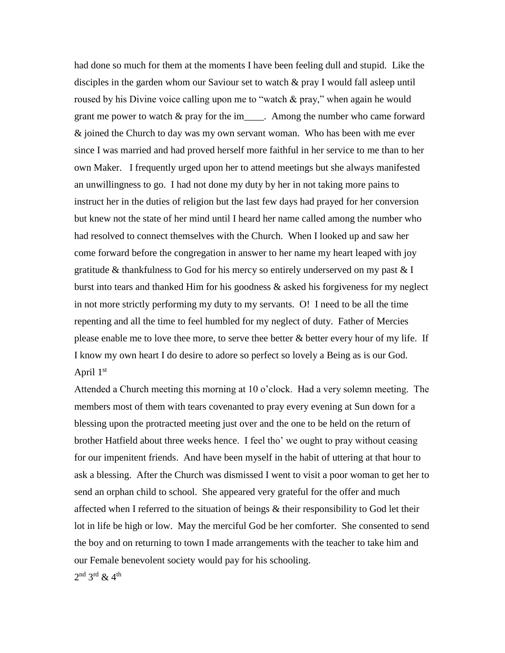had done so much for them at the moments I have been feeling dull and stupid. Like the disciples in the garden whom our Saviour set to watch & pray I would fall asleep until roused by his Divine voice calling upon me to "watch & pray," when again he would grant me power to watch & pray for the im\_\_\_\_. Among the number who came forward & joined the Church to day was my own servant woman. Who has been with me ever since I was married and had proved herself more faithful in her service to me than to her own Maker. I frequently urged upon her to attend meetings but she always manifested an unwillingness to go. I had not done my duty by her in not taking more pains to instruct her in the duties of religion but the last few days had prayed for her conversion but knew not the state of her mind until I heard her name called among the number who had resolved to connect themselves with the Church. When I looked up and saw her come forward before the congregation in answer to her name my heart leaped with joy gratitude  $\&$  thankfulness to God for his mercy so entirely underserved on my past  $\&$  I burst into tears and thanked Him for his goodness  $\&$  asked his forgiveness for my neglect in not more strictly performing my duty to my servants. O! I need to be all the time repenting and all the time to feel humbled for my neglect of duty. Father of Mercies please enable me to love thee more, to serve thee better  $\&$  better every hour of my life. If I know my own heart I do desire to adore so perfect so lovely a Being as is our God. April 1<sup>st</sup>

Attended a Church meeting this morning at 10 o'clock. Had a very solemn meeting. The members most of them with tears covenanted to pray every evening at Sun down for a blessing upon the protracted meeting just over and the one to be held on the return of brother Hatfield about three weeks hence. I feel tho' we ought to pray without ceasing for our impenitent friends. And have been myself in the habit of uttering at that hour to ask a blessing. After the Church was dismissed I went to visit a poor woman to get her to send an orphan child to school. She appeared very grateful for the offer and much affected when I referred to the situation of beings & their responsibility to God let their lot in life be high or low. May the merciful God be her comforter. She consented to send the boy and on returning to town I made arrangements with the teacher to take him and our Female benevolent society would pay for his schooling.  $2<sup>nd</sup> 3<sup>rd</sup>$  & 4<sup>th</sup>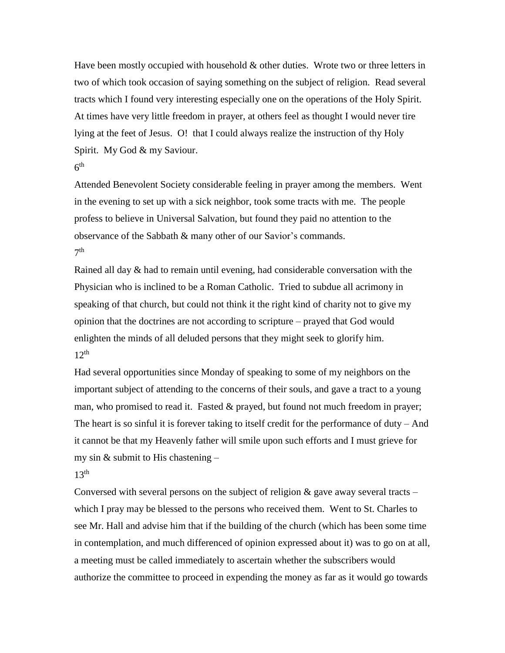Have been mostly occupied with household  $\&$  other duties. Wrote two or three letters in two of which took occasion of saying something on the subject of religion. Read several tracts which I found very interesting especially one on the operations of the Holy Spirit. At times have very little freedom in prayer, at others feel as thought I would never tire lying at the feet of Jesus. O! that I could always realize the instruction of thy Holy Spirit. My God & my Saviour.

 $6<sup>th</sup>$ 

Attended Benevolent Society considerable feeling in prayer among the members. Went in the evening to set up with a sick neighbor, took some tracts with me. The people profess to believe in Universal Salvation, but found they paid no attention to the observance of the Sabbath & many other of our Savior's commands.  $7<sup>th</sup>$ 

Rained all day & had to remain until evening, had considerable conversation with the Physician who is inclined to be a Roman Catholic. Tried to subdue all acrimony in speaking of that church, but could not think it the right kind of charity not to give my opinion that the doctrines are not according to scripture – prayed that God would enlighten the minds of all deluded persons that they might seek to glorify him.  $12^{th}$ 

Had several opportunities since Monday of speaking to some of my neighbors on the important subject of attending to the concerns of their souls, and gave a tract to a young man, who promised to read it. Fasted  $&$  prayed, but found not much freedom in prayer; The heart is so sinful it is forever taking to itself credit for the performance of duty – And it cannot be that my Heavenly father will smile upon such efforts and I must grieve for my sin  $&$  submit to His chastening –

### $13<sup>th</sup>$

Conversed with several persons on the subject of religion  $\&$  gave away several tracts – which I pray may be blessed to the persons who received them. Went to St. Charles to see Mr. Hall and advise him that if the building of the church (which has been some time in contemplation, and much differenced of opinion expressed about it) was to go on at all, a meeting must be called immediately to ascertain whether the subscribers would authorize the committee to proceed in expending the money as far as it would go towards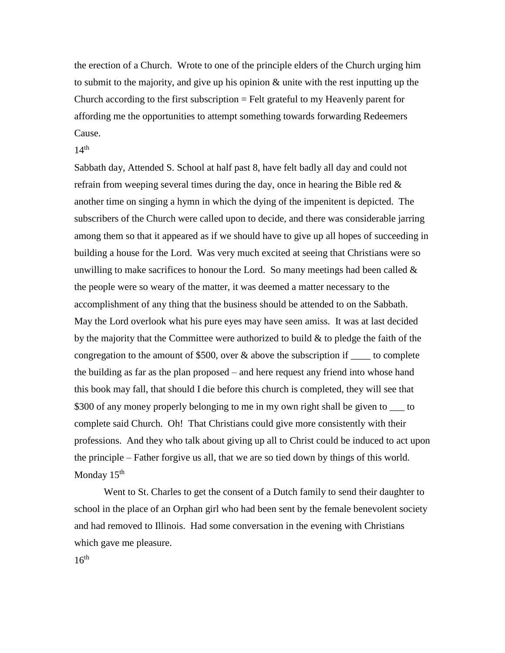the erection of a Church. Wrote to one of the principle elders of the Church urging him to submit to the majority, and give up his opinion & unite with the rest inputting up the Church according to the first subscription  $=$  Felt grateful to my Heavenly parent for affording me the opportunities to attempt something towards forwarding Redeemers Cause.

### $14<sup>th</sup>$

Sabbath day, Attended S. School at half past 8, have felt badly all day and could not refrain from weeping several times during the day, once in hearing the Bible red  $\&$ another time on singing a hymn in which the dying of the impenitent is depicted. The subscribers of the Church were called upon to decide, and there was considerable jarring among them so that it appeared as if we should have to give up all hopes of succeeding in building a house for the Lord. Was very much excited at seeing that Christians were so unwilling to make sacrifices to honour the Lord. So many meetings had been called  $\&$ the people were so weary of the matter, it was deemed a matter necessary to the accomplishment of any thing that the business should be attended to on the Sabbath. May the Lord overlook what his pure eyes may have seen amiss. It was at last decided by the majority that the Committee were authorized to build  $\&$  to pledge the faith of the congregation to the amount of \$500, over  $\&$  above the subscription if  $\_\_\_\_$  to complete the building as far as the plan proposed – and here request any friend into whose hand this book may fall, that should I die before this church is completed, they will see that \$300 of any money properly belonging to me in my own right shall be given to  $\equiv$  to complete said Church. Oh! That Christians could give more consistently with their professions. And they who talk about giving up all to Christ could be induced to act upon the principle – Father forgive us all, that we are so tied down by things of this world. Monday  $15<sup>th</sup>$ 

Went to St. Charles to get the consent of a Dutch family to send their daughter to school in the place of an Orphan girl who had been sent by the female benevolent society and had removed to Illinois. Had some conversation in the evening with Christians which gave me pleasure.

 $16<sup>th</sup>$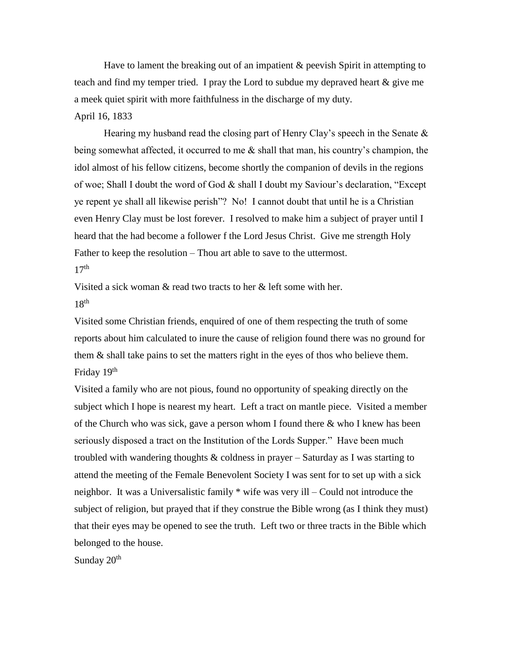Have to lament the breaking out of an impatient & peevish Spirit in attempting to teach and find my temper tried. I pray the Lord to subdue my depraved heart & give me a meek quiet spirit with more faithfulness in the discharge of my duty. April 16, 1833

Hearing my husband read the closing part of Henry Clay's speech in the Senate & being somewhat affected, it occurred to me  $\&$  shall that man, his country's champion, the idol almost of his fellow citizens, become shortly the companion of devils in the regions of woe; Shall I doubt the word of God & shall I doubt my Saviour's declaration, "Except ye repent ye shall all likewise perish"? No! I cannot doubt that until he is a Christian even Henry Clay must be lost forever. I resolved to make him a subject of prayer until I heard that the had become a follower f the Lord Jesus Christ. Give me strength Holy Father to keep the resolution – Thou art able to save to the uttermost.  $17<sup>th</sup>$ 

Visited a sick woman & read two tracts to her & left some with her.  $18<sup>th</sup>$ 

Visited some Christian friends, enquired of one of them respecting the truth of some reports about him calculated to inure the cause of religion found there was no ground for them & shall take pains to set the matters right in the eyes of thos who believe them. Friday 19<sup>th</sup>

Visited a family who are not pious, found no opportunity of speaking directly on the subject which I hope is nearest my heart. Left a tract on mantle piece. Visited a member of the Church who was sick, gave a person whom I found there & who I knew has been seriously disposed a tract on the Institution of the Lords Supper." Have been much troubled with wandering thoughts & coldness in prayer – Saturday as I was starting to attend the meeting of the Female Benevolent Society I was sent for to set up with a sick neighbor. It was a Universalistic family \* wife was very ill – Could not introduce the subject of religion, but prayed that if they construe the Bible wrong (as I think they must) that their eyes may be opened to see the truth. Left two or three tracts in the Bible which belonged to the house.

Sunday 20<sup>th</sup>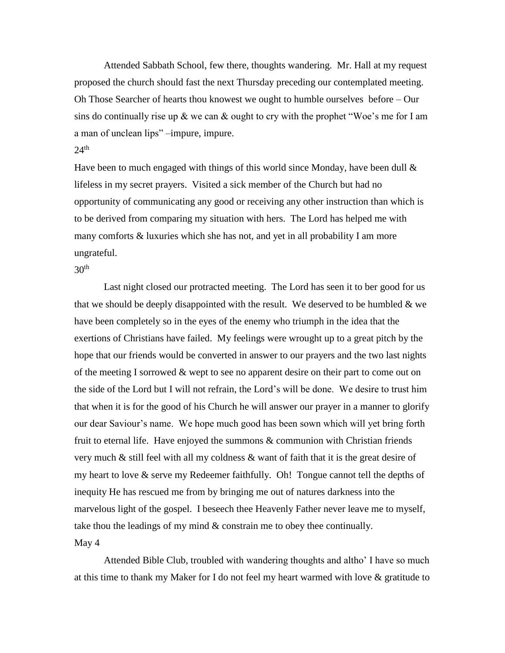Attended Sabbath School, few there, thoughts wandering. Mr. Hall at my request proposed the church should fast the next Thursday preceding our contemplated meeting. Oh Those Searcher of hearts thou knowest we ought to humble ourselves before – Our sins do continually rise up  $\&$  we can  $\&$  ought to cry with the prophet "Woe's me for I am a man of unclean lips" –impure, impure.

#### $24<sup>th</sup>$

Have been to much engaged with things of this world since Monday, have been dull & lifeless in my secret prayers. Visited a sick member of the Church but had no opportunity of communicating any good or receiving any other instruction than which is to be derived from comparing my situation with hers. The Lord has helped me with many comforts & luxuries which she has not, and yet in all probability I am more ungrateful.

# $30<sup>th</sup>$

Last night closed our protracted meeting. The Lord has seen it to ber good for us that we should be deeply disappointed with the result. We deserved to be humbled  $\&$  we have been completely so in the eyes of the enemy who triumph in the idea that the exertions of Christians have failed. My feelings were wrought up to a great pitch by the hope that our friends would be converted in answer to our prayers and the two last nights of the meeting I sorrowed & wept to see no apparent desire on their part to come out on the side of the Lord but I will not refrain, the Lord's will be done. We desire to trust him that when it is for the good of his Church he will answer our prayer in a manner to glorify our dear Saviour's name. We hope much good has been sown which will yet bring forth fruit to eternal life. Have enjoyed the summons & communion with Christian friends very much & still feel with all my coldness & want of faith that it is the great desire of my heart to love  $\&$  serve my Redeemer faithfully. Oh! Tongue cannot tell the depths of inequity He has rescued me from by bringing me out of natures darkness into the marvelous light of the gospel. I beseech thee Heavenly Father never leave me to myself, take thou the leadings of my mind & constrain me to obey thee continually. May 4

Attended Bible Club, troubled with wandering thoughts and altho' I have so much at this time to thank my Maker for I do not feel my heart warmed with love & gratitude to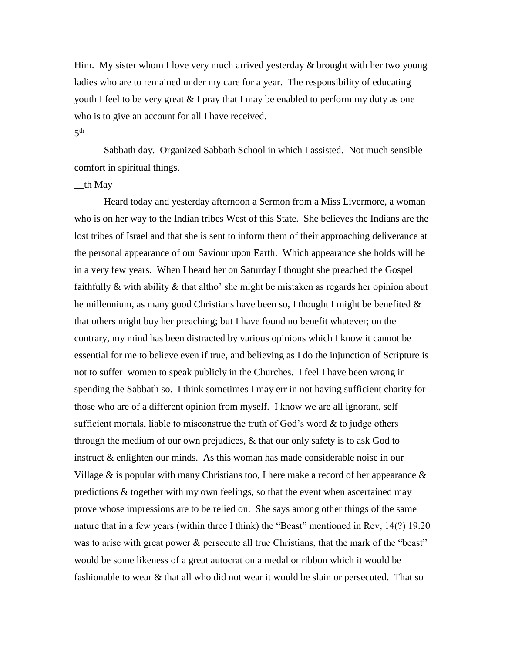Him. My sister whom I love very much arrived yesterday & brought with her two young ladies who are to remained under my care for a year. The responsibility of educating youth I feel to be very great  $& I$  pray that I may be enabled to perform my duty as one who is to give an account for all I have received.

 $5<sup>th</sup>$ 

Sabbath day. Organized Sabbath School in which I assisted. Not much sensible comfort in spiritual things.

#### $\_\$ th May

Heard today and yesterday afternoon a Sermon from a Miss Livermore, a woman who is on her way to the Indian tribes West of this State. She believes the Indians are the lost tribes of Israel and that she is sent to inform them of their approaching deliverance at the personal appearance of our Saviour upon Earth. Which appearance she holds will be in a very few years. When I heard her on Saturday I thought she preached the Gospel faithfully & with ability & that altho' she might be mistaken as regards her opinion about he millennium, as many good Christians have been so, I thought I might be benefited  $\&$ that others might buy her preaching; but I have found no benefit whatever; on the contrary, my mind has been distracted by various opinions which I know it cannot be essential for me to believe even if true, and believing as I do the injunction of Scripture is not to suffer women to speak publicly in the Churches. I feel I have been wrong in spending the Sabbath so. I think sometimes I may err in not having sufficient charity for those who are of a different opinion from myself. I know we are all ignorant, self sufficient mortals, liable to misconstrue the truth of God's word  $\&$  to judge others through the medium of our own prejudices, & that our only safety is to ask God to instruct & enlighten our minds. As this woman has made considerable noise in our Village  $\&$  is popular with many Christians too, I here make a record of her appearance  $\&$ predictions & together with my own feelings, so that the event when ascertained may prove whose impressions are to be relied on. She says among other things of the same nature that in a few years (within three I think) the "Beast" mentioned in Rev, 14(?) 19.20 was to arise with great power & persecute all true Christians, that the mark of the "beast" would be some likeness of a great autocrat on a medal or ribbon which it would be fashionable to wear & that all who did not wear it would be slain or persecuted. That so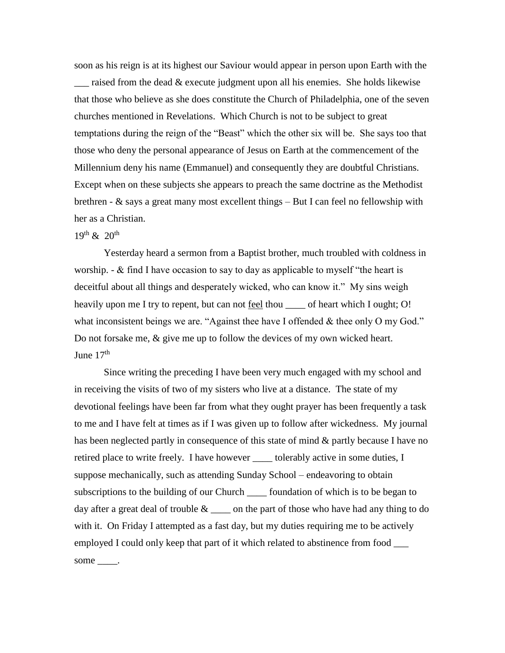soon as his reign is at its highest our Saviour would appear in person upon Earth with the raised from the dead  $&$  execute judgment upon all his enemies. She holds likewise that those who believe as she does constitute the Church of Philadelphia, one of the seven churches mentioned in Revelations. Which Church is not to be subject to great temptations during the reign of the "Beast" which the other six will be. She says too that those who deny the personal appearance of Jesus on Earth at the commencement of the Millennium deny his name (Emmanuel) and consequently they are doubtful Christians. Except when on these subjects she appears to preach the same doctrine as the Methodist brethren - & says a great many most excellent things – But I can feel no fellowship with her as a Christian.

# $19^{th}$  &  $20^{th}$

Yesterday heard a sermon from a Baptist brother, much troubled with coldness in worship.  $-\&$  find I have occasion to say to day as applicable to myself "the heart is deceitful about all things and desperately wicked, who can know it." My sins weigh heavily upon me I try to repent, but can not feel thou of heart which I ought; O! what inconsistent beings we are. "Against thee have I offended & thee only O my God." Do not forsake me, & give me up to follow the devices of my own wicked heart. June  $17<sup>th</sup>$ 

Since writing the preceding I have been very much engaged with my school and in receiving the visits of two of my sisters who live at a distance. The state of my devotional feelings have been far from what they ought prayer has been frequently a task to me and I have felt at times as if I was given up to follow after wickedness. My journal has been neglected partly in consequence of this state of mind & partly because I have no retired place to write freely. I have however \_\_\_\_ tolerably active in some duties, I suppose mechanically, such as attending Sunday School – endeavoring to obtain subscriptions to the building of our Church \_\_\_\_ foundation of which is to be began to day after a great deal of trouble  $\&$  on the part of those who have had any thing to do with it. On Friday I attempted as a fast day, but my duties requiring me to be actively employed I could only keep that part of it which related to abstinence from food \_\_\_ some .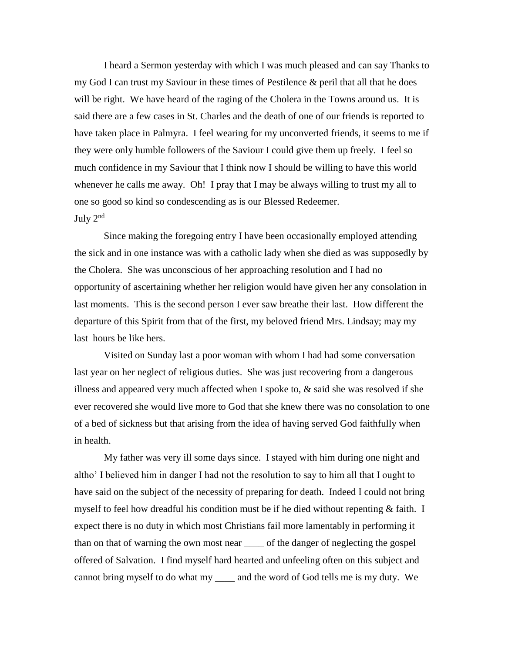I heard a Sermon yesterday with which I was much pleased and can say Thanks to my God I can trust my Saviour in these times of Pestilence & peril that all that he does will be right. We have heard of the raging of the Cholera in the Towns around us. It is said there are a few cases in St. Charles and the death of one of our friends is reported to have taken place in Palmyra. I feel wearing for my unconverted friends, it seems to me if they were only humble followers of the Saviour I could give them up freely. I feel so much confidence in my Saviour that I think now I should be willing to have this world whenever he calls me away. Oh! I pray that I may be always willing to trust my all to one so good so kind so condescending as is our Blessed Redeemer. July 2nd

Since making the foregoing entry I have been occasionally employed attending the sick and in one instance was with a catholic lady when she died as was supposedly by the Cholera. She was unconscious of her approaching resolution and I had no opportunity of ascertaining whether her religion would have given her any consolation in last moments. This is the second person I ever saw breathe their last. How different the departure of this Spirit from that of the first, my beloved friend Mrs. Lindsay; may my last hours be like hers.

Visited on Sunday last a poor woman with whom I had had some conversation last year on her neglect of religious duties. She was just recovering from a dangerous illness and appeared very much affected when I spoke to,  $\&$  said she was resolved if she ever recovered she would live more to God that she knew there was no consolation to one of a bed of sickness but that arising from the idea of having served God faithfully when in health.

My father was very ill some days since. I stayed with him during one night and altho' I believed him in danger I had not the resolution to say to him all that I ought to have said on the subject of the necessity of preparing for death. Indeed I could not bring myself to feel how dreadful his condition must be if he died without repenting  $\&$  faith. I expect there is no duty in which most Christians fail more lamentably in performing it than on that of warning the own most near \_\_\_\_ of the danger of neglecting the gospel offered of Salvation. I find myself hard hearted and unfeeling often on this subject and cannot bring myself to do what my \_\_\_\_ and the word of God tells me is my duty. We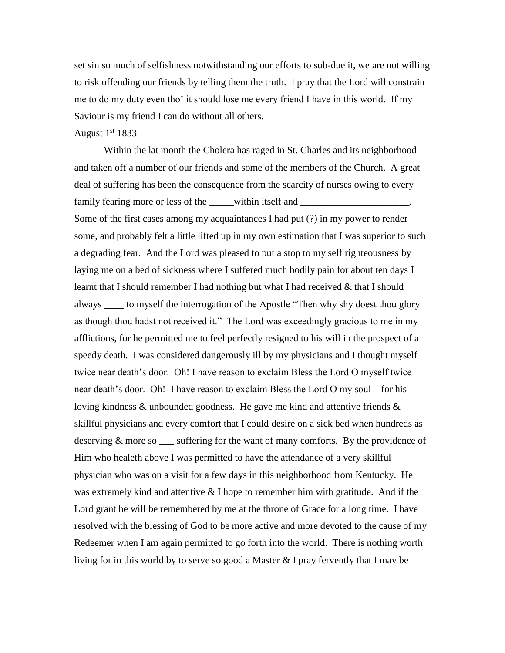set sin so much of selfishness notwithstanding our efforts to sub-due it, we are not willing to risk offending our friends by telling them the truth. I pray that the Lord will constrain me to do my duty even tho' it should lose me every friend I have in this world. If my Saviour is my friend I can do without all others.

# August  $1<sup>st</sup> 1833$

Within the lat month the Cholera has raged in St. Charles and its neighborhood and taken off a number of our friends and some of the members of the Church. A great deal of suffering has been the consequence from the scarcity of nurses owing to every family fearing more or less of the within itself and Some of the first cases among my acquaintances I had put (?) in my power to render some, and probably felt a little lifted up in my own estimation that I was superior to such a degrading fear. And the Lord was pleased to put a stop to my self righteousness by laying me on a bed of sickness where I suffered much bodily pain for about ten days I learnt that I should remember I had nothing but what I had received & that I should always \_\_\_\_ to myself the interrogation of the Apostle "Then why shy doest thou glory as though thou hadst not received it." The Lord was exceedingly gracious to me in my afflictions, for he permitted me to feel perfectly resigned to his will in the prospect of a speedy death. I was considered dangerously ill by my physicians and I thought myself twice near death's door. Oh! I have reason to exclaim Bless the Lord O myself twice near death's door. Oh! I have reason to exclaim Bless the Lord O my soul – for his loving kindness  $\&$  unbounded goodness. He gave me kind and attentive friends  $\&$ skillful physicians and every comfort that I could desire on a sick bed when hundreds as deserving & more so suffering for the want of many comforts. By the providence of Him who healeth above I was permitted to have the attendance of a very skillful physician who was on a visit for a few days in this neighborhood from Kentucky. He was extremely kind and attentive  $&$  I hope to remember him with gratitude. And if the Lord grant he will be remembered by me at the throne of Grace for a long time. I have resolved with the blessing of God to be more active and more devoted to the cause of my Redeemer when I am again permitted to go forth into the world. There is nothing worth living for in this world by to serve so good a Master & I pray fervently that I may be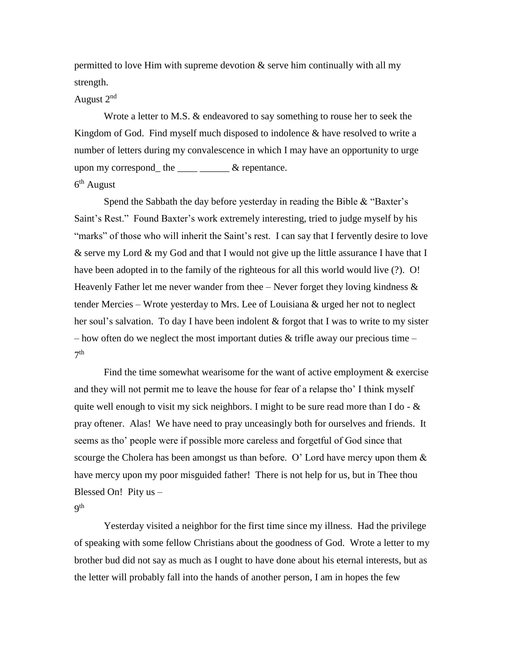permitted to love Him with supreme devotion & serve him continually with all my strength.

## August  $2<sup>nd</sup>$

Wrote a letter to M.S. & endeavored to say something to rouse her to seek the Kingdom of God. Find myself much disposed to indolence  $\&$  have resolved to write a number of letters during my convalescence in which I may have an opportunity to urge upon my correspond the  $\frac{1}{\sqrt{2}}$   $\frac{1}{\sqrt{2}}$  repentance. 6<sup>th</sup> August

Spend the Sabbath the day before yesterday in reading the Bible & "Baxter's Saint's Rest." Found Baxter's work extremely interesting, tried to judge myself by his "marks" of those who will inherit the Saint's rest. I can say that I fervently desire to love & serve my Lord & my God and that I would not give up the little assurance I have that I have been adopted in to the family of the righteous for all this world would live (?). O! Heavenly Father let me never wander from thee  $-$  Never forget they loving kindness  $\&$ tender Mercies – Wrote yesterday to Mrs. Lee of Louisiana & urged her not to neglect her soul's salvation. To day I have been indolent & forgot that I was to write to my sister – how often do we neglect the most important duties  $\&$  trifle away our precious time –  $7<sup>th</sup>$ 

Find the time somewhat wearisome for the want of active employment & exercise and they will not permit me to leave the house for fear of a relapse tho' I think myself quite well enough to visit my sick neighbors. I might to be sure read more than I do -  $\&$ pray oftener. Alas! We have need to pray unceasingly both for ourselves and friends. It seems as tho' people were if possible more careless and forgetful of God since that scourge the Cholera has been amongst us than before. O' Lord have mercy upon them  $\&$ have mercy upon my poor misguided father! There is not help for us, but in Thee thou Blessed On! Pity us –

9 th

Yesterday visited a neighbor for the first time since my illness. Had the privilege of speaking with some fellow Christians about the goodness of God. Wrote a letter to my brother bud did not say as much as I ought to have done about his eternal interests, but as the letter will probably fall into the hands of another person, I am in hopes the few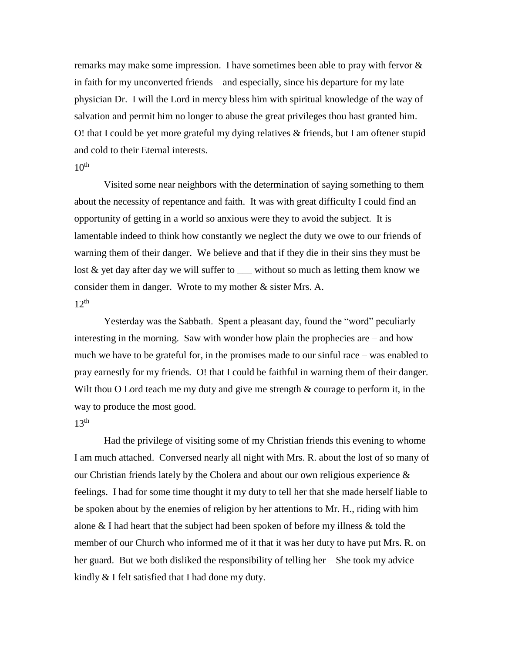remarks may make some impression. I have sometimes been able to pray with fervor  $\&$ in faith for my unconverted friends – and especially, since his departure for my late physician Dr. I will the Lord in mercy bless him with spiritual knowledge of the way of salvation and permit him no longer to abuse the great privileges thou hast granted him. O! that I could be yet more grateful my dying relatives & friends, but I am oftener stupid and cold to their Eternal interests.

#### $10<sup>th</sup>$

Visited some near neighbors with the determination of saying something to them about the necessity of repentance and faith. It was with great difficulty I could find an opportunity of getting in a world so anxious were they to avoid the subject. It is lamentable indeed to think how constantly we neglect the duty we owe to our friends of warning them of their danger. We believe and that if they die in their sins they must be lost  $\&$  yet day after day we will suffer to  $\_\_$  without so much as letting them know we consider them in danger. Wrote to my mother & sister Mrs. A.  $12<sup>th</sup>$ 

Yesterday was the Sabbath. Spent a pleasant day, found the "word" peculiarly interesting in the morning. Saw with wonder how plain the prophecies are – and how much we have to be grateful for, in the promises made to our sinful race – was enabled to pray earnestly for my friends. O! that I could be faithful in warning them of their danger. Wilt thou O Lord teach me my duty and give me strength  $\&$  courage to perform it, in the way to produce the most good.

## $13<sup>th</sup>$

Had the privilege of visiting some of my Christian friends this evening to whome I am much attached. Conversed nearly all night with Mrs. R. about the lost of so many of our Christian friends lately by the Cholera and about our own religious experience  $\&$ feelings. I had for some time thought it my duty to tell her that she made herself liable to be spoken about by the enemies of religion by her attentions to Mr. H., riding with him alone & I had heart that the subject had been spoken of before my illness & told the member of our Church who informed me of it that it was her duty to have put Mrs. R. on her guard. But we both disliked the responsibility of telling her – She took my advice kindly & I felt satisfied that I had done my duty.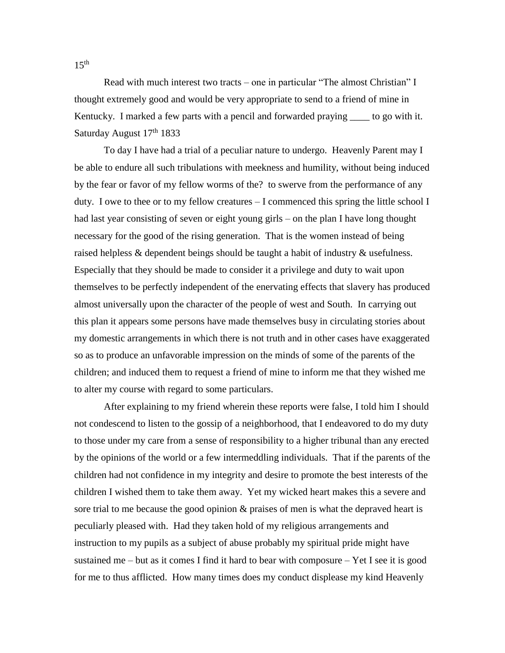Read with much interest two tracts – one in particular "The almost Christian" I thought extremely good and would be very appropriate to send to a friend of mine in Kentucky. I marked a few parts with a pencil and forwarded praying \_\_\_\_ to go with it. Saturday August  $17<sup>th</sup> 1833$ 

To day I have had a trial of a peculiar nature to undergo. Heavenly Parent may I be able to endure all such tribulations with meekness and humility, without being induced by the fear or favor of my fellow worms of the? to swerve from the performance of any duty. I owe to thee or to my fellow creatures – I commenced this spring the little school I had last year consisting of seven or eight young girls – on the plan I have long thought necessary for the good of the rising generation. That is the women instead of being raised helpless & dependent beings should be taught a habit of industry & usefulness. Especially that they should be made to consider it a privilege and duty to wait upon themselves to be perfectly independent of the enervating effects that slavery has produced almost universally upon the character of the people of west and South. In carrying out this plan it appears some persons have made themselves busy in circulating stories about my domestic arrangements in which there is not truth and in other cases have exaggerated so as to produce an unfavorable impression on the minds of some of the parents of the children; and induced them to request a friend of mine to inform me that they wished me to alter my course with regard to some particulars.

After explaining to my friend wherein these reports were false, I told him I should not condescend to listen to the gossip of a neighborhood, that I endeavored to do my duty to those under my care from a sense of responsibility to a higher tribunal than any erected by the opinions of the world or a few intermeddling individuals. That if the parents of the children had not confidence in my integrity and desire to promote the best interests of the children I wished them to take them away. Yet my wicked heart makes this a severe and sore trial to me because the good opinion  $\&$  praises of men is what the depraved heart is peculiarly pleased with. Had they taken hold of my religious arrangements and instruction to my pupils as a subject of abuse probably my spiritual pride might have sustained me – but as it comes I find it hard to bear with composure – Yet I see it is good for me to thus afflicted. How many times does my conduct displease my kind Heavenly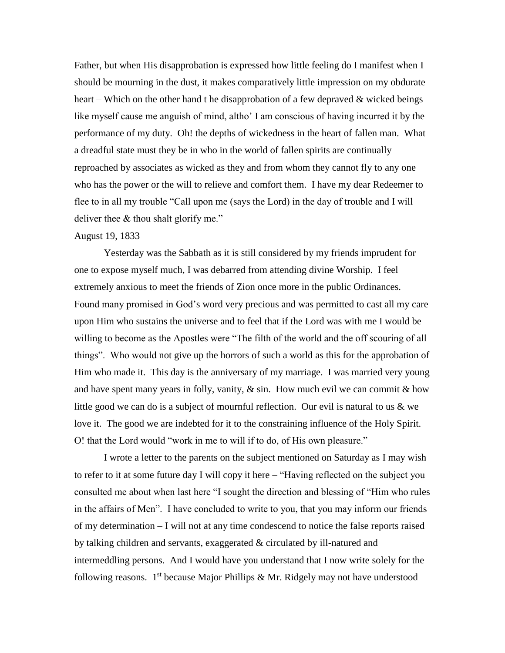Father, but when His disapprobation is expressed how little feeling do I manifest when I should be mourning in the dust, it makes comparatively little impression on my obdurate heart – Which on the other hand t he disapprobation of a few depraved & wicked beings like myself cause me anguish of mind, altho' I am conscious of having incurred it by the performance of my duty. Oh! the depths of wickedness in the heart of fallen man. What a dreadful state must they be in who in the world of fallen spirits are continually reproached by associates as wicked as they and from whom they cannot fly to any one who has the power or the will to relieve and comfort them. I have my dear Redeemer to flee to in all my trouble "Call upon me (says the Lord) in the day of trouble and I will deliver thee & thou shalt glorify me."

### August 19, 1833

Yesterday was the Sabbath as it is still considered by my friends imprudent for one to expose myself much, I was debarred from attending divine Worship. I feel extremely anxious to meet the friends of Zion once more in the public Ordinances. Found many promised in God's word very precious and was permitted to cast all my care upon Him who sustains the universe and to feel that if the Lord was with me I would be willing to become as the Apostles were "The filth of the world and the off scouring of all things". Who would not give up the horrors of such a world as this for the approbation of Him who made it. This day is the anniversary of my marriage. I was married very young and have spent many years in folly, vanity,  $\&$  sin. How much evil we can commit  $\&$  how little good we can do is a subject of mournful reflection. Our evil is natural to us & we love it. The good we are indebted for it to the constraining influence of the Holy Spirit. O! that the Lord would "work in me to will if to do, of His own pleasure."

I wrote a letter to the parents on the subject mentioned on Saturday as I may wish to refer to it at some future day I will copy it here – "Having reflected on the subject you consulted me about when last here "I sought the direction and blessing of "Him who rules in the affairs of Men". I have concluded to write to you, that you may inform our friends of my determination – I will not at any time condescend to notice the false reports raised by talking children and servants, exaggerated & circulated by ill-natured and intermeddling persons. And I would have you understand that I now write solely for the following reasons.  $1<sup>st</sup>$  because Major Phillips & Mr. Ridgely may not have understood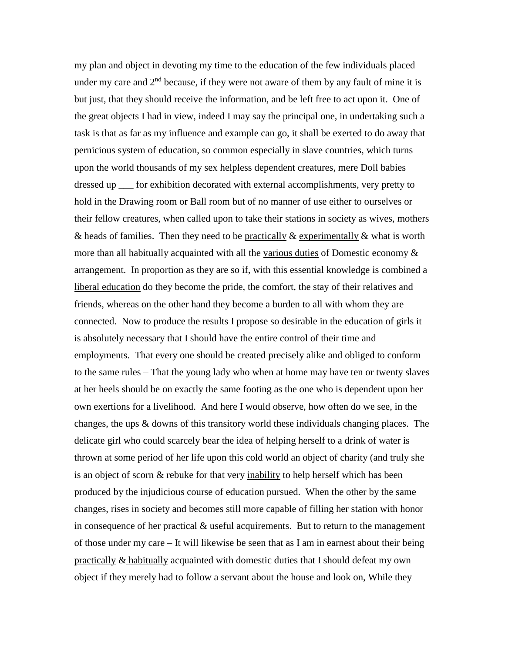my plan and object in devoting my time to the education of the few individuals placed under my care and  $2<sup>nd</sup>$  because, if they were not aware of them by any fault of mine it is but just, that they should receive the information, and be left free to act upon it. One of the great objects I had in view, indeed I may say the principal one, in undertaking such a task is that as far as my influence and example can go, it shall be exerted to do away that pernicious system of education, so common especially in slave countries, which turns upon the world thousands of my sex helpless dependent creatures, mere Doll babies dressed up \_\_\_ for exhibition decorated with external accomplishments, very pretty to hold in the Drawing room or Ball room but of no manner of use either to ourselves or their fellow creatures, when called upon to take their stations in society as wives, mothers  $\&$  heads of families. Then they need to be practically  $\&$  experimentally  $\&$  what is worth more than all habitually acquainted with all the various duties of Domestic economy  $\&$ arrangement. In proportion as they are so if, with this essential knowledge is combined a liberal education do they become the pride, the comfort, the stay of their relatives and friends, whereas on the other hand they become a burden to all with whom they are connected. Now to produce the results I propose so desirable in the education of girls it is absolutely necessary that I should have the entire control of their time and employments. That every one should be created precisely alike and obliged to conform to the same rules – That the young lady who when at home may have ten or twenty slaves at her heels should be on exactly the same footing as the one who is dependent upon her own exertions for a livelihood. And here I would observe, how often do we see, in the changes, the ups & downs of this transitory world these individuals changing places. The delicate girl who could scarcely bear the idea of helping herself to a drink of water is thrown at some period of her life upon this cold world an object of charity (and truly she is an object of scorn & rebuke for that very inability to help herself which has been produced by the injudicious course of education pursued. When the other by the same changes, rises in society and becomes still more capable of filling her station with honor in consequence of her practical & useful acquirements. But to return to the management of those under my care – It will likewise be seen that as I am in earnest about their being practically & habitually acquainted with domestic duties that I should defeat my own object if they merely had to follow a servant about the house and look on, While they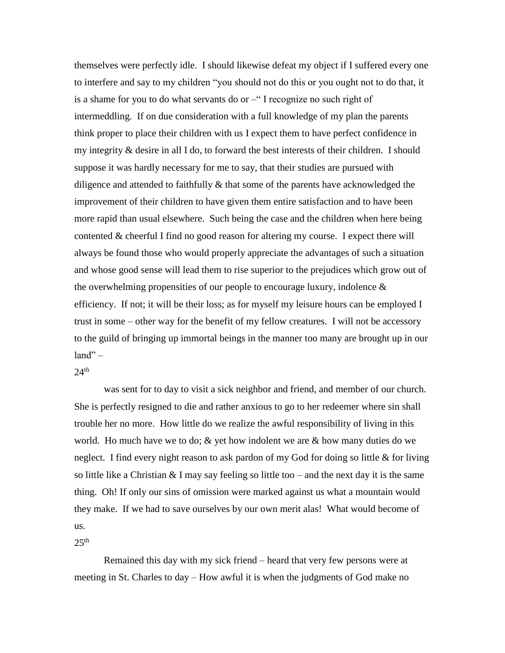themselves were perfectly idle. I should likewise defeat my object if I suffered every one to interfere and say to my children "you should not do this or you ought not to do that, it is a shame for you to do what servants do or –" I recognize no such right of intermeddling. If on due consideration with a full knowledge of my plan the parents think proper to place their children with us I expect them to have perfect confidence in my integrity & desire in all I do, to forward the best interests of their children. I should suppose it was hardly necessary for me to say, that their studies are pursued with diligence and attended to faithfully & that some of the parents have acknowledged the improvement of their children to have given them entire satisfaction and to have been more rapid than usual elsewhere. Such being the case and the children when here being contented & cheerful I find no good reason for altering my course. I expect there will always be found those who would properly appreciate the advantages of such a situation and whose good sense will lead them to rise superior to the prejudices which grow out of the overwhelming propensities of our people to encourage luxury, indolence  $\&$ efficiency. If not; it will be their loss; as for myself my leisure hours can be employed I trust in some – other way for the benefit of my fellow creatures. I will not be accessory to the guild of bringing up immortal beings in the manner too many are brought up in our  $land$ " –

#### $24<sup>th</sup>$

was sent for to day to visit a sick neighbor and friend, and member of our church. She is perfectly resigned to die and rather anxious to go to her redeemer where sin shall trouble her no more. How little do we realize the awful responsibility of living in this world. Ho much have we to do;  $\&$  yet how indolent we are  $\&$  how many duties do we neglect. I find every night reason to ask pardon of my God for doing so little & for living so little like a Christian & I may say feeling so little too – and the next day it is the same thing. Oh! If only our sins of omission were marked against us what a mountain would they make. If we had to save ourselves by our own merit alas! What would become of us.

#### $25th$

Remained this day with my sick friend – heard that very few persons were at meeting in St. Charles to day – How awful it is when the judgments of God make no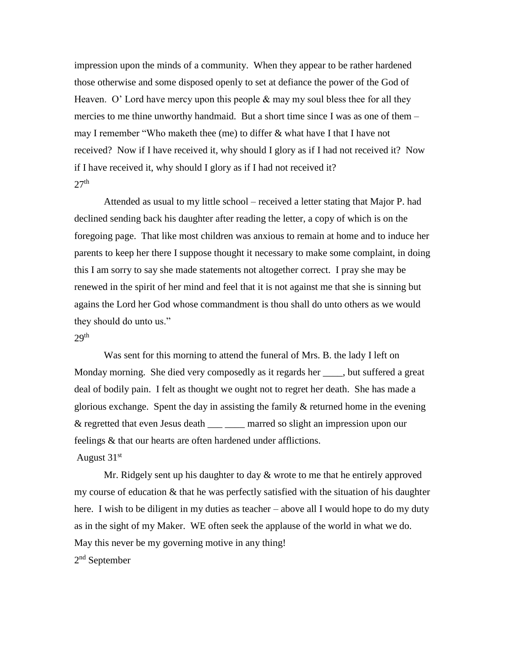impression upon the minds of a community. When they appear to be rather hardened those otherwise and some disposed openly to set at defiance the power of the God of Heaven. O' Lord have mercy upon this people  $\&$  may my soul bless thee for all they mercies to me thine unworthy handmaid. But a short time since I was as one of them – may I remember "Who maketh thee (me) to differ & what have I that I have not received? Now if I have received it, why should I glory as if I had not received it? Now if I have received it, why should I glory as if I had not received it?  $27<sup>th</sup>$ 

Attended as usual to my little school – received a letter stating that Major P. had declined sending back his daughter after reading the letter, a copy of which is on the foregoing page. That like most children was anxious to remain at home and to induce her parents to keep her there I suppose thought it necessary to make some complaint, in doing this I am sorry to say she made statements not altogether correct. I pray she may be renewed in the spirit of her mind and feel that it is not against me that she is sinning but agains the Lord her God whose commandment is thou shall do unto others as we would they should do unto us."

#### $29<sup>th</sup>$

Was sent for this morning to attend the funeral of Mrs. B. the lady I left on Monday morning. She died very composedly as it regards her \_\_\_\_, but suffered a great deal of bodily pain. I felt as thought we ought not to regret her death. She has made a glorious exchange. Spent the day in assisting the family  $\&$  returned home in the evening & regretted that even Jesus death \_\_\_ \_\_\_\_ marred so slight an impression upon our feelings & that our hearts are often hardened under afflictions.

# August 31st

Mr. Ridgely sent up his daughter to day & wrote to me that he entirely approved my course of education & that he was perfectly satisfied with the situation of his daughter here. I wish to be diligent in my duties as teacher – above all I would hope to do my duty as in the sight of my Maker. WE often seek the applause of the world in what we do. May this never be my governing motive in any thing!

2<sup>nd</sup> September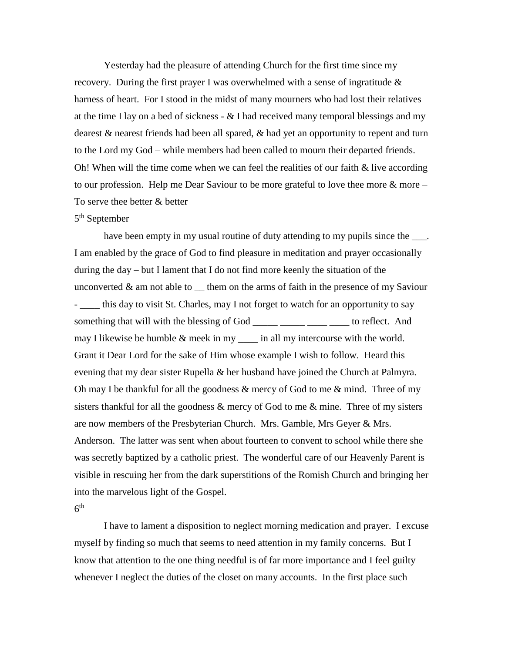Yesterday had the pleasure of attending Church for the first time since my recovery. During the first prayer I was overwhelmed with a sense of ingratitude  $\&$ harness of heart. For I stood in the midst of many mourners who had lost their relatives at the time I lay on a bed of sickness  $-\&$  I had received many temporal blessings and my dearest & nearest friends had been all spared, & had yet an opportunity to repent and turn to the Lord my God – while members had been called to mourn their departed friends. Oh! When will the time come when we can feel the realities of our faith  $\&$  live according to our profession. Help me Dear Saviour to be more grateful to love thee more  $\&$  more – To serve thee better & better

# 5<sup>th</sup> September

have been empty in my usual routine of duty attending to my pupils since the  $\qquad$ . I am enabled by the grace of God to find pleasure in meditation and prayer occasionally during the day – but I lament that I do not find more keenly the situation of the unconverted  $\&$  am not able to  $\equiv$  them on the arms of faith in the presence of my Saviour - \_\_\_\_ this day to visit St. Charles, may I not forget to watch for an opportunity to say something that will with the blessing of God \_\_\_\_\_ \_\_\_\_ \_\_\_\_ \_\_\_\_ to reflect. And may I likewise be humble  $\&$  meek in my  $\quad$  in all my intercourse with the world. Grant it Dear Lord for the sake of Him whose example I wish to follow. Heard this evening that my dear sister Rupella & her husband have joined the Church at Palmyra. Oh may I be thankful for all the goodness  $\&$  mercy of God to me  $\&$  mind. Three of my sisters thankful for all the goodness  $\&$  mercy of God to me  $\&$  mine. Three of my sisters are now members of the Presbyterian Church. Mrs. Gamble, Mrs Geyer & Mrs. Anderson. The latter was sent when about fourteen to convent to school while there she was secretly baptized by a catholic priest. The wonderful care of our Heavenly Parent is visible in rescuing her from the dark superstitions of the Romish Church and bringing her into the marvelous light of the Gospel.  $6^{\text{th}}$ 

I have to lament a disposition to neglect morning medication and prayer. I excuse myself by finding so much that seems to need attention in my family concerns. But I know that attention to the one thing needful is of far more importance and I feel guilty whenever I neglect the duties of the closet on many accounts. In the first place such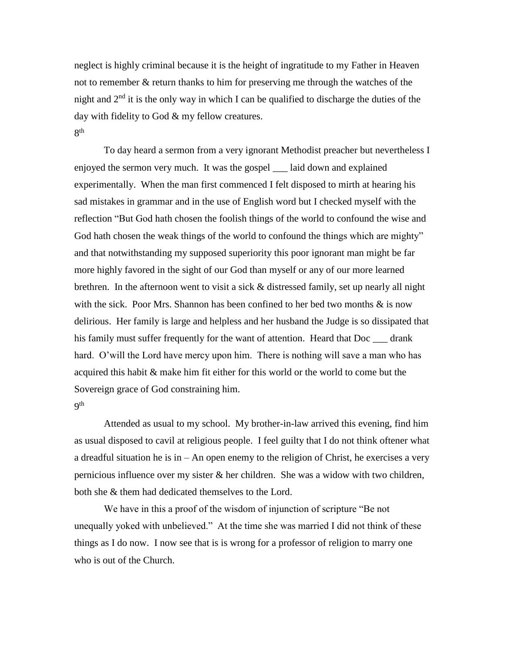neglect is highly criminal because it is the height of ingratitude to my Father in Heaven not to remember & return thanks to him for preserving me through the watches of the night and  $2<sup>nd</sup>$  it is the only way in which I can be qualified to discharge the duties of the day with fidelity to God & my fellow creatures.

8 th

To day heard a sermon from a very ignorant Methodist preacher but nevertheless I enjoyed the sermon very much. It was the gospel \_\_\_ laid down and explained experimentally. When the man first commenced I felt disposed to mirth at hearing his sad mistakes in grammar and in the use of English word but I checked myself with the reflection "But God hath chosen the foolish things of the world to confound the wise and God hath chosen the weak things of the world to confound the things which are mighty" and that notwithstanding my supposed superiority this poor ignorant man might be far more highly favored in the sight of our God than myself or any of our more learned brethren. In the afternoon went to visit a sick  $\&$  distressed family, set up nearly all night with the sick. Poor Mrs. Shannon has been confined to her bed two months  $\&$  is now delirious. Her family is large and helpless and her husband the Judge is so dissipated that his family must suffer frequently for the want of attention. Heard that Doc  $\_\_\_$  drank hard. O'will the Lord have mercy upon him. There is nothing will save a man who has acquired this habit & make him fit either for this world or the world to come but the Sovereign grace of God constraining him. 9 th

Attended as usual to my school. My brother-in-law arrived this evening, find him as usual disposed to cavil at religious people. I feel guilty that I do not think oftener what a dreadful situation he is in – An open enemy to the religion of Christ, he exercises a very pernicious influence over my sister  $\&$  her children. She was a widow with two children, both she & them had dedicated themselves to the Lord.

We have in this a proof of the wisdom of injunction of scripture "Be not unequally yoked with unbelieved." At the time she was married I did not think of these things as I do now. I now see that is is wrong for a professor of religion to marry one who is out of the Church.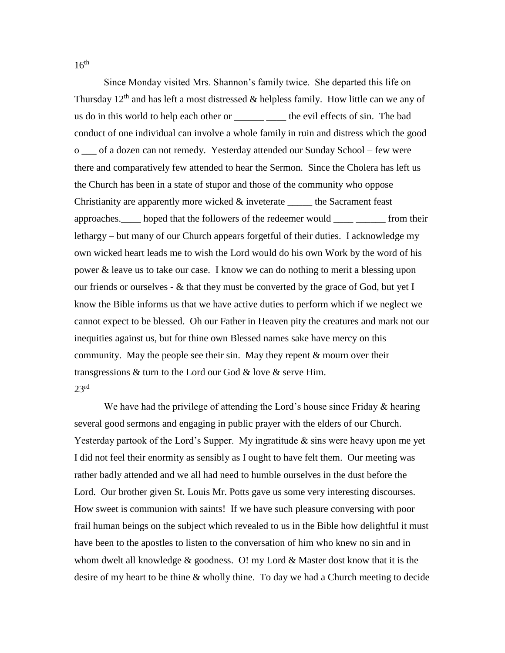Since Monday visited Mrs. Shannon's family twice. She departed this life on Thursday  $12<sup>th</sup>$  and has left a most distressed & helpless family. How little can we any of us do in this world to help each other or \_\_\_\_\_\_ \_\_\_\_ the evil effects of sin. The bad conduct of one individual can involve a whole family in ruin and distress which the good o \_\_\_ of a dozen can not remedy. Yesterday attended our Sunday School – few were there and comparatively few attended to hear the Sermon. Since the Cholera has left us the Church has been in a state of stupor and those of the community who oppose Christianity are apparently more wicked & inveterate \_\_\_\_\_ the Sacrament feast approaches.\_\_\_\_ hoped that the followers of the redeemer would \_\_\_\_ \_\_\_\_\_\_ from their lethargy – but many of our Church appears forgetful of their duties. I acknowledge my own wicked heart leads me to wish the Lord would do his own Work by the word of his power & leave us to take our case. I know we can do nothing to merit a blessing upon our friends or ourselves - & that they must be converted by the grace of God, but yet I know the Bible informs us that we have active duties to perform which if we neglect we cannot expect to be blessed. Oh our Father in Heaven pity the creatures and mark not our inequities against us, but for thine own Blessed names sake have mercy on this community. May the people see their sin. May they repent  $&$  mourn over their transgressions & turn to the Lord our God & love & serve Him.  $23<sup>rd</sup>$ 

We have had the privilege of attending the Lord's house since Friday & hearing several good sermons and engaging in public prayer with the elders of our Church. Yesterday partook of the Lord's Supper. My ingratitude & sins were heavy upon me yet I did not feel their enormity as sensibly as I ought to have felt them. Our meeting was rather badly attended and we all had need to humble ourselves in the dust before the Lord. Our brother given St. Louis Mr. Potts gave us some very interesting discourses. How sweet is communion with saints! If we have such pleasure conversing with poor frail human beings on the subject which revealed to us in the Bible how delightful it must have been to the apostles to listen to the conversation of him who knew no sin and in whom dwelt all knowledge & goodness. O! my Lord & Master dost know that it is the desire of my heart to be thine & wholly thine. To day we had a Church meeting to decide

 $16<sup>th</sup>$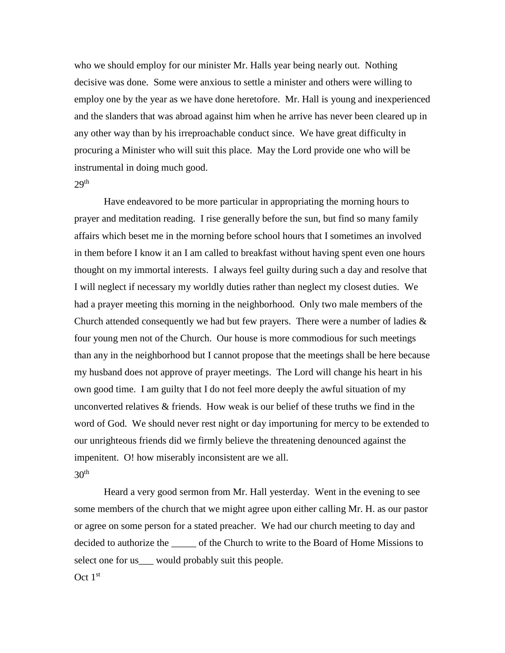who we should employ for our minister Mr. Halls year being nearly out. Nothing decisive was done. Some were anxious to settle a minister and others were willing to employ one by the year as we have done heretofore. Mr. Hall is young and inexperienced and the slanders that was abroad against him when he arrive has never been cleared up in any other way than by his irreproachable conduct since. We have great difficulty in procuring a Minister who will suit this place. May the Lord provide one who will be instrumental in doing much good.

#### $29<sup>th</sup>$

Have endeavored to be more particular in appropriating the morning hours to prayer and meditation reading. I rise generally before the sun, but find so many family affairs which beset me in the morning before school hours that I sometimes an involved in them before I know it an I am called to breakfast without having spent even one hours thought on my immortal interests. I always feel guilty during such a day and resolve that I will neglect if necessary my worldly duties rather than neglect my closest duties. We had a prayer meeting this morning in the neighborhood. Only two male members of the Church attended consequently we had but few prayers. There were a number of ladies & four young men not of the Church. Our house is more commodious for such meetings than any in the neighborhood but I cannot propose that the meetings shall be here because my husband does not approve of prayer meetings. The Lord will change his heart in his own good time. I am guilty that I do not feel more deeply the awful situation of my unconverted relatives  $\&$  friends. How weak is our belief of these truths we find in the word of God. We should never rest night or day importuning for mercy to be extended to our unrighteous friends did we firmly believe the threatening denounced against the impenitent. O! how miserably inconsistent are we all.  $30<sup>th</sup>$ 

Heard a very good sermon from Mr. Hall yesterday. Went in the evening to see some members of the church that we might agree upon either calling Mr. H. as our pastor or agree on some person for a stated preacher. We had our church meeting to day and decided to authorize the same of the Church to write to the Board of Home Missions to select one for us\_\_\_ would probably suit this people.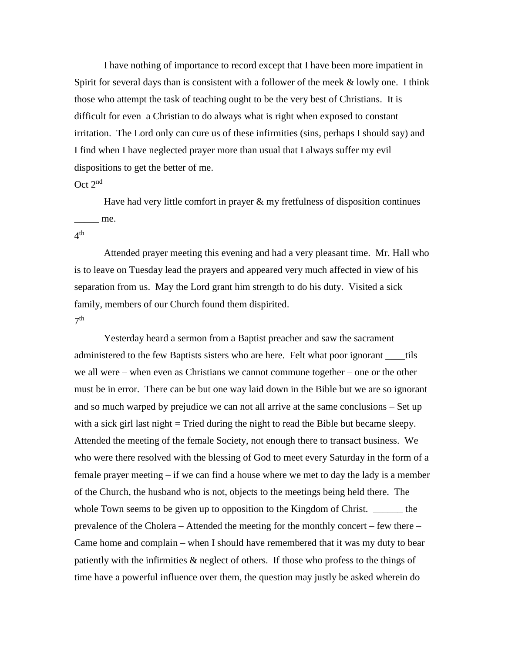I have nothing of importance to record except that I have been more impatient in Spirit for several days than is consistent with a follower of the meek & lowly one. I think those who attempt the task of teaching ought to be the very best of Christians. It is difficult for even a Christian to do always what is right when exposed to constant irritation. The Lord only can cure us of these infirmities (sins, perhaps I should say) and I find when I have neglected prayer more than usual that I always suffer my evil dispositions to get the better of me.

## Oct 2<sup>nd</sup>

Have had very little comfort in prayer & my fretfulness of disposition continues \_\_\_\_\_ me.

# $4<sup>th</sup>$

Attended prayer meeting this evening and had a very pleasant time. Mr. Hall who is to leave on Tuesday lead the prayers and appeared very much affected in view of his separation from us. May the Lord grant him strength to do his duty. Visited a sick family, members of our Church found them dispirited.

# $7<sup>th</sup>$

Yesterday heard a sermon from a Baptist preacher and saw the sacrament administered to the few Baptists sisters who are here. Felt what poor ignorant \_\_\_\_tils we all were – when even as Christians we cannot commune together – one or the other must be in error. There can be but one way laid down in the Bible but we are so ignorant and so much warped by prejudice we can not all arrive at the same conclusions – Set up with a sick girl last night = Tried during the night to read the Bible but became sleepy. Attended the meeting of the female Society, not enough there to transact business. We who were there resolved with the blessing of God to meet every Saturday in the form of a female prayer meeting – if we can find a house where we met to day the lady is a member of the Church, the husband who is not, objects to the meetings being held there. The whole Town seems to be given up to opposition to the Kingdom of Christ. \_\_\_\_\_\_\_ the prevalence of the Cholera – Attended the meeting for the monthly concert – few there – Came home and complain – when I should have remembered that it was my duty to bear patiently with the infirmities & neglect of others. If those who profess to the things of time have a powerful influence over them, the question may justly be asked wherein do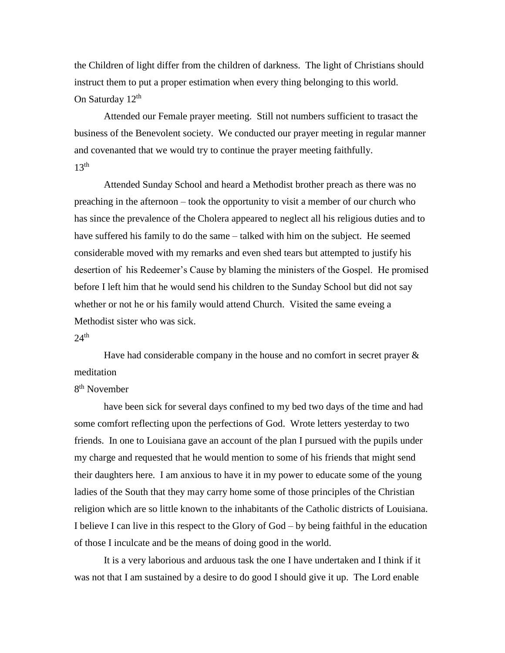the Children of light differ from the children of darkness. The light of Christians should instruct them to put a proper estimation when every thing belonging to this world. On Saturday  $12<sup>th</sup>$ 

Attended our Female prayer meeting. Still not numbers sufficient to trasact the business of the Benevolent society. We conducted our prayer meeting in regular manner and covenanted that we would try to continue the prayer meeting faithfully.  $13<sup>th</sup>$ 

Attended Sunday School and heard a Methodist brother preach as there was no preaching in the afternoon – took the opportunity to visit a member of our church who has since the prevalence of the Cholera appeared to neglect all his religious duties and to have suffered his family to do the same – talked with him on the subject. He seemed considerable moved with my remarks and even shed tears but attempted to justify his desertion of his Redeemer's Cause by blaming the ministers of the Gospel. He promised before I left him that he would send his children to the Sunday School but did not say whether or not he or his family would attend Church. Visited the same eveing a Methodist sister who was sick.

#### $24<sup>th</sup>$

Have had considerable company in the house and no comfort in secret prayer  $\&$ meditation

# 8<sup>th</sup> November

have been sick for several days confined to my bed two days of the time and had some comfort reflecting upon the perfections of God. Wrote letters yesterday to two friends. In one to Louisiana gave an account of the plan I pursued with the pupils under my charge and requested that he would mention to some of his friends that might send their daughters here. I am anxious to have it in my power to educate some of the young ladies of the South that they may carry home some of those principles of the Christian religion which are so little known to the inhabitants of the Catholic districts of Louisiana. I believe I can live in this respect to the Glory of God – by being faithful in the education of those I inculcate and be the means of doing good in the world.

It is a very laborious and arduous task the one I have undertaken and I think if it was not that I am sustained by a desire to do good I should give it up. The Lord enable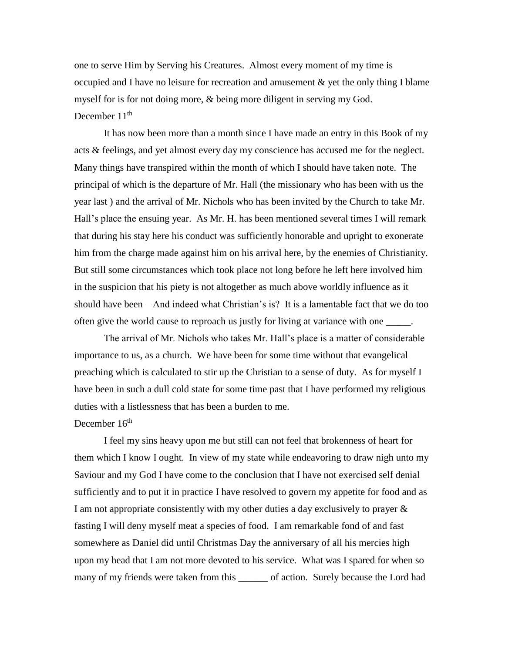one to serve Him by Serving his Creatures. Almost every moment of my time is occupied and I have no leisure for recreation and amusement & yet the only thing I blame myself for is for not doing more, & being more diligent in serving my God. December 11<sup>th</sup>

It has now been more than a month since I have made an entry in this Book of my acts & feelings, and yet almost every day my conscience has accused me for the neglect. Many things have transpired within the month of which I should have taken note. The principal of which is the departure of Mr. Hall (the missionary who has been with us the year last ) and the arrival of Mr. Nichols who has been invited by the Church to take Mr. Hall's place the ensuing year. As Mr. H. has been mentioned several times I will remark that during his stay here his conduct was sufficiently honorable and upright to exonerate him from the charge made against him on his arrival here, by the enemies of Christianity. But still some circumstances which took place not long before he left here involved him in the suspicion that his piety is not altogether as much above worldly influence as it should have been – And indeed what Christian's is? It is a lamentable fact that we do too often give the world cause to reproach us justly for living at variance with one \_\_\_\_\_.

The arrival of Mr. Nichols who takes Mr. Hall's place is a matter of considerable importance to us, as a church. We have been for some time without that evangelical preaching which is calculated to stir up the Christian to a sense of duty. As for myself I have been in such a dull cold state for some time past that I have performed my religious duties with a listlessness that has been a burden to me.

#### December 16<sup>th</sup>

I feel my sins heavy upon me but still can not feel that brokenness of heart for them which I know I ought. In view of my state while endeavoring to draw nigh unto my Saviour and my God I have come to the conclusion that I have not exercised self denial sufficiently and to put it in practice I have resolved to govern my appetite for food and as I am not appropriate consistently with my other duties a day exclusively to prayer & fasting I will deny myself meat a species of food. I am remarkable fond of and fast somewhere as Daniel did until Christmas Day the anniversary of all his mercies high upon my head that I am not more devoted to his service. What was I spared for when so many of my friends were taken from this \_\_\_\_\_\_\_ of action. Surely because the Lord had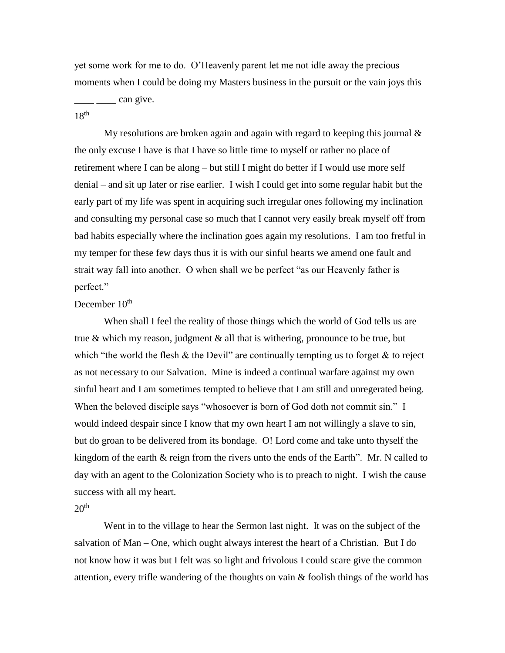yet some work for me to do. O'Heavenly parent let me not idle away the precious moments when I could be doing my Masters business in the pursuit or the vain joys this

can give.

# $18<sup>th</sup>$

My resolutions are broken again and again with regard to keeping this journal  $\&$ the only excuse I have is that I have so little time to myself or rather no place of retirement where I can be along – but still I might do better if I would use more self denial – and sit up later or rise earlier. I wish I could get into some regular habit but the early part of my life was spent in acquiring such irregular ones following my inclination and consulting my personal case so much that I cannot very easily break myself off from bad habits especially where the inclination goes again my resolutions. I am too fretful in my temper for these few days thus it is with our sinful hearts we amend one fault and strait way fall into another. O when shall we be perfect "as our Heavenly father is perfect."

# December  $10^{th}$

When shall I feel the reality of those things which the world of God tells us are true & which my reason, judgment & all that is withering, pronounce to be true, but which "the world the flesh  $\&$  the Devil" are continually tempting us to forget  $\&$  to reject as not necessary to our Salvation. Mine is indeed a continual warfare against my own sinful heart and I am sometimes tempted to believe that I am still and unregerated being. When the beloved disciple says "whosoever is born of God doth not commit sin." I would indeed despair since I know that my own heart I am not willingly a slave to sin, but do groan to be delivered from its bondage. O! Lord come and take unto thyself the kingdom of the earth & reign from the rivers unto the ends of the Earth". Mr. N called to day with an agent to the Colonization Society who is to preach to night. I wish the cause success with all my heart.

### $20<sup>th</sup>$

Went in to the village to hear the Sermon last night. It was on the subject of the salvation of Man – One, which ought always interest the heart of a Christian. But I do not know how it was but I felt was so light and frivolous I could scare give the common attention, every trifle wandering of the thoughts on vain  $\&$  foolish things of the world has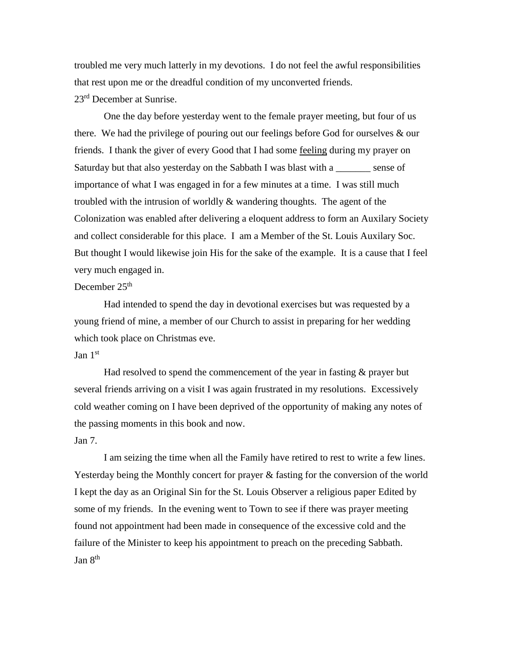troubled me very much latterly in my devotions. I do not feel the awful responsibilities that rest upon me or the dreadful condition of my unconverted friends.

23<sup>rd</sup> December at Sunrise.

One the day before yesterday went to the female prayer meeting, but four of us there. We had the privilege of pouring out our feelings before God for ourselves & our friends. I thank the giver of every Good that I had some feeling during my prayer on Saturday but that also yesterday on the Sabbath I was blast with a \_\_\_\_\_\_\_ sense of importance of what I was engaged in for a few minutes at a time. I was still much troubled with the intrusion of worldly & wandering thoughts. The agent of the Colonization was enabled after delivering a eloquent address to form an Auxilary Society and collect considerable for this place. I am a Member of the St. Louis Auxilary Soc. But thought I would likewise join His for the sake of the example. It is a cause that I feel very much engaged in.

# December 25<sup>th</sup>

Had intended to spend the day in devotional exercises but was requested by a young friend of mine, a member of our Church to assist in preparing for her wedding which took place on Christmas eve.

### Jan  $1<sup>st</sup>$

Had resolved to spend the commencement of the year in fasting  $\&$  prayer but several friends arriving on a visit I was again frustrated in my resolutions. Excessively cold weather coming on I have been deprived of the opportunity of making any notes of the passing moments in this book and now.

# Jan 7.

I am seizing the time when all the Family have retired to rest to write a few lines. Yesterday being the Monthly concert for prayer & fasting for the conversion of the world I kept the day as an Original Sin for the St. Louis Observer a religious paper Edited by some of my friends. In the evening went to Town to see if there was prayer meeting found not appointment had been made in consequence of the excessive cold and the failure of the Minister to keep his appointment to preach on the preceding Sabbath. Jan 8<sup>th</sup>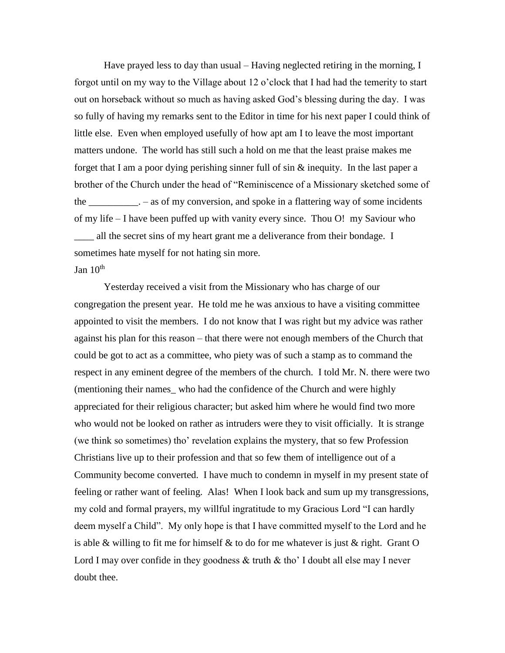Have prayed less to day than usual – Having neglected retiring in the morning, I forgot until on my way to the Village about 12 o'clock that I had had the temerity to start out on horseback without so much as having asked God's blessing during the day. I was so fully of having my remarks sent to the Editor in time for his next paper I could think of little else. Even when employed usefully of how apt am I to leave the most important matters undone. The world has still such a hold on me that the least praise makes me forget that I am a poor dying perishing sinner full of sin & inequity. In the last paper a brother of the Church under the head of "Reminiscence of a Missionary sketched some of the \_\_\_\_\_\_\_\_\_\_. – as of my conversion, and spoke in a flattering way of some incidents of my life – I have been puffed up with vanity every since. Thou O! my Saviour who all the secret sins of my heart grant me a deliverance from their bondage. I sometimes hate myself for not hating sin more. Jan  $10<sup>th</sup>$ 

Yesterday received a visit from the Missionary who has charge of our congregation the present year. He told me he was anxious to have a visiting committee appointed to visit the members. I do not know that I was right but my advice was rather against his plan for this reason – that there were not enough members of the Church that could be got to act as a committee, who piety was of such a stamp as to command the respect in any eminent degree of the members of the church. I told Mr. N. there were two (mentioning their names\_ who had the confidence of the Church and were highly appreciated for their religious character; but asked him where he would find two more who would not be looked on rather as intruders were they to visit officially. It is strange (we think so sometimes) tho' revelation explains the mystery, that so few Profession Christians live up to their profession and that so few them of intelligence out of a Community become converted. I have much to condemn in myself in my present state of feeling or rather want of feeling. Alas! When I look back and sum up my transgressions, my cold and formal prayers, my willful ingratitude to my Gracious Lord "I can hardly deem myself a Child". My only hope is that I have committed myself to the Lord and he is able  $\&$  willing to fit me for himself  $\&$  to do for me whatever is just  $\&$  right. Grant O Lord I may over confide in they goodness  $&$  truth  $&$  tho' I doubt all else may I never doubt thee.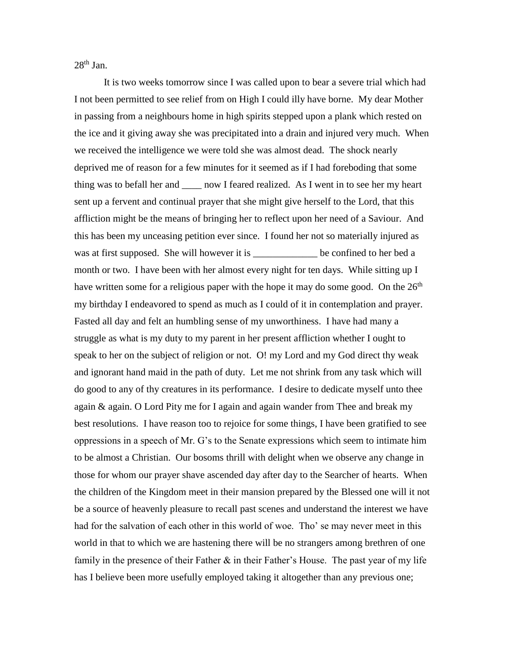$28<sup>th</sup>$  Jan.

It is two weeks tomorrow since I was called upon to bear a severe trial which had I not been permitted to see relief from on High I could illy have borne. My dear Mother in passing from a neighbours home in high spirits stepped upon a plank which rested on the ice and it giving away she was precipitated into a drain and injured very much. When we received the intelligence we were told she was almost dead. The shock nearly deprived me of reason for a few minutes for it seemed as if I had foreboding that some thing was to befall her and \_\_\_\_ now I feared realized. As I went in to see her my heart sent up a fervent and continual prayer that she might give herself to the Lord, that this affliction might be the means of bringing her to reflect upon her need of a Saviour. And this has been my unceasing petition ever since. I found her not so materially injured as was at first supposed. She will however it is \_\_\_\_\_\_\_\_\_\_\_\_\_\_\_ be confined to her bed a month or two. I have been with her almost every night for ten days. While sitting up I have written some for a religious paper with the hope it may do some good. On the  $26<sup>th</sup>$ my birthday I endeavored to spend as much as I could of it in contemplation and prayer. Fasted all day and felt an humbling sense of my unworthiness. I have had many a struggle as what is my duty to my parent in her present affliction whether I ought to speak to her on the subject of religion or not. O! my Lord and my God direct thy weak and ignorant hand maid in the path of duty. Let me not shrink from any task which will do good to any of thy creatures in its performance. I desire to dedicate myself unto thee again & again. O Lord Pity me for I again and again wander from Thee and break my best resolutions. I have reason too to rejoice for some things, I have been gratified to see oppressions in a speech of Mr. G's to the Senate expressions which seem to intimate him to be almost a Christian. Our bosoms thrill with delight when we observe any change in those for whom our prayer shave ascended day after day to the Searcher of hearts. When the children of the Kingdom meet in their mansion prepared by the Blessed one will it not be a source of heavenly pleasure to recall past scenes and understand the interest we have had for the salvation of each other in this world of woe. Tho' se may never meet in this world in that to which we are hastening there will be no strangers among brethren of one family in the presence of their Father & in their Father's House. The past year of my life has I believe been more usefully employed taking it altogether than any previous one;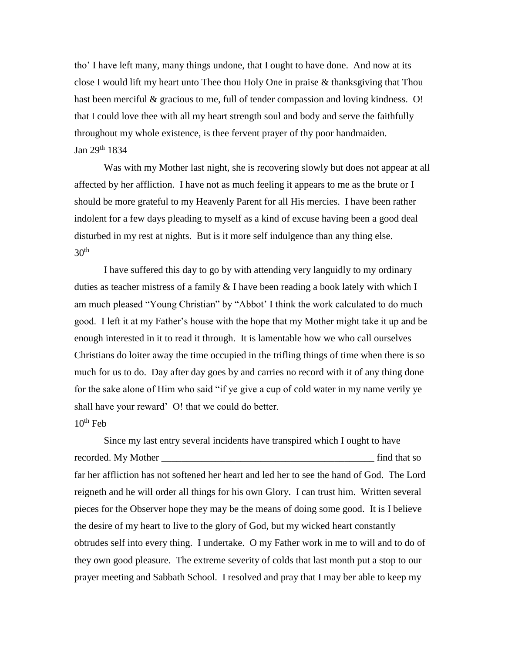tho' I have left many, many things undone, that I ought to have done. And now at its close I would lift my heart unto Thee thou Holy One in praise & thanksgiving that Thou hast been merciful & gracious to me, full of tender compassion and loving kindness. O! that I could love thee with all my heart strength soul and body and serve the faithfully throughout my whole existence, is thee fervent prayer of thy poor handmaiden. Jan 29<sup>th</sup> 1834

Was with my Mother last night, she is recovering slowly but does not appear at all affected by her affliction. I have not as much feeling it appears to me as the brute or I should be more grateful to my Heavenly Parent for all His mercies. I have been rather indolent for a few days pleading to myself as a kind of excuse having been a good deal disturbed in my rest at nights. But is it more self indulgence than any thing else.  $30<sup>th</sup>$ 

I have suffered this day to go by with attending very languidly to my ordinary duties as teacher mistress of a family  $&$  I have been reading a book lately with which I am much pleased "Young Christian" by "Abbot' I think the work calculated to do much good. I left it at my Father's house with the hope that my Mother might take it up and be enough interested in it to read it through. It is lamentable how we who call ourselves Christians do loiter away the time occupied in the trifling things of time when there is so much for us to do. Day after day goes by and carries no record with it of any thing done for the sake alone of Him who said "if ye give a cup of cold water in my name verily ye shall have your reward' O! that we could do better.

 $10^{\text{th}}$  Feb

Since my last entry several incidents have transpired which I ought to have recorded. My Mother \_\_\_\_\_\_\_\_\_\_\_\_\_\_\_\_\_\_\_\_\_\_\_\_\_\_\_\_\_\_\_\_\_\_\_\_\_\_\_\_\_\_\_ find that so far her affliction has not softened her heart and led her to see the hand of God. The Lord reigneth and he will order all things for his own Glory. I can trust him. Written several pieces for the Observer hope they may be the means of doing some good. It is I believe the desire of my heart to live to the glory of God, but my wicked heart constantly obtrudes self into every thing. I undertake. O my Father work in me to will and to do of they own good pleasure. The extreme severity of colds that last month put a stop to our prayer meeting and Sabbath School. I resolved and pray that I may ber able to keep my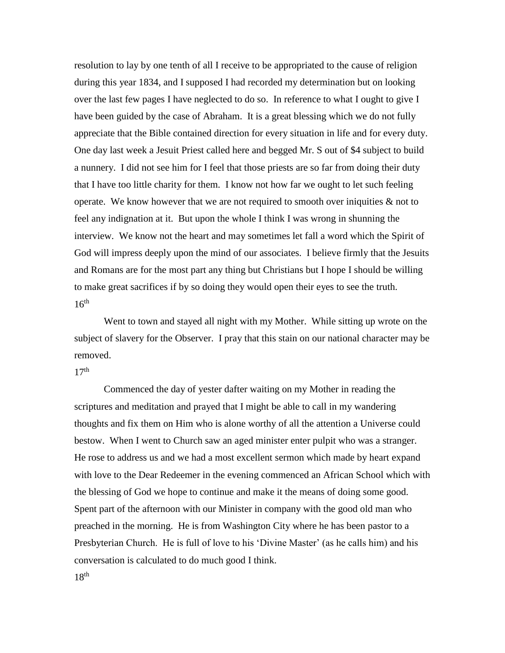resolution to lay by one tenth of all I receive to be appropriated to the cause of religion during this year 1834, and I supposed I had recorded my determination but on looking over the last few pages I have neglected to do so. In reference to what I ought to give I have been guided by the case of Abraham. It is a great blessing which we do not fully appreciate that the Bible contained direction for every situation in life and for every duty. One day last week a Jesuit Priest called here and begged Mr. S out of \$4 subject to build a nunnery. I did not see him for I feel that those priests are so far from doing their duty that I have too little charity for them. I know not how far we ought to let such feeling operate. We know however that we are not required to smooth over iniquities & not to feel any indignation at it. But upon the whole I think I was wrong in shunning the interview. We know not the heart and may sometimes let fall a word which the Spirit of God will impress deeply upon the mind of our associates. I believe firmly that the Jesuits and Romans are for the most part any thing but Christians but I hope I should be willing to make great sacrifices if by so doing they would open their eyes to see the truth.  $16<sup>th</sup>$ 

Went to town and stayed all night with my Mother. While sitting up wrote on the subject of slavery for the Observer. I pray that this stain on our national character may be removed.

#### $17<sup>th</sup>$

Commenced the day of yester dafter waiting on my Mother in reading the scriptures and meditation and prayed that I might be able to call in my wandering thoughts and fix them on Him who is alone worthy of all the attention a Universe could bestow. When I went to Church saw an aged minister enter pulpit who was a stranger. He rose to address us and we had a most excellent sermon which made by heart expand with love to the Dear Redeemer in the evening commenced an African School which with the blessing of God we hope to continue and make it the means of doing some good. Spent part of the afternoon with our Minister in company with the good old man who preached in the morning. He is from Washington City where he has been pastor to a Presbyterian Church. He is full of love to his 'Divine Master' (as he calls him) and his conversation is calculated to do much good I think.

 $18<sup>th</sup>$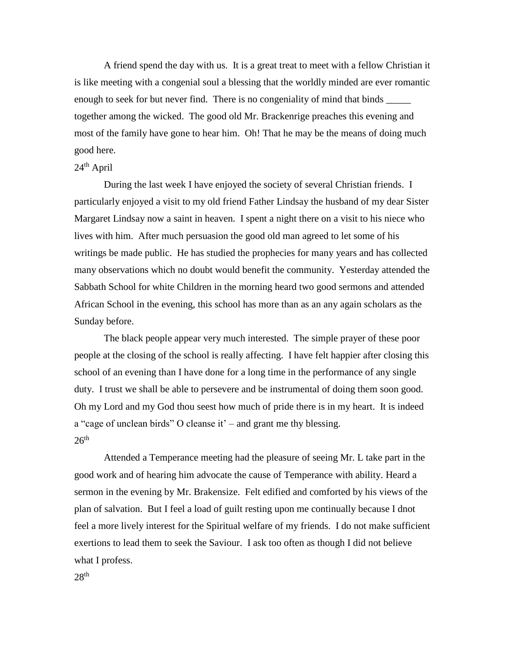A friend spend the day with us. It is a great treat to meet with a fellow Christian it is like meeting with a congenial soul a blessing that the worldly minded are ever romantic enough to seek for but never find. There is no congeniality of mind that binds  $\overline{\phantom{a}}$ together among the wicked. The good old Mr. Brackenrige preaches this evening and most of the family have gone to hear him. Oh! That he may be the means of doing much good here.

### $24<sup>th</sup>$  April

During the last week I have enjoyed the society of several Christian friends. I particularly enjoyed a visit to my old friend Father Lindsay the husband of my dear Sister Margaret Lindsay now a saint in heaven. I spent a night there on a visit to his niece who lives with him. After much persuasion the good old man agreed to let some of his writings be made public. He has studied the prophecies for many years and has collected many observations which no doubt would benefit the community. Yesterday attended the Sabbath School for white Children in the morning heard two good sermons and attended African School in the evening, this school has more than as an any again scholars as the Sunday before.

The black people appear very much interested. The simple prayer of these poor people at the closing of the school is really affecting. I have felt happier after closing this school of an evening than I have done for a long time in the performance of any single duty. I trust we shall be able to persevere and be instrumental of doing them soon good. Oh my Lord and my God thou seest how much of pride there is in my heart. It is indeed a "cage of unclean birds" O cleanse it' – and grant me thy blessing.  $26<sup>th</sup>$ 

Attended a Temperance meeting had the pleasure of seeing Mr. L take part in the good work and of hearing him advocate the cause of Temperance with ability. Heard a sermon in the evening by Mr. Brakensize. Felt edified and comforted by his views of the plan of salvation. But I feel a load of guilt resting upon me continually because I dnot feel a more lively interest for the Spiritual welfare of my friends. I do not make sufficient exertions to lead them to seek the Saviour. I ask too often as though I did not believe what I profess.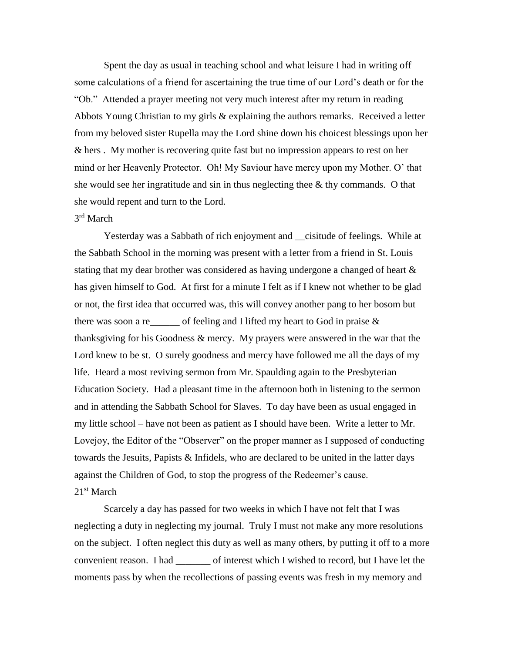Spent the day as usual in teaching school and what leisure I had in writing off some calculations of a friend for ascertaining the true time of our Lord's death or for the "Ob." Attended a prayer meeting not very much interest after my return in reading Abbots Young Christian to my girls & explaining the authors remarks. Received a letter from my beloved sister Rupella may the Lord shine down his choicest blessings upon her & hers . My mother is recovering quite fast but no impression appears to rest on her mind or her Heavenly Protector. Oh! My Saviour have mercy upon my Mother. O' that she would see her ingratitude and sin in thus neglecting thee  $\&$  thy commands. O that she would repent and turn to the Lord.

# 3<sup>rd</sup> March

Yesterday was a Sabbath of rich enjoyment and \_\_cisitude of feelings. While at the Sabbath School in the morning was present with a letter from a friend in St. Louis stating that my dear brother was considered as having undergone a changed of heart & has given himself to God. At first for a minute I felt as if I knew not whether to be glad or not, the first idea that occurred was, this will convey another pang to her bosom but there was soon a re\_\_\_\_\_\_ of feeling and I lifted my heart to God in praise & thanksgiving for his Goodness & mercy. My prayers were answered in the war that the Lord knew to be st. O surely goodness and mercy have followed me all the days of my life. Heard a most reviving sermon from Mr. Spaulding again to the Presbyterian Education Society. Had a pleasant time in the afternoon both in listening to the sermon and in attending the Sabbath School for Slaves. To day have been as usual engaged in my little school – have not been as patient as I should have been. Write a letter to Mr. Lovejoy, the Editor of the "Observer" on the proper manner as I supposed of conducting towards the Jesuits, Papists & Infidels, who are declared to be united in the latter days against the Children of God, to stop the progress of the Redeemer's cause. 21<sup>st</sup> March

Scarcely a day has passed for two weeks in which I have not felt that I was neglecting a duty in neglecting my journal. Truly I must not make any more resolutions on the subject. I often neglect this duty as well as many others, by putting it off to a more convenient reason. I had \_\_\_\_\_\_\_ of interest which I wished to record, but I have let the moments pass by when the recollections of passing events was fresh in my memory and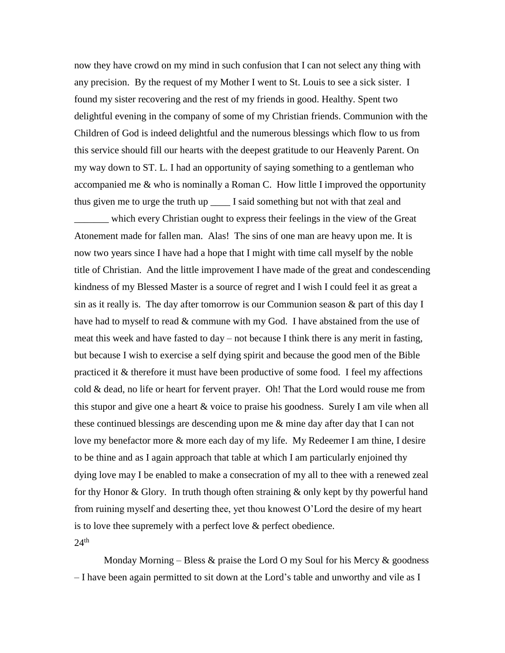now they have crowd on my mind in such confusion that I can not select any thing with any precision. By the request of my Mother I went to St. Louis to see a sick sister. I found my sister recovering and the rest of my friends in good. Healthy. Spent two delightful evening in the company of some of my Christian friends. Communion with the Children of God is indeed delightful and the numerous blessings which flow to us from this service should fill our hearts with the deepest gratitude to our Heavenly Parent. On my way down to ST. L. I had an opportunity of saying something to a gentleman who accompanied me & who is nominally a Roman C. How little I improved the opportunity thus given me to urge the truth up \_\_\_\_ I said something but not with that zeal and

\_\_\_\_\_\_\_ which every Christian ought to express their feelings in the view of the Great Atonement made for fallen man. Alas! The sins of one man are heavy upon me. It is now two years since I have had a hope that I might with time call myself by the noble title of Christian. And the little improvement I have made of the great and condescending kindness of my Blessed Master is a source of regret and I wish I could feel it as great a sin as it really is. The day after tomorrow is our Communion season  $\&$  part of this day I have had to myself to read & commune with my God. I have abstained from the use of meat this week and have fasted to day – not because I think there is any merit in fasting, but because I wish to exercise a self dying spirit and because the good men of the Bible practiced it & therefore it must have been productive of some food. I feel my affections cold & dead, no life or heart for fervent prayer. Oh! That the Lord would rouse me from this stupor and give one a heart & voice to praise his goodness. Surely I am vile when all these continued blessings are descending upon me & mine day after day that I can not love my benefactor more & more each day of my life. My Redeemer I am thine, I desire to be thine and as I again approach that table at which I am particularly enjoined thy dying love may I be enabled to make a consecration of my all to thee with a renewed zeal for thy Honor  $\&$  Glory. In truth though often straining  $\&$  only kept by thy powerful hand from ruining myself and deserting thee, yet thou knowest O'Lord the desire of my heart is to love thee supremely with a perfect love & perfect obedience.  $24<sup>th</sup>$ 

Monday Morning – Bless  $\&$  praise the Lord O my Soul for his Mercy  $\&$  goodness – I have been again permitted to sit down at the Lord's table and unworthy and vile as I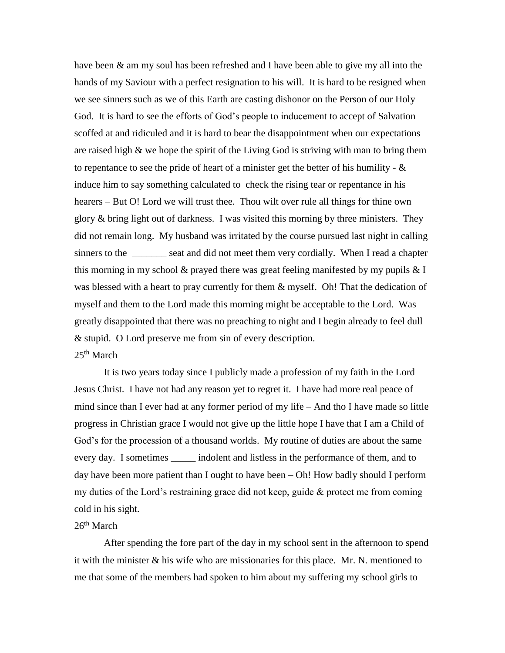have been & am my soul has been refreshed and I have been able to give my all into the hands of my Saviour with a perfect resignation to his will. It is hard to be resigned when we see sinners such as we of this Earth are casting dishonor on the Person of our Holy God. It is hard to see the efforts of God's people to inducement to accept of Salvation scoffed at and ridiculed and it is hard to bear the disappointment when our expectations are raised high  $\&$  we hope the spirit of the Living God is striving with man to bring them to repentance to see the pride of heart of a minister get the better of his humility -  $\&$ induce him to say something calculated to check the rising tear or repentance in his hearers – But O! Lord we will trust thee. Thou wilt over rule all things for thine own glory & bring light out of darkness. I was visited this morning by three ministers. They did not remain long. My husband was irritated by the course pursued last night in calling sinners to the \_\_\_\_\_\_\_ seat and did not meet them very cordially. When I read a chapter this morning in my school  $\&$  prayed there was great feeling manifested by my pupils  $\&$  I was blessed with a heart to pray currently for them  $\&$  myself. Oh! That the dedication of myself and them to the Lord made this morning might be acceptable to the Lord. Was greatly disappointed that there was no preaching to night and I begin already to feel dull & stupid. O Lord preserve me from sin of every description.

# $25<sup>th</sup> March$

It is two years today since I publicly made a profession of my faith in the Lord Jesus Christ. I have not had any reason yet to regret it. I have had more real peace of mind since than I ever had at any former period of my life – And tho I have made so little progress in Christian grace I would not give up the little hope I have that I am a Child of God's for the procession of a thousand worlds. My routine of duties are about the same every day. I sometimes \_\_\_\_\_ indolent and listless in the performance of them, and to day have been more patient than I ought to have been – Oh! How badly should I perform my duties of the Lord's restraining grace did not keep, guide  $\&$  protect me from coming cold in his sight.

#### $26<sup>th</sup> March$

After spending the fore part of the day in my school sent in the afternoon to spend it with the minister  $\&$  his wife who are missionaries for this place. Mr. N. mentioned to me that some of the members had spoken to him about my suffering my school girls to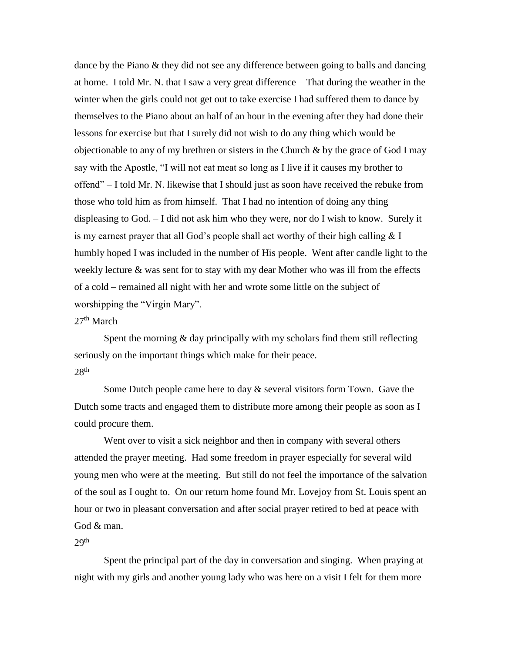dance by the Piano & they did not see any difference between going to balls and dancing at home. I told Mr. N. that I saw a very great difference – That during the weather in the winter when the girls could not get out to take exercise I had suffered them to dance by themselves to the Piano about an half of an hour in the evening after they had done their lessons for exercise but that I surely did not wish to do any thing which would be objectionable to any of my brethren or sisters in the Church  $\&$  by the grace of God I may say with the Apostle, "I will not eat meat so long as I live if it causes my brother to offend" – I told Mr. N. likewise that I should just as soon have received the rebuke from those who told him as from himself. That I had no intention of doing any thing displeasing to God. – I did not ask him who they were, nor do I wish to know. Surely it is my earnest prayer that all God's people shall act worthy of their high calling  $& 1$ humbly hoped I was included in the number of His people. Went after candle light to the weekly lecture & was sent for to stay with my dear Mother who was ill from the effects of a cold – remained all night with her and wrote some little on the subject of worshipping the "Virgin Mary".

# 27<sup>th</sup> March

Spent the morning & day principally with my scholars find them still reflecting seriously on the important things which make for their peace.  $28<sup>th</sup>$ 

Some Dutch people came here to day  $\&$  several visitors form Town. Gave the Dutch some tracts and engaged them to distribute more among their people as soon as I could procure them.

Went over to visit a sick neighbor and then in company with several others attended the prayer meeting. Had some freedom in prayer especially for several wild young men who were at the meeting. But still do not feel the importance of the salvation of the soul as I ought to. On our return home found Mr. Lovejoy from St. Louis spent an hour or two in pleasant conversation and after social prayer retired to bed at peace with God & man.

#### $29<sup>th</sup>$

Spent the principal part of the day in conversation and singing. When praying at night with my girls and another young lady who was here on a visit I felt for them more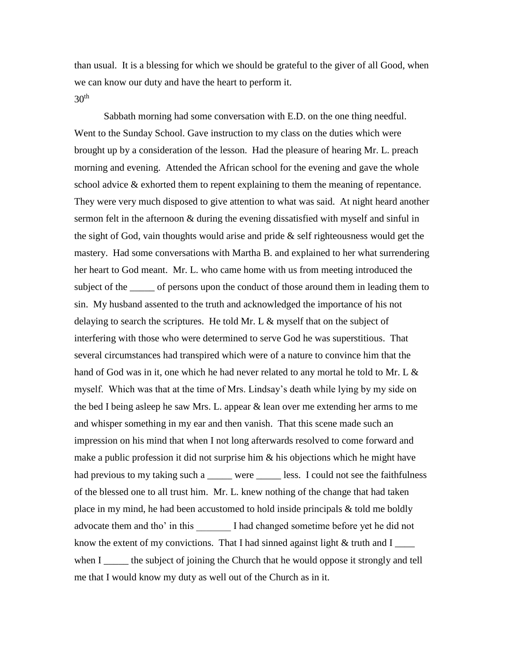than usual. It is a blessing for which we should be grateful to the giver of all Good, when we can know our duty and have the heart to perform it.  $30<sup>th</sup>$ 

Sabbath morning had some conversation with E.D. on the one thing needful. Went to the Sunday School. Gave instruction to my class on the duties which were brought up by a consideration of the lesson. Had the pleasure of hearing Mr. L. preach morning and evening. Attended the African school for the evening and gave the whole school advice & exhorted them to repent explaining to them the meaning of repentance. They were very much disposed to give attention to what was said. At night heard another sermon felt in the afternoon & during the evening dissatisfied with myself and sinful in the sight of God, vain thoughts would arise and pride & self righteousness would get the mastery. Had some conversations with Martha B. and explained to her what surrendering her heart to God meant. Mr. L. who came home with us from meeting introduced the subject of the same of persons upon the conduct of those around them in leading them to sin. My husband assented to the truth and acknowledged the importance of his not delaying to search the scriptures. He told Mr. L & myself that on the subject of interfering with those who were determined to serve God he was superstitious. That several circumstances had transpired which were of a nature to convince him that the hand of God was in it, one which he had never related to any mortal he told to Mr. L  $&$ myself. Which was that at the time of Mrs. Lindsay's death while lying by my side on the bed I being asleep he saw Mrs. L. appear & lean over me extending her arms to me and whisper something in my ear and then vanish. That this scene made such an impression on his mind that when I not long afterwards resolved to come forward and make a public profession it did not surprise him & his objections which he might have had previous to my taking such a \_\_\_\_\_ were \_\_\_\_\_ less. I could not see the faithfulness of the blessed one to all trust him. Mr. L. knew nothing of the change that had taken place in my mind, he had been accustomed to hold inside principals & told me boldly advocate them and tho' in this I had changed sometime before yet he did not know the extent of my convictions. That I had sinned against light  $&$  truth and I when I \_\_\_\_\_\_ the subject of joining the Church that he would oppose it strongly and tell me that I would know my duty as well out of the Church as in it.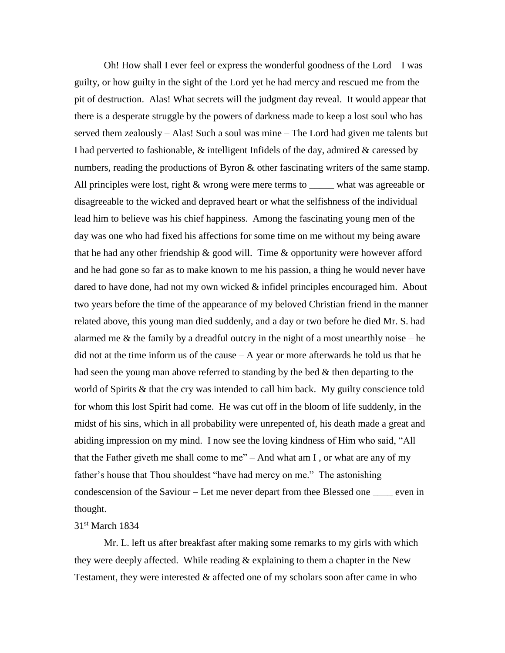Oh! How shall I ever feel or express the wonderful goodness of the  $Lord - I$  was guilty, or how guilty in the sight of the Lord yet he had mercy and rescued me from the pit of destruction. Alas! What secrets will the judgment day reveal. It would appear that there is a desperate struggle by the powers of darkness made to keep a lost soul who has served them zealously – Alas! Such a soul was mine – The Lord had given me talents but I had perverted to fashionable,  $\&$  intelligent Infidels of the day, admired  $\&$  caressed by numbers, reading the productions of Byron & other fascinating writers of the same stamp. All principles were lost, right & wrong were mere terms to \_\_\_\_\_\_ what was agreeable or disagreeable to the wicked and depraved heart or what the selfishness of the individual lead him to believe was his chief happiness. Among the fascinating young men of the day was one who had fixed his affections for some time on me without my being aware that he had any other friendship  $\&$  good will. Time  $\&$  opportunity were however afford and he had gone so far as to make known to me his passion, a thing he would never have dared to have done, had not my own wicked & infidel principles encouraged him. About two years before the time of the appearance of my beloved Christian friend in the manner related above, this young man died suddenly, and a day or two before he died Mr. S. had alarmed me  $\&$  the family by a dreadful outcry in the night of a most unearthly noise – he  $\text{did not at the time inform us of the cause} - A \text{ year or more afterwards he told us that he}$ had seen the young man above referred to standing by the bed & then departing to the world of Spirits & that the cry was intended to call him back. My guilty conscience told for whom this lost Spirit had come. He was cut off in the bloom of life suddenly, in the midst of his sins, which in all probability were unrepented of, his death made a great and abiding impression on my mind. I now see the loving kindness of Him who said, "All that the Father giveth me shall come to me" – And what am I , or what are any of my father's house that Thou shouldest "have had mercy on me." The astonishing condescension of the Saviour – Let me never depart from thee Blessed one \_\_\_\_ even in thought.

# 31<sup>st</sup> March 1834

Mr. L. left us after breakfast after making some remarks to my girls with which they were deeply affected. While reading & explaining to them a chapter in the New Testament, they were interested & affected one of my scholars soon after came in who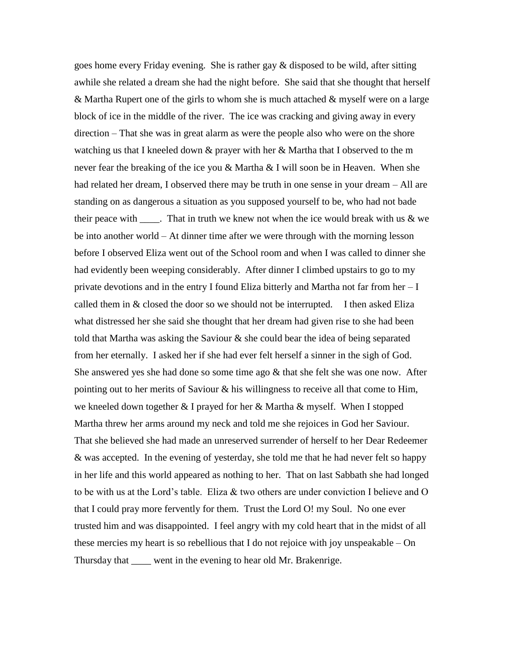goes home every Friday evening. She is rather gay & disposed to be wild, after sitting awhile she related a dream she had the night before. She said that she thought that herself & Martha Rupert one of the girls to whom she is much attached & myself were on a large block of ice in the middle of the river. The ice was cracking and giving away in every direction – That she was in great alarm as were the people also who were on the shore watching us that I kneeled down  $\&$  prayer with her  $\&$  Martha that I observed to the m never fear the breaking of the ice you & Martha & I will soon be in Heaven. When she had related her dream, I observed there may be truth in one sense in your dream – All are standing on as dangerous a situation as you supposed yourself to be, who had not bade their peace with  $\frac{1}{\sqrt{2}}$ . That in truth we knew not when the ice would break with us & we be into another world – At dinner time after we were through with the morning lesson before I observed Eliza went out of the School room and when I was called to dinner she had evidently been weeping considerably. After dinner I climbed upstairs to go to my private devotions and in the entry I found Eliza bitterly and Martha not far from her – I called them in  $& closed$  the door so we should not be interrupted. I then asked Eliza what distressed her she said she thought that her dream had given rise to she had been told that Martha was asking the Saviour & she could bear the idea of being separated from her eternally. I asked her if she had ever felt herself a sinner in the sigh of God. She answered yes she had done so some time ago  $&$  that she felt she was one now. After pointing out to her merits of Saviour & his willingness to receive all that come to Him, we kneeled down together  $&I$  prayed for her  $&$  Martha  $&$  myself. When I stopped Martha threw her arms around my neck and told me she rejoices in God her Saviour. That she believed she had made an unreserved surrender of herself to her Dear Redeemer & was accepted. In the evening of yesterday, she told me that he had never felt so happy in her life and this world appeared as nothing to her. That on last Sabbath she had longed to be with us at the Lord's table. Eliza & two others are under conviction I believe and O that I could pray more fervently for them. Trust the Lord O! my Soul. No one ever trusted him and was disappointed. I feel angry with my cold heart that in the midst of all these mercies my heart is so rebellious that I do not rejoice with joy unspeakable – On Thursday that \_\_\_\_ went in the evening to hear old Mr. Brakenrige.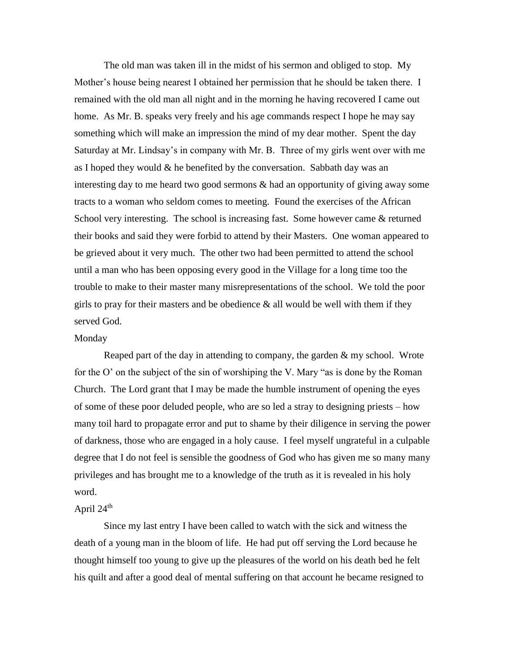The old man was taken ill in the midst of his sermon and obliged to stop. My Mother's house being nearest I obtained her permission that he should be taken there. I remained with the old man all night and in the morning he having recovered I came out home. As Mr. B. speaks very freely and his age commands respect I hope he may say something which will make an impression the mind of my dear mother. Spent the day Saturday at Mr. Lindsay's in company with Mr. B. Three of my girls went over with me as I hoped they would  $\&$  he benefited by the conversation. Sabbath day was an interesting day to me heard two good sermons & had an opportunity of giving away some tracts to a woman who seldom comes to meeting. Found the exercises of the African School very interesting. The school is increasing fast. Some however came & returned their books and said they were forbid to attend by their Masters. One woman appeared to be grieved about it very much. The other two had been permitted to attend the school until a man who has been opposing every good in the Village for a long time too the trouble to make to their master many misrepresentations of the school. We told the poor girls to pray for their masters and be obedience  $\&$  all would be well with them if they served God.

#### Monday

Reaped part of the day in attending to company, the garden & my school. Wrote for the O' on the subject of the sin of worshiping the V. Mary "as is done by the Roman Church. The Lord grant that I may be made the humble instrument of opening the eyes of some of these poor deluded people, who are so led a stray to designing priests – how many toil hard to propagate error and put to shame by their diligence in serving the power of darkness, those who are engaged in a holy cause. I feel myself ungrateful in a culpable degree that I do not feel is sensible the goodness of God who has given me so many many privileges and has brought me to a knowledge of the truth as it is revealed in his holy word.

#### April  $24<sup>th</sup>$

Since my last entry I have been called to watch with the sick and witness the death of a young man in the bloom of life. He had put off serving the Lord because he thought himself too young to give up the pleasures of the world on his death bed he felt his quilt and after a good deal of mental suffering on that account he became resigned to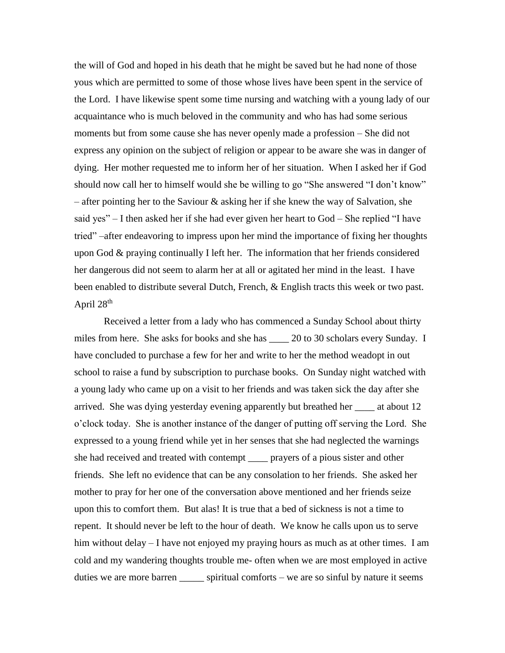the will of God and hoped in his death that he might be saved but he had none of those yous which are permitted to some of those whose lives have been spent in the service of the Lord. I have likewise spent some time nursing and watching with a young lady of our acquaintance who is much beloved in the community and who has had some serious moments but from some cause she has never openly made a profession – She did not express any opinion on the subject of religion or appear to be aware she was in danger of dying. Her mother requested me to inform her of her situation. When I asked her if God should now call her to himself would she be willing to go "She answered "I don't know" – after pointing her to the Saviour  $\&$  asking her if she knew the way of Salvation, she said yes" – I then asked her if she had ever given her heart to God – She replied "I have tried" –after endeavoring to impress upon her mind the importance of fixing her thoughts upon God & praying continually I left her. The information that her friends considered her dangerous did not seem to alarm her at all or agitated her mind in the least. I have been enabled to distribute several Dutch, French, & English tracts this week or two past. April 28<sup>th</sup>

Received a letter from a lady who has commenced a Sunday School about thirty miles from here. She asks for books and she has \_\_\_\_ 20 to 30 scholars every Sunday. I have concluded to purchase a few for her and write to her the method weadopt in out school to raise a fund by subscription to purchase books. On Sunday night watched with a young lady who came up on a visit to her friends and was taken sick the day after she arrived. She was dying yesterday evening apparently but breathed her \_\_\_\_ at about 12 o'clock today. She is another instance of the danger of putting off serving the Lord. She expressed to a young friend while yet in her senses that she had neglected the warnings she had received and treated with contempt \_\_\_\_ prayers of a pious sister and other friends. She left no evidence that can be any consolation to her friends. She asked her mother to pray for her one of the conversation above mentioned and her friends seize upon this to comfort them. But alas! It is true that a bed of sickness is not a time to repent. It should never be left to the hour of death. We know he calls upon us to serve him without delay – I have not enjoyed my praying hours as much as at other times. I am cold and my wandering thoughts trouble me- often when we are most employed in active duties we are more barren \_\_\_\_\_ spiritual comforts – we are so sinful by nature it seems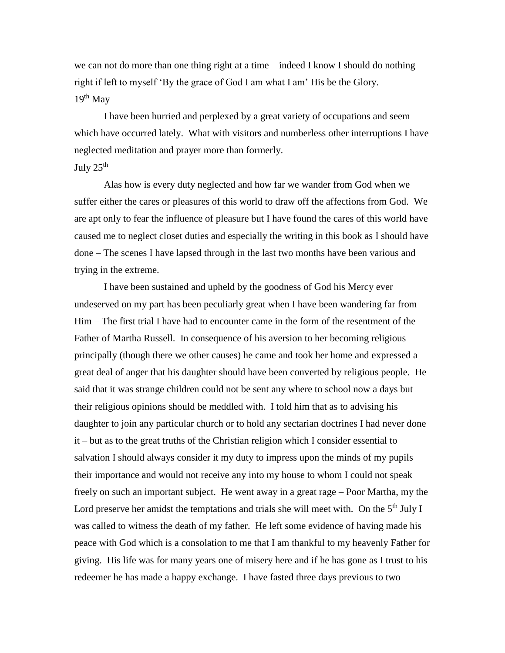we can not do more than one thing right at a time – indeed I know I should do nothing right if left to myself 'By the grace of God I am what I am' His be the Glory.  $19<sup>th</sup>$  May

I have been hurried and perplexed by a great variety of occupations and seem which have occurred lately. What with visitors and numberless other interruptions I have neglected meditation and prayer more than formerly.

# July  $25<sup>th</sup>$

Alas how is every duty neglected and how far we wander from God when we suffer either the cares or pleasures of this world to draw off the affections from God. We are apt only to fear the influence of pleasure but I have found the cares of this world have caused me to neglect closet duties and especially the writing in this book as I should have done – The scenes I have lapsed through in the last two months have been various and trying in the extreme.

I have been sustained and upheld by the goodness of God his Mercy ever undeserved on my part has been peculiarly great when I have been wandering far from Him – The first trial I have had to encounter came in the form of the resentment of the Father of Martha Russell. In consequence of his aversion to her becoming religious principally (though there we other causes) he came and took her home and expressed a great deal of anger that his daughter should have been converted by religious people. He said that it was strange children could not be sent any where to school now a days but their religious opinions should be meddled with. I told him that as to advising his daughter to join any particular church or to hold any sectarian doctrines I had never done it – but as to the great truths of the Christian religion which I consider essential to salvation I should always consider it my duty to impress upon the minds of my pupils their importance and would not receive any into my house to whom I could not speak freely on such an important subject. He went away in a great rage – Poor Martha, my the Lord preserve her amidst the temptations and trials she will meet with. On the  $5<sup>th</sup>$  July I was called to witness the death of my father. He left some evidence of having made his peace with God which is a consolation to me that I am thankful to my heavenly Father for giving. His life was for many years one of misery here and if he has gone as I trust to his redeemer he has made a happy exchange. I have fasted three days previous to two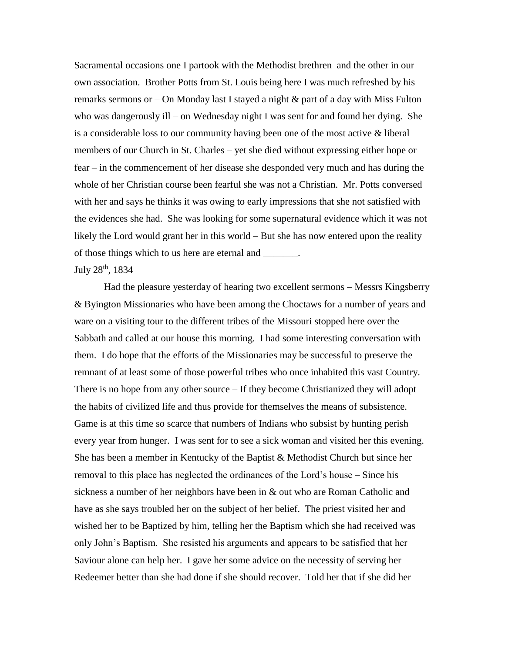Sacramental occasions one I partook with the Methodist brethren and the other in our own association. Brother Potts from St. Louis being here I was much refreshed by his remarks sermons or  $-$  On Monday last I stayed a night  $\&$  part of a day with Miss Fulton who was dangerously ill – on Wednesday night I was sent for and found her dying. She is a considerable loss to our community having been one of the most active & liberal members of our Church in St. Charles – yet she died without expressing either hope or fear – in the commencement of her disease she desponded very much and has during the whole of her Christian course been fearful she was not a Christian. Mr. Potts conversed with her and says he thinks it was owing to early impressions that she not satisfied with the evidences she had. She was looking for some supernatural evidence which it was not likely the Lord would grant her in this world – But she has now entered upon the reality of those things which to us here are eternal and \_\_\_\_\_\_\_.

# July 28th, 1834

Had the pleasure yesterday of hearing two excellent sermons – Messrs Kingsberry & Byington Missionaries who have been among the Choctaws for a number of years and ware on a visiting tour to the different tribes of the Missouri stopped here over the Sabbath and called at our house this morning. I had some interesting conversation with them. I do hope that the efforts of the Missionaries may be successful to preserve the remnant of at least some of those powerful tribes who once inhabited this vast Country. There is no hope from any other source – If they become Christianized they will adopt the habits of civilized life and thus provide for themselves the means of subsistence. Game is at this time so scarce that numbers of Indians who subsist by hunting perish every year from hunger. I was sent for to see a sick woman and visited her this evening. She has been a member in Kentucky of the Baptist & Methodist Church but since her removal to this place has neglected the ordinances of the Lord's house – Since his sickness a number of her neighbors have been in & out who are Roman Catholic and have as she says troubled her on the subject of her belief. The priest visited her and wished her to be Baptized by him, telling her the Baptism which she had received was only John's Baptism. She resisted his arguments and appears to be satisfied that her Saviour alone can help her. I gave her some advice on the necessity of serving her Redeemer better than she had done if she should recover. Told her that if she did her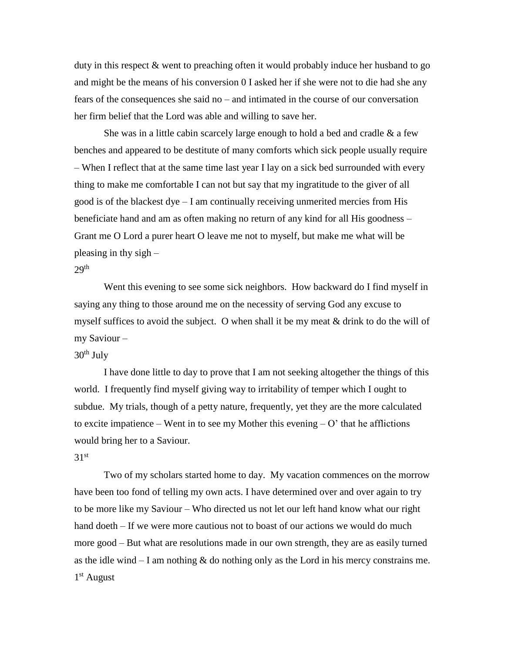duty in this respect & went to preaching often it would probably induce her husband to go and might be the means of his conversion 0 I asked her if she were not to die had she any fears of the consequences she said no – and intimated in the course of our conversation her firm belief that the Lord was able and willing to save her.

She was in a little cabin scarcely large enough to hold a bed and cradle  $\&$  a few benches and appeared to be destitute of many comforts which sick people usually require – When I reflect that at the same time last year I lay on a sick bed surrounded with every thing to make me comfortable I can not but say that my ingratitude to the giver of all good is of the blackest dye – I am continually receiving unmerited mercies from His beneficiate hand and am as often making no return of any kind for all His goodness – Grant me O Lord a purer heart O leave me not to myself, but make me what will be pleasing in thy sigh  $-$ 

## $29<sup>th</sup>$

Went this evening to see some sick neighbors. How backward do I find myself in saying any thing to those around me on the necessity of serving God any excuse to myself suffices to avoid the subject. O when shall it be my meat & drink to do the will of my Saviour –

# $30<sup>th</sup>$  July

I have done little to day to prove that I am not seeking altogether the things of this world. I frequently find myself giving way to irritability of temper which I ought to subdue. My trials, though of a petty nature, frequently, yet they are the more calculated to excite impatience – Went in to see my Mother this evening  $-$  O' that he afflictions would bring her to a Saviour.

#### 31st

Two of my scholars started home to day. My vacation commences on the morrow have been too fond of telling my own acts. I have determined over and over again to try to be more like my Saviour – Who directed us not let our left hand know what our right hand doeth – If we were more cautious not to boast of our actions we would do much more good – But what are resolutions made in our own strength, they are as easily turned as the idle wind  $-I$  am nothing  $\&$  do nothing only as the Lord in his mercy constrains me. 1 st August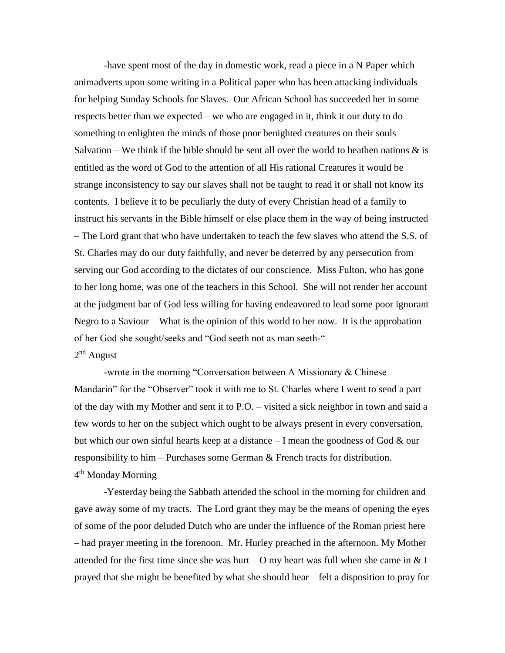-have spent most of the day in domestic work, read a piece in a N Paper which animadverts upon some writing in a Political paper who has been attacking individuals for helping Sunday Schools for Slaves. Our African School has succeeded her in some respects better than we expected – we who are engaged in it, think it our duty to do something to enlighten the minds of those poor benighted creatures on their souls Salvation – We think if the bible should be sent all over the world to heathen nations  $\&$  is entitled as the word of God to the attention of all His rational Creatures it would be strange inconsistency to say our slaves shall not be taught to read it or shall not know its contents. I believe it to be peculiarly the duty of every Christian head of a family to instruct his servants in the Bible himself or else place them in the way of being instructed – The Lord grant that who have undertaken to teach the few slaves who attend the S.S. of St. Charles may do our duty faithfully, and never be deterred by any persecution from serving our God according to the dictates of our conscience. Miss Fulton, who has gone to her long home, was one of the teachers in this School. She will not render her account at the judgment bar of God less willing for having endeavored to lead some poor ignorant Negro to a Saviour – What is the opinion of this world to her now. It is the approbation of her God she sought/seeks and "God seeth not as man seeth-" 2<sup>nd</sup> August

-wrote in the morning "Conversation between A Missionary & Chinese Mandarin" for the "Observer" took it with me to St. Charles where I went to send a part of the day with my Mother and sent it to P.O. – visited a sick neighbor in town and said a few words to her on the subject which ought to be always present in every conversation, but which our own sinful hearts keep at a distance  $-1$  mean the goodness of God  $\&$  our responsibility to him – Purchases some German & French tracts for distribution. 4<sup>th</sup> Monday Morning

-Yesterday being the Sabbath attended the school in the morning for children and gave away some of my tracts. The Lord grant they may be the means of opening the eyes of some of the poor deluded Dutch who are under the influence of the Roman priest here – had prayer meeting in the forenoon. Mr. Hurley preached in the afternoon. My Mother attended for the first time since she was hurt – O my heart was full when she came in  $&$  I prayed that she might be benefited by what she should hear – felt a disposition to pray for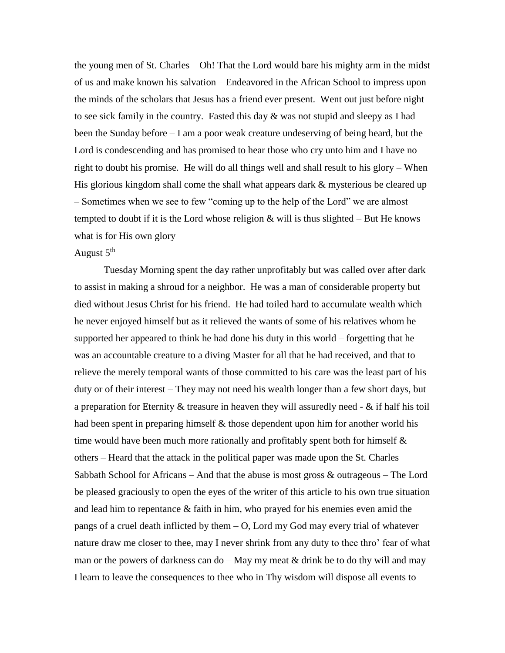the young men of St. Charles – Oh! That the Lord would bare his mighty arm in the midst of us and make known his salvation – Endeavored in the African School to impress upon the minds of the scholars that Jesus has a friend ever present. Went out just before night to see sick family in the country. Fasted this day  $\&$  was not stupid and sleepy as I had been the Sunday before – I am a poor weak creature undeserving of being heard, but the Lord is condescending and has promised to hear those who cry unto him and I have no right to doubt his promise. He will do all things well and shall result to his glory – When His glorious kingdom shall come the shall what appears dark  $\&$  mysterious be cleared up – Sometimes when we see to few "coming up to the help of the Lord" we are almost tempted to doubt if it is the Lord whose religion  $\&$  will is thus slighted – But He knows what is for His own glory

## August  $5<sup>th</sup>$

Tuesday Morning spent the day rather unprofitably but was called over after dark to assist in making a shroud for a neighbor. He was a man of considerable property but died without Jesus Christ for his friend. He had toiled hard to accumulate wealth which he never enjoyed himself but as it relieved the wants of some of his relatives whom he supported her appeared to think he had done his duty in this world – forgetting that he was an accountable creature to a diving Master for all that he had received, and that to relieve the merely temporal wants of those committed to his care was the least part of his duty or of their interest – They may not need his wealth longer than a few short days, but a preparation for Eternity  $\&$  treasure in heaven they will assuredly need -  $\&$  if half his toil had been spent in preparing himself & those dependent upon him for another world his time would have been much more rationally and profitably spent both for himself  $\&$ others – Heard that the attack in the political paper was made upon the St. Charles Sabbath School for Africans – And that the abuse is most gross  $\&$  outrageous – The Lord be pleased graciously to open the eyes of the writer of this article to his own true situation and lead him to repentance  $\&$  faith in him, who prayed for his enemies even amid the pangs of a cruel death inflicted by them  $-$  O, Lord my God may every trial of whatever nature draw me closer to thee, may I never shrink from any duty to thee thro' fear of what man or the powers of darkness can do  $-$  May my meat  $\&$  drink be to do thy will and may I learn to leave the consequences to thee who in Thy wisdom will dispose all events to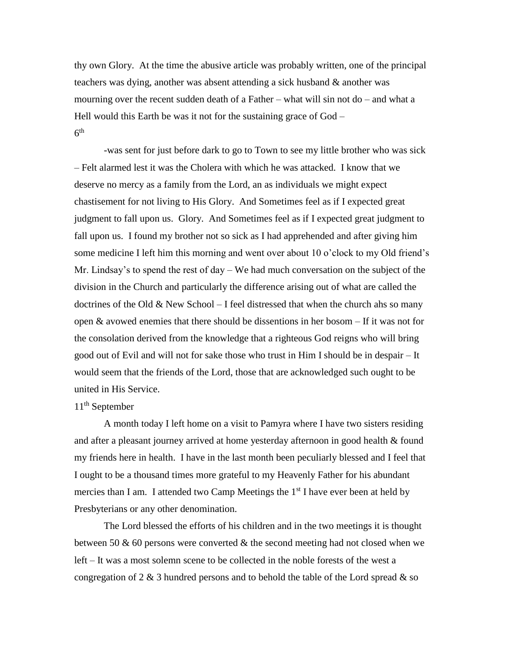thy own Glory. At the time the abusive article was probably written, one of the principal teachers was dying, another was absent attending a sick husband & another was mourning over the recent sudden death of a Father – what will sin not do – and what a Hell would this Earth be was it not for the sustaining grace of  $God 6<sup>th</sup>$ 

-was sent for just before dark to go to Town to see my little brother who was sick – Felt alarmed lest it was the Cholera with which he was attacked. I know that we deserve no mercy as a family from the Lord, an as individuals we might expect chastisement for not living to His Glory. And Sometimes feel as if I expected great judgment to fall upon us. Glory. And Sometimes feel as if I expected great judgment to fall upon us. I found my brother not so sick as I had apprehended and after giving him some medicine I left him this morning and went over about 10 o'clock to my Old friend's Mr. Lindsay's to spend the rest of day – We had much conversation on the subject of the division in the Church and particularly the difference arising out of what are called the doctrines of the Old  $\&$  New School – I feel distressed that when the church ahs so many open & avowed enemies that there should be dissentions in her bosom – If it was not for the consolation derived from the knowledge that a righteous God reigns who will bring good out of Evil and will not for sake those who trust in Him I should be in despair – It would seem that the friends of the Lord, those that are acknowledged such ought to be united in His Service.

## 11<sup>th</sup> September

A month today I left home on a visit to Pamyra where I have two sisters residing and after a pleasant journey arrived at home yesterday afternoon in good health & found my friends here in health. I have in the last month been peculiarly blessed and I feel that I ought to be a thousand times more grateful to my Heavenly Father for his abundant mercies than I am. I attended two Camp Meetings the  $1<sup>st</sup>$  I have ever been at held by Presbyterians or any other denomination.

The Lord blessed the efforts of his children and in the two meetings it is thought between 50  $\&$  60 persons were converted  $\&$  the second meeting had not closed when we left – It was a most solemn scene to be collected in the noble forests of the west a congregation of 2  $\&$  3 hundred persons and to behold the table of the Lord spread  $\&$  so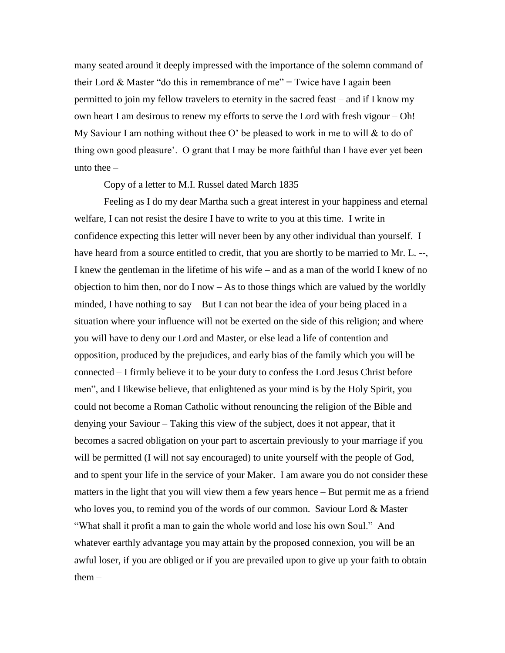many seated around it deeply impressed with the importance of the solemn command of their Lord & Master "do this in remembrance of me" = Twice have I again been permitted to join my fellow travelers to eternity in the sacred feast – and if I know my own heart I am desirous to renew my efforts to serve the Lord with fresh vigour – Oh! My Saviour I am nothing without thee O' be pleased to work in me to will  $\&$  to do of thing own good pleasure'. O grant that I may be more faithful than I have ever yet been unto thee  $-$ 

Copy of a letter to M.I. Russel dated March 1835

Feeling as I do my dear Martha such a great interest in your happiness and eternal welfare, I can not resist the desire I have to write to you at this time. I write in confidence expecting this letter will never been by any other individual than yourself. I have heard from a source entitled to credit, that you are shortly to be married to Mr. L. --, I knew the gentleman in the lifetime of his wife – and as a man of the world I knew of no objection to him then, nor do I now – As to those things which are valued by the worldly minded, I have nothing to say  $-$  But I can not bear the idea of your being placed in a situation where your influence will not be exerted on the side of this religion; and where you will have to deny our Lord and Master, or else lead a life of contention and opposition, produced by the prejudices, and early bias of the family which you will be connected – I firmly believe it to be your duty to confess the Lord Jesus Christ before men", and I likewise believe, that enlightened as your mind is by the Holy Spirit, you could not become a Roman Catholic without renouncing the religion of the Bible and denying your Saviour – Taking this view of the subject, does it not appear, that it becomes a sacred obligation on your part to ascertain previously to your marriage if you will be permitted (I will not say encouraged) to unite yourself with the people of God, and to spent your life in the service of your Maker. I am aware you do not consider these matters in the light that you will view them a few years hence – But permit me as a friend who loves you, to remind you of the words of our common. Saviour Lord & Master "What shall it profit a man to gain the whole world and lose his own Soul." And whatever earthly advantage you may attain by the proposed connexion, you will be an awful loser, if you are obliged or if you are prevailed upon to give up your faith to obtain them  $-$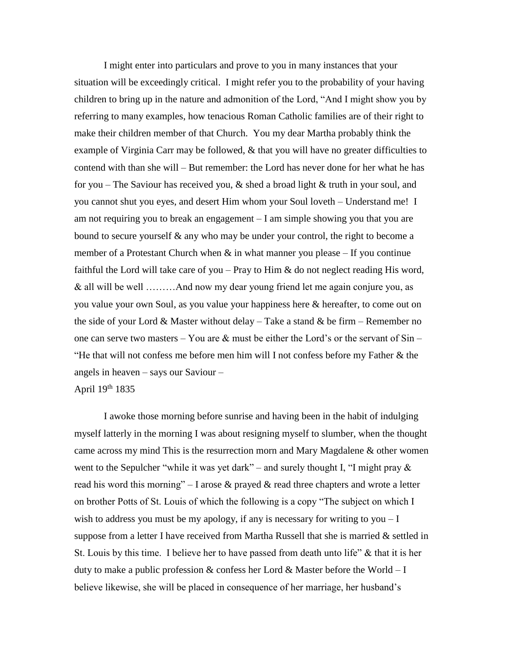I might enter into particulars and prove to you in many instances that your situation will be exceedingly critical. I might refer you to the probability of your having children to bring up in the nature and admonition of the Lord, "And I might show you by referring to many examples, how tenacious Roman Catholic families are of their right to make their children member of that Church. You my dear Martha probably think the example of Virginia Carr may be followed, & that you will have no greater difficulties to contend with than she will – But remember: the Lord has never done for her what he has for you – The Saviour has received you,  $\&$  shed a broad light  $\&$  truth in your soul, and you cannot shut you eyes, and desert Him whom your Soul loveth – Understand me! I am not requiring you to break an engagement – I am simple showing you that you are bound to secure yourself  $\&$  any who may be under your control, the right to become a member of a Protestant Church when  $\&$  in what manner you please – If you continue faithful the Lord will take care of you – Pray to Him  $\&$  do not neglect reading His word, & all will be well ………And now my dear young friend let me again conjure you, as you value your own Soul, as you value your happiness here & hereafter, to come out on the side of your Lord & Master without delay – Take a stand & be firm – Remember no one can serve two masters – You are  $&$  must be either the Lord's or the servant of  $Sin -$ "He that will not confess me before men him will I not confess before my Father & the angels in heaven – says our Saviour –

# April  $19<sup>th</sup> 1835$

I awoke those morning before sunrise and having been in the habit of indulging myself latterly in the morning I was about resigning myself to slumber, when the thought came across my mind This is the resurrection morn and Mary Magdalene & other women went to the Sepulcher "while it was yet dark" – and surely thought I, "I might pray & read his word this morning" – I arose  $\&$  prayed  $\&$  read three chapters and wrote a letter on brother Potts of St. Louis of which the following is a copy "The subject on which I wish to address you must be my apology, if any is necessary for writing to you  $-I$ suppose from a letter I have received from Martha Russell that she is married  $\&$  settled in St. Louis by this time. I believe her to have passed from death unto life" & that it is her duty to make a public profession  $\&$  confess her Lord  $\&$  Master before the World – I believe likewise, she will be placed in consequence of her marriage, her husband's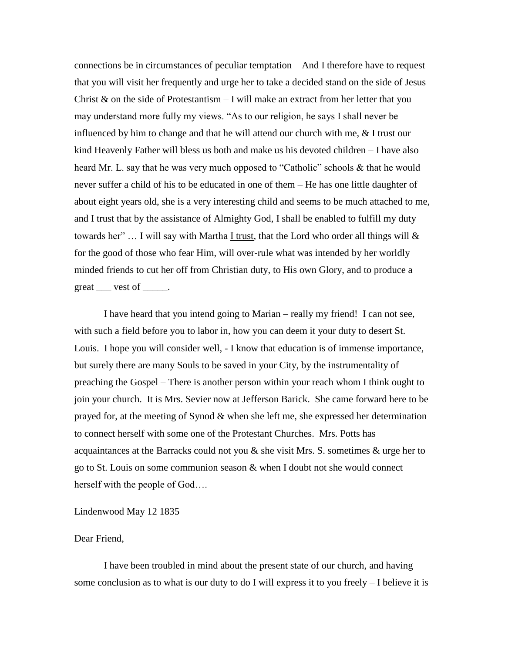connections be in circumstances of peculiar temptation – And I therefore have to request that you will visit her frequently and urge her to take a decided stand on the side of Jesus Christ  $\&$  on the side of Protestantism – I will make an extract from her letter that you may understand more fully my views. "As to our religion, he says I shall never be influenced by him to change and that he will attend our church with me, & I trust our kind Heavenly Father will bless us both and make us his devoted children – I have also heard Mr. L. say that he was very much opposed to "Catholic" schools & that he would never suffer a child of his to be educated in one of them – He has one little daughter of about eight years old, she is a very interesting child and seems to be much attached to me, and I trust that by the assistance of Almighty God, I shall be enabled to fulfill my duty towards her"  $\ldots$  I will say with Martha I trust, that the Lord who order all things will  $\&$ for the good of those who fear Him, will over-rule what was intended by her worldly minded friends to cut her off from Christian duty, to His own Glory, and to produce a great vest of .

I have heard that you intend going to Marian – really my friend! I can not see, with such a field before you to labor in, how you can deem it your duty to desert St. Louis. I hope you will consider well, - I know that education is of immense importance, but surely there are many Souls to be saved in your City, by the instrumentality of preaching the Gospel – There is another person within your reach whom I think ought to join your church. It is Mrs. Sevier now at Jefferson Barick. She came forward here to be prayed for, at the meeting of Synod & when she left me, she expressed her determination to connect herself with some one of the Protestant Churches. Mrs. Potts has acquaintances at the Barracks could not you  $\&$  she visit Mrs. S. sometimes  $\&$  urge her to go to St. Louis on some communion season & when I doubt not she would connect herself with the people of God….

### Lindenwood May 12 1835

#### Dear Friend,

I have been troubled in mind about the present state of our church, and having some conclusion as to what is our duty to do I will express it to you freely – I believe it is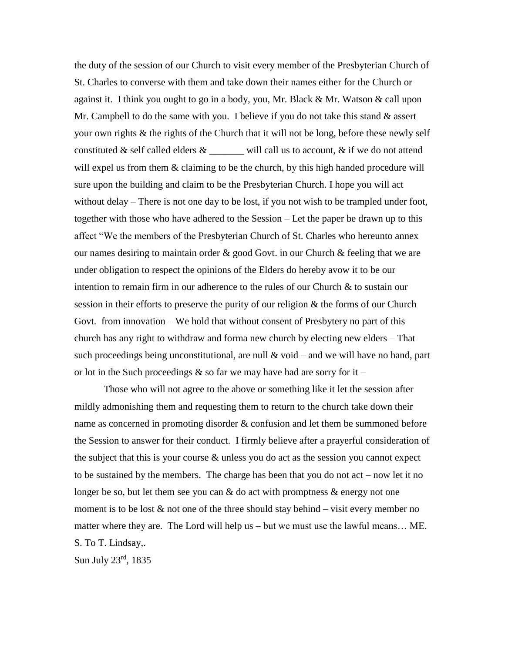the duty of the session of our Church to visit every member of the Presbyterian Church of St. Charles to converse with them and take down their names either for the Church or against it. I think you ought to go in a body, you, Mr. Black & Mr. Watson & call upon Mr. Campbell to do the same with you. I believe if you do not take this stand  $\&$  assert your own rights & the rights of the Church that it will not be long, before these newly self constituted & self called elders  $\&$  will call us to account,  $\&$  if we do not attend will expel us from them  $&$  claiming to be the church, by this high handed procedure will sure upon the building and claim to be the Presbyterian Church. I hope you will act without delay – There is not one day to be lost, if you not wish to be trampled under foot, together with those who have adhered to the Session – Let the paper be drawn up to this affect "We the members of the Presbyterian Church of St. Charles who hereunto annex our names desiring to maintain order  $\&$  good Govt. in our Church  $\&$  feeling that we are under obligation to respect the opinions of the Elders do hereby avow it to be our intention to remain firm in our adherence to the rules of our Church & to sustain our session in their efforts to preserve the purity of our religion & the forms of our Church Govt. from innovation – We hold that without consent of Presbytery no part of this church has any right to withdraw and forma new church by electing new elders – That such proceedings being unconstitutional, are null  $\&$  void – and we will have no hand, part or lot in the Such proceedings  $\&$  so far we may have had are sorry for it –

Those who will not agree to the above or something like it let the session after mildly admonishing them and requesting them to return to the church take down their name as concerned in promoting disorder & confusion and let them be summoned before the Session to answer for their conduct. I firmly believe after a prayerful consideration of the subject that this is your course & unless you do act as the session you cannot expect to be sustained by the members. The charge has been that you do not act – now let it no longer be so, but let them see you can  $\&$  do act with promptness  $\&$  energy not one moment is to be lost  $\&$  not one of the three should stay behind – visit every member no matter where they are. The Lord will help us – but we must use the lawful means… ME. S. To T. Lindsay,. Sun July 23rd, 1835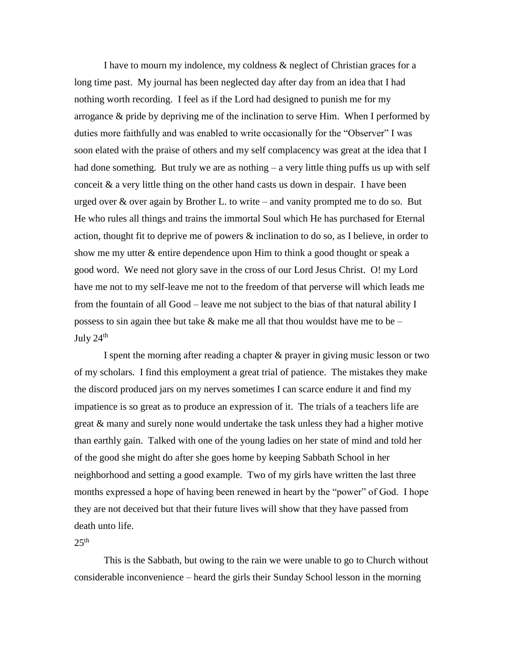I have to mourn my indolence, my coldness & neglect of Christian graces for a long time past. My journal has been neglected day after day from an idea that I had nothing worth recording. I feel as if the Lord had designed to punish me for my arrogance & pride by depriving me of the inclination to serve Him. When I performed by duties more faithfully and was enabled to write occasionally for the "Observer" I was soon elated with the praise of others and my self complacency was great at the idea that I had done something. But truly we are as nothing – a very little thing puffs us up with self conceit & a very little thing on the other hand casts us down in despair. I have been urged over  $\&$  over again by Brother L. to write – and vanity prompted me to do so. But He who rules all things and trains the immortal Soul which He has purchased for Eternal action, thought fit to deprive me of powers & inclination to do so, as I believe, in order to show me my utter & entire dependence upon Him to think a good thought or speak a good word. We need not glory save in the cross of our Lord Jesus Christ. O! my Lord have me not to my self-leave me not to the freedom of that perverse will which leads me from the fountain of all Good – leave me not subject to the bias of that natural ability I possess to sin again thee but take  $\&$  make me all that thou wouldst have me to be – July  $24^{\text{th}}$ 

I spent the morning after reading a chapter & prayer in giving music lesson or two of my scholars. I find this employment a great trial of patience. The mistakes they make the discord produced jars on my nerves sometimes I can scarce endure it and find my impatience is so great as to produce an expression of it. The trials of a teachers life are great & many and surely none would undertake the task unless they had a higher motive than earthly gain. Talked with one of the young ladies on her state of mind and told her of the good she might do after she goes home by keeping Sabbath School in her neighborhood and setting a good example. Two of my girls have written the last three months expressed a hope of having been renewed in heart by the "power" of God. I hope they are not deceived but that their future lives will show that they have passed from death unto life.

#### $2.5$ <sup>th</sup>

This is the Sabbath, but owing to the rain we were unable to go to Church without considerable inconvenience – heard the girls their Sunday School lesson in the morning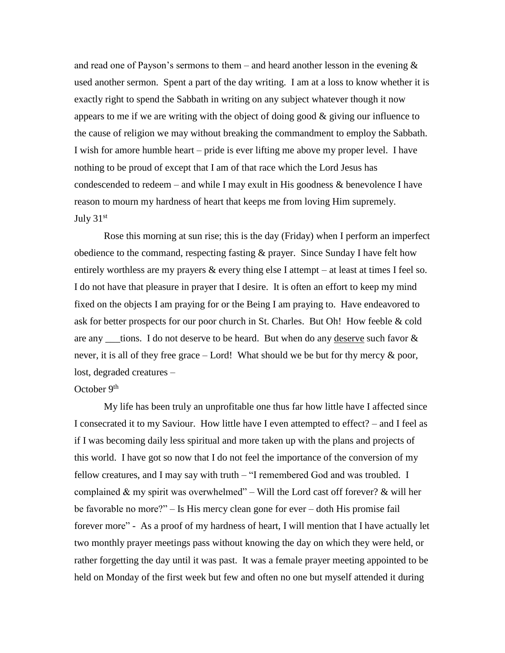and read one of Payson's sermons to them – and heard another lesson in the evening  $\&$ used another sermon. Spent a part of the day writing. I am at a loss to know whether it is exactly right to spend the Sabbath in writing on any subject whatever though it now appears to me if we are writing with the object of doing good & giving our influence to the cause of religion we may without breaking the commandment to employ the Sabbath. I wish for amore humble heart – pride is ever lifting me above my proper level. I have nothing to be proud of except that I am of that race which the Lord Jesus has condescended to redeem – and while I may exult in His goodness  $\&$  benevolence I have reason to mourn my hardness of heart that keeps me from loving Him supremely. July  $31<sup>st</sup>$ 

Rose this morning at sun rise; this is the day (Friday) when I perform an imperfect obedience to the command, respecting fasting & prayer. Since Sunday I have felt how entirely worthless are my prayers & every thing else I attempt – at least at times I feel so. I do not have that pleasure in prayer that I desire. It is often an effort to keep my mind fixed on the objects I am praying for or the Being I am praying to. Have endeavored to ask for better prospects for our poor church in St. Charles. But Oh! How feeble & cold are any \_\_\_tions. I do not deserve to be heard. But when do any deserve such favor & never, it is all of they free grace – Lord! What should we be but for thy mercy & poor, lost, degraded creatures –

## October 9<sup>th</sup>

My life has been truly an unprofitable one thus far how little have I affected since I consecrated it to my Saviour. How little have I even attempted to effect? – and I feel as if I was becoming daily less spiritual and more taken up with the plans and projects of this world. I have got so now that I do not feel the importance of the conversion of my fellow creatures, and I may say with truth – "I remembered God and was troubled. I complained  $\&$  my spirit was overwhelmed" – Will the Lord cast off forever?  $\&$  will her be favorable no more?" – Is His mercy clean gone for ever – doth His promise fail forever more" - As a proof of my hardness of heart, I will mention that I have actually let two monthly prayer meetings pass without knowing the day on which they were held, or rather forgetting the day until it was past. It was a female prayer meeting appointed to be held on Monday of the first week but few and often no one but myself attended it during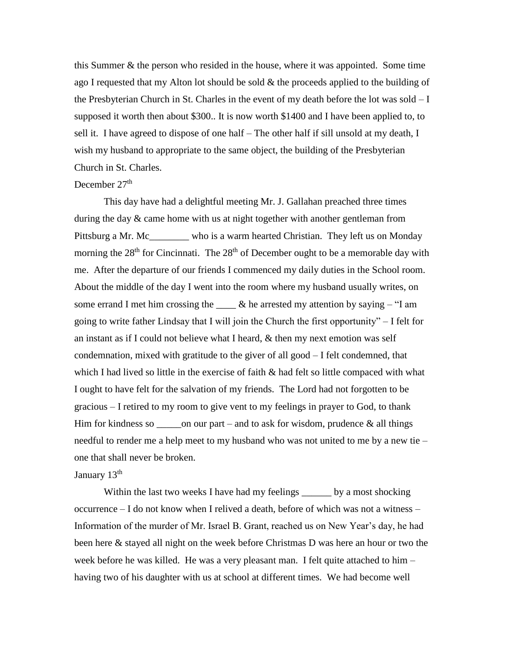this Summer & the person who resided in the house, where it was appointed. Some time ago I requested that my Alton lot should be sold  $\&$  the proceeds applied to the building of the Presbyterian Church in St. Charles in the event of my death before the lot was sold – I supposed it worth then about \$300.. It is now worth \$1400 and I have been applied to, to sell it. I have agreed to dispose of one half – The other half if sill unsold at my death, I wish my husband to appropriate to the same object, the building of the Presbyterian Church in St. Charles.

#### December 27<sup>th</sup>

This day have had a delightful meeting Mr. J. Gallahan preached three times during the day & came home with us at night together with another gentleman from Pittsburg a Mr. Mc<sub>umph</sub> who is a warm hearted Christian. They left us on Monday morning the  $28<sup>th</sup>$  for Cincinnati. The  $28<sup>th</sup>$  of December ought to be a memorable day with me. After the departure of our friends I commenced my daily duties in the School room. About the middle of the day I went into the room where my husband usually writes, on some errand I met him crossing the  $\_\_\_\&$  & he arrested my attention by saying – "I am going to write father Lindsay that I will join the Church the first opportunity" – I felt for an instant as if I could not believe what I heard, & then my next emotion was self condemnation, mixed with gratitude to the giver of all good – I felt condemned, that which I had lived so little in the exercise of faith & had felt so little compaced with what I ought to have felt for the salvation of my friends. The Lord had not forgotten to be gracious – I retired to my room to give vent to my feelings in prayer to God, to thank Him for kindness so  $\_\_\_\_$ on our part – and to ask for wisdom, prudence & all things needful to render me a help meet to my husband who was not united to me by a new tie – one that shall never be broken.

## January 13<sup>th</sup>

Within the last two weeks I have had my feelings \_\_\_\_\_\_ by a most shocking occurrence – I do not know when I relived a death, before of which was not a witness – Information of the murder of Mr. Israel B. Grant, reached us on New Year's day, he had been here & stayed all night on the week before Christmas D was here an hour or two the week before he was killed. He was a very pleasant man. I felt quite attached to him – having two of his daughter with us at school at different times. We had become well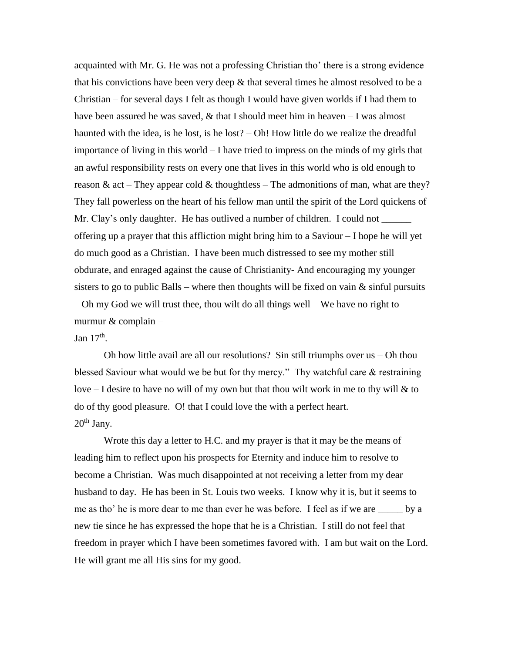acquainted with Mr. G. He was not a professing Christian tho' there is a strong evidence that his convictions have been very deep  $\&$  that several times he almost resolved to be a Christian – for several days I felt as though I would have given worlds if I had them to have been assured he was saved,  $\&$  that I should meet him in heaven  $-1$  was almost haunted with the idea, is he lost, is he lost? – Oh! How little do we realize the dreadful importance of living in this world – I have tried to impress on the minds of my girls that an awful responsibility rests on every one that lives in this world who is old enough to reason  $\&$  act – They appear cold  $\&$  thoughtless – The admonitions of man, what are they? They fall powerless on the heart of his fellow man until the spirit of the Lord quickens of Mr. Clay's only daughter. He has outlived a number of children. I could not \_\_\_\_\_ offering up a prayer that this affliction might bring him to a Saviour – I hope he will yet do much good as a Christian. I have been much distressed to see my mother still obdurate, and enraged against the cause of Christianity- And encouraging my younger sisters to go to public Balls – where then thoughts will be fixed on vain  $\&$  sinful pursuits – Oh my God we will trust thee, thou wilt do all things well – We have no right to murmur & complain –

## Jan  $17<sup>th</sup>$ .

Oh how little avail are all our resolutions? Sin still triumphs over us – Oh thou blessed Saviour what would we be but for thy mercy." Thy watchful care  $\&$  restraining love – I desire to have no will of my own but that thou wilt work in me to thy will  $\&$  to do of thy good pleasure. O! that I could love the with a perfect heart.  $20<sup>th</sup>$  Jany.

Wrote this day a letter to H.C. and my prayer is that it may be the means of leading him to reflect upon his prospects for Eternity and induce him to resolve to become a Christian. Was much disappointed at not receiving a letter from my dear husband to day. He has been in St. Louis two weeks. I know why it is, but it seems to me as tho' he is more dear to me than ever he was before. I feel as if we are by a new tie since he has expressed the hope that he is a Christian. I still do not feel that freedom in prayer which I have been sometimes favored with. I am but wait on the Lord. He will grant me all His sins for my good.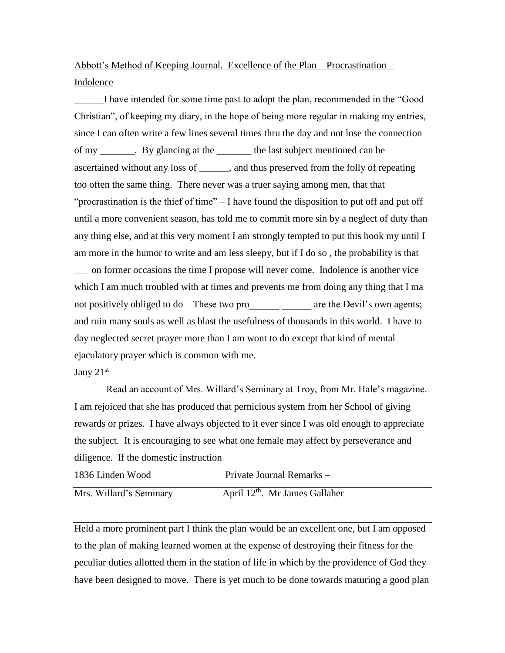Abbott's Method of Keeping Journal. Excellence of the Plan – Procrastination – Indolence

I have intended for some time past to adopt the plan, recommended in the "Good Christian", of keeping my diary, in the hope of being more regular in making my entries, since I can often write a few lines several times thru the day and not lose the connection of my \_\_\_\_\_\_\_. By glancing at the \_\_\_\_\_\_\_ the last subject mentioned can be ascertained without any loss of \_\_\_\_\_\_, and thus preserved from the folly of repeating too often the same thing. There never was a truer saying among men, that that "procrastination is the thief of time" – I have found the disposition to put off and put off until a more convenient season, has told me to commit more sin by a neglect of duty than any thing else, and at this very moment I am strongly tempted to put this book my until I am more in the humor to write and am less sleepy, but if I do so , the probability is that

\_\_\_ on former occasions the time I propose will never come. Indolence is another vice which I am much troubled with at times and prevents me from doing any thing that I ma not positively obliged to do – These two pro are the Devil's own agents; and ruin many souls as well as blast the usefulness of thousands in this world. I have to day neglected secret prayer more than I am wont to do except that kind of mental ejaculatory prayer which is common with me.

Jany  $21<sup>st</sup>$ 

Read an account of Mrs. Willard's Seminary at Troy, from Mr. Hale's magazine. I am rejoiced that she has produced that pernicious system from her School of giving rewards or prizes. I have always objected to it ever since I was old enough to appreciate the subject. It is encouraging to see what one female may affect by perseverance and diligence. If the domestic instruction

| 1836 Linden Wood        | Private Journal Remarks –        |
|-------------------------|----------------------------------|
| Mrs. Willard's Seminary | April $12th$ . Mr James Gallaher |

Held a more prominent part I think the plan would be an excellent one, but I am opposed to the plan of making learned women at the expense of destroying their fitness for the peculiar duties allotted them in the station of life in which by the providence of God they have been designed to move. There is yet much to be done towards maturing a good plan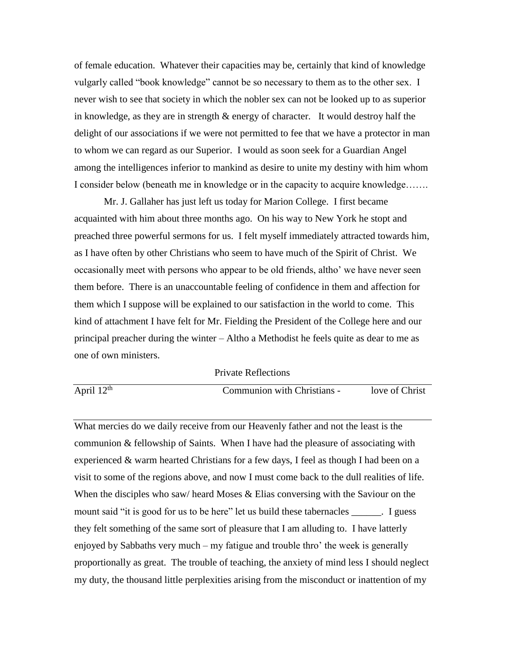of female education. Whatever their capacities may be, certainly that kind of knowledge vulgarly called "book knowledge" cannot be so necessary to them as to the other sex. I never wish to see that society in which the nobler sex can not be looked up to as superior in knowledge, as they are in strength  $\&$  energy of character. It would destroy half the delight of our associations if we were not permitted to fee that we have a protector in man to whom we can regard as our Superior. I would as soon seek for a Guardian Angel among the intelligences inferior to mankind as desire to unite my destiny with him whom I consider below (beneath me in knowledge or in the capacity to acquire knowledge…….

Mr. J. Gallaher has just left us today for Marion College. I first became acquainted with him about three months ago. On his way to New York he stopt and preached three powerful sermons for us. I felt myself immediately attracted towards him, as I have often by other Christians who seem to have much of the Spirit of Christ. We occasionally meet with persons who appear to be old friends, altho' we have never seen them before. There is an unaccountable feeling of confidence in them and affection for them which I suppose will be explained to our satisfaction in the world to come. This kind of attachment I have felt for Mr. Fielding the President of the College here and our principal preacher during the winter – Altho a Methodist he feels quite as dear to me as one of own ministers.

April 12<sup>th</sup> Communion with Christians - love of Christ

What mercies do we daily receive from our Heavenly father and not the least is the communion & fellowship of Saints. When I have had the pleasure of associating with experienced & warm hearted Christians for a few days, I feel as though I had been on a visit to some of the regions above, and now I must come back to the dull realities of life. When the disciples who saw/ heard Moses  $&$  Elias conversing with the Saviour on the mount said "it is good for us to be here" let us build these tabernacles \_\_\_\_\_\_. I guess they felt something of the same sort of pleasure that I am alluding to. I have latterly enjoyed by Sabbaths very much – my fatigue and trouble thro' the week is generally proportionally as great. The trouble of teaching, the anxiety of mind less I should neglect my duty, the thousand little perplexities arising from the misconduct or inattention of my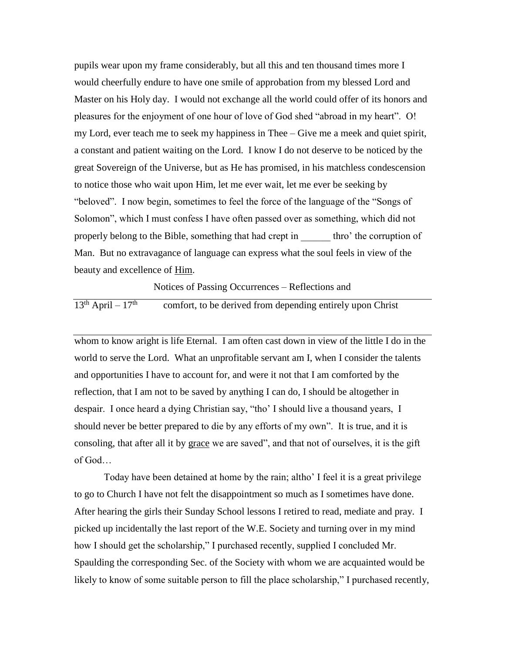pupils wear upon my frame considerably, but all this and ten thousand times more I would cheerfully endure to have one smile of approbation from my blessed Lord and Master on his Holy day. I would not exchange all the world could offer of its honors and pleasures for the enjoyment of one hour of love of God shed "abroad in my heart". O! my Lord, ever teach me to seek my happiness in Thee – Give me a meek and quiet spirit, a constant and patient waiting on the Lord. I know I do not deserve to be noticed by the great Sovereign of the Universe, but as He has promised, in his matchless condescension to notice those who wait upon Him, let me ever wait, let me ever be seeking by "beloved". I now begin, sometimes to feel the force of the language of the "Songs of Solomon", which I must confess I have often passed over as something, which did not properly belong to the Bible, something that had crept in thro' the corruption of Man. But no extravagance of language can express what the soul feels in view of the beauty and excellence of Him.

Notices of Passing Occurrences – Reflections and

 $13<sup>th</sup>$  April –  $17<sup>th</sup>$  comfort, to be derived from depending entirely upon Christ

whom to know aright is life Eternal. I am often cast down in view of the little I do in the world to serve the Lord. What an unprofitable servant am I, when I consider the talents and opportunities I have to account for, and were it not that I am comforted by the reflection, that I am not to be saved by anything I can do, I should be altogether in despair. I once heard a dying Christian say, "tho' I should live a thousand years, I should never be better prepared to die by any efforts of my own". It is true, and it is consoling, that after all it by grace we are saved", and that not of ourselves, it is the gift of God…

Today have been detained at home by the rain; altho' I feel it is a great privilege to go to Church I have not felt the disappointment so much as I sometimes have done. After hearing the girls their Sunday School lessons I retired to read, mediate and pray. I picked up incidentally the last report of the W.E. Society and turning over in my mind how I should get the scholarship," I purchased recently, supplied I concluded Mr. Spaulding the corresponding Sec. of the Society with whom we are acquainted would be likely to know of some suitable person to fill the place scholarship," I purchased recently,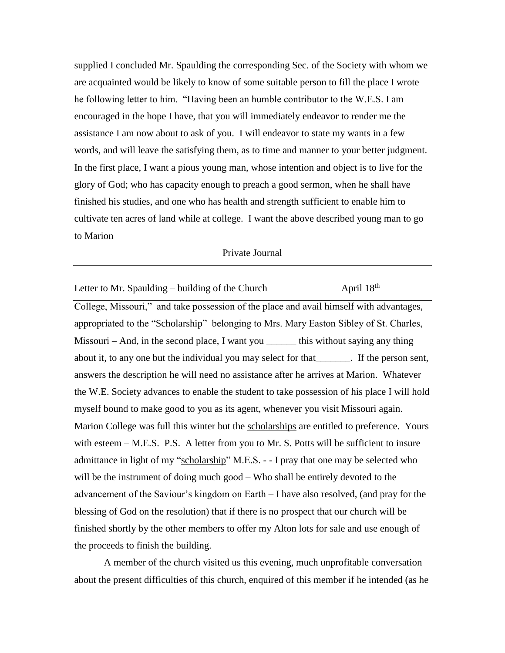supplied I concluded Mr. Spaulding the corresponding Sec. of the Society with whom we are acquainted would be likely to know of some suitable person to fill the place I wrote he following letter to him. "Having been an humble contributor to the W.E.S. I am encouraged in the hope I have, that you will immediately endeavor to render me the assistance I am now about to ask of you. I will endeavor to state my wants in a few words, and will leave the satisfying them, as to time and manner to your better judgment. In the first place, I want a pious young man, whose intention and object is to live for the glory of God; who has capacity enough to preach a good sermon, when he shall have finished his studies, and one who has health and strength sufficient to enable him to cultivate ten acres of land while at college. I want the above described young man to go to Marion

#### Private Journal

Letter to Mr. Spaulding – building of the Church  $\text{April } 18^{\text{th}}$ 

College, Missouri," and take possession of the place and avail himself with advantages, appropriated to the "Scholarship" belonging to Mrs. Mary Easton Sibley of St. Charles, Missouri – And, in the second place, I want you this without saying any thing about it, to any one but the individual you may select for that\_\_\_\_\_\_\_. If the person sent, answers the description he will need no assistance after he arrives at Marion. Whatever the W.E. Society advances to enable the student to take possession of his place I will hold myself bound to make good to you as its agent, whenever you visit Missouri again. Marion College was full this winter but the scholarships are entitled to preference. Yours with esteem – M.E.S. P.S. A letter from you to Mr. S. Potts will be sufficient to insure admittance in light of my "scholarship" M.E.S. - - I pray that one may be selected who will be the instrument of doing much good – Who shall be entirely devoted to the advancement of the Saviour's kingdom on Earth – I have also resolved, (and pray for the blessing of God on the resolution) that if there is no prospect that our church will be finished shortly by the other members to offer my Alton lots for sale and use enough of the proceeds to finish the building.

A member of the church visited us this evening, much unprofitable conversation about the present difficulties of this church, enquired of this member if he intended (as he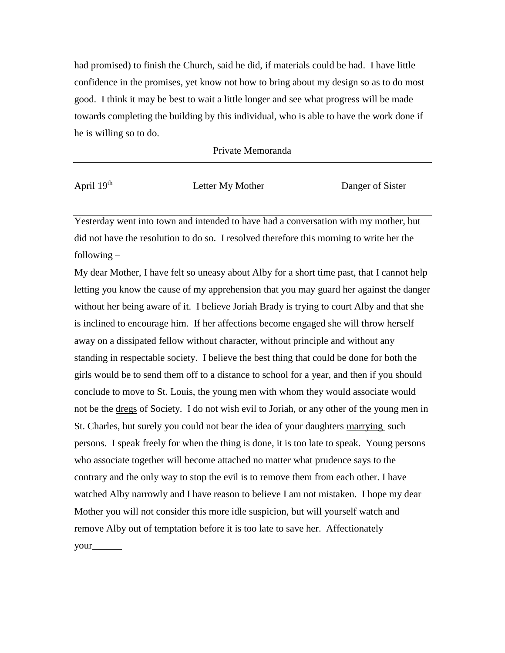had promised) to finish the Church, said he did, if materials could be had. I have little confidence in the promises, yet know not how to bring about my design so as to do most good. I think it may be best to wait a little longer and see what progress will be made towards completing the building by this individual, who is able to have the work done if he is willing so to do.

| Private Memoranda |
|-------------------|
|                   |

| April $19th$ | Letter My Mother | Danger of Sister |
|--------------|------------------|------------------|
|              |                  |                  |

Yesterday went into town and intended to have had a conversation with my mother, but did not have the resolution to do so. I resolved therefore this morning to write her the following –

My dear Mother, I have felt so uneasy about Alby for a short time past, that I cannot help letting you know the cause of my apprehension that you may guard her against the danger without her being aware of it. I believe Joriah Brady is trying to court Alby and that she is inclined to encourage him. If her affections become engaged she will throw herself away on a dissipated fellow without character, without principle and without any standing in respectable society. I believe the best thing that could be done for both the girls would be to send them off to a distance to school for a year, and then if you should conclude to move to St. Louis, the young men with whom they would associate would not be the dregs of Society. I do not wish evil to Joriah, or any other of the young men in St. Charles, but surely you could not bear the idea of your daughters marrying such persons. I speak freely for when the thing is done, it is too late to speak. Young persons who associate together will become attached no matter what prudence says to the contrary and the only way to stop the evil is to remove them from each other. I have watched Alby narrowly and I have reason to believe I am not mistaken. I hope my dear Mother you will not consider this more idle suspicion, but will yourself watch and remove Alby out of temptation before it is too late to save her. Affectionately your\_\_\_\_\_\_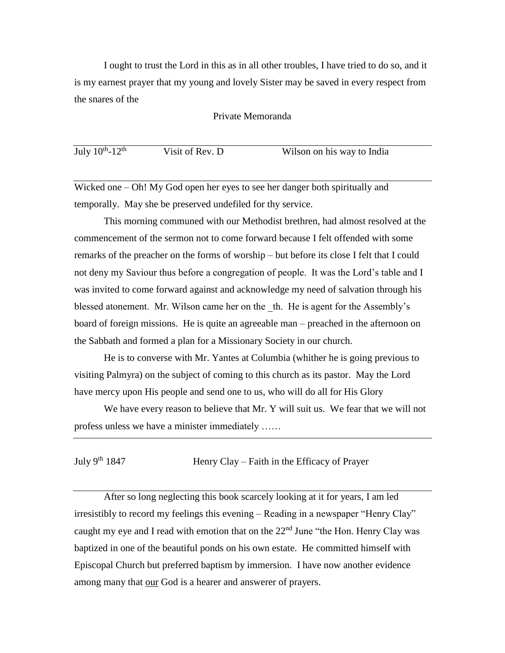I ought to trust the Lord in this as in all other troubles, I have tried to do so, and it is my earnest prayer that my young and lovely Sister may be saved in every respect from the snares of the

Private Memoranda

| July $10^{th}$ - $12^{th}$ | Visit of Rev. D | Wilson on his way to India |  |
|----------------------------|-----------------|----------------------------|--|
|----------------------------|-----------------|----------------------------|--|

Wicked one – Oh! My God open her eyes to see her danger both spiritually and temporally. May she be preserved undefiled for thy service.

This morning communed with our Methodist brethren, had almost resolved at the commencement of the sermon not to come forward because I felt offended with some remarks of the preacher on the forms of worship – but before its close I felt that I could not deny my Saviour thus before a congregation of people. It was the Lord's table and I was invited to come forward against and acknowledge my need of salvation through his blessed atonement. Mr. Wilson came her on the th. He is agent for the Assembly's board of foreign missions. He is quite an agreeable man – preached in the afternoon on the Sabbath and formed a plan for a Missionary Society in our church.

He is to converse with Mr. Yantes at Columbia (whither he is going previous to visiting Palmyra) on the subject of coming to this church as its pastor. May the Lord have mercy upon His people and send one to us, who will do all for His Glory

We have every reason to believe that Mr. Y will suit us. We fear that we will not profess unless we have a minister immediately ……

July 9<sup>th</sup> 1847 Henry Clay – Faith in the Efficacy of Prayer

After so long neglecting this book scarcely looking at it for years, I am led irresistibly to record my feelings this evening – Reading in a newspaper "Henry Clay" caught my eye and I read with emotion that on the  $22<sup>nd</sup>$  June "the Hon. Henry Clay was baptized in one of the beautiful ponds on his own estate. He committed himself with Episcopal Church but preferred baptism by immersion. I have now another evidence among many that our God is a hearer and answerer of prayers.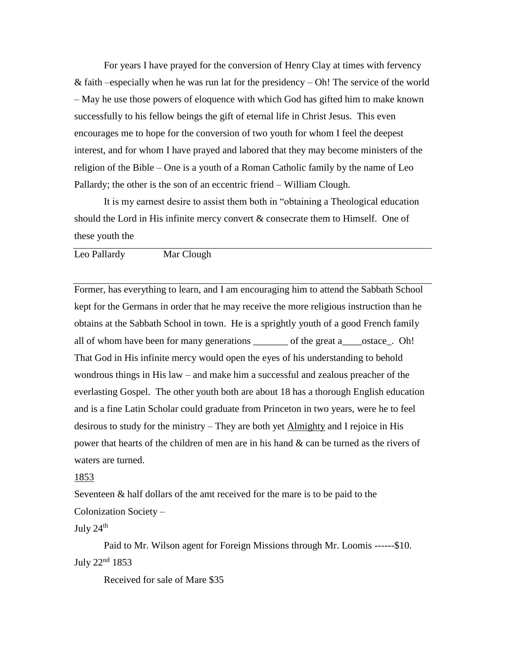For years I have prayed for the conversion of Henry Clay at times with fervency & faith –especially when he was run lat for the presidency – Oh! The service of the world – May he use those powers of eloquence with which God has gifted him to make known successfully to his fellow beings the gift of eternal life in Christ Jesus. This even encourages me to hope for the conversion of two youth for whom I feel the deepest interest, and for whom I have prayed and labored that they may become ministers of the religion of the Bible – One is a youth of a Roman Catholic family by the name of Leo Pallardy; the other is the son of an eccentric friend – William Clough.

It is my earnest desire to assist them both in "obtaining a Theological education should the Lord in His infinite mercy convert & consecrate them to Himself. One of these youth the

Leo Pallardy Mar Clough

Former, has everything to learn, and I am encouraging him to attend the Sabbath School kept for the Germans in order that he may receive the more religious instruction than he obtains at the Sabbath School in town. He is a sprightly youth of a good French family all of whom have been for many generations of the great a costace. Oh! That God in His infinite mercy would open the eyes of his understanding to behold wondrous things in His law – and make him a successful and zealous preacher of the everlasting Gospel. The other youth both are about 18 has a thorough English education and is a fine Latin Scholar could graduate from Princeton in two years, were he to feel desirous to study for the ministry – They are both yet Almighty and I rejoice in His power that hearts of the children of men are in his hand & can be turned as the rivers of waters are turned.

### 1853

Seventeen & half dollars of the amt received for the mare is to be paid to the Colonization Society –

July  $24^{\text{th}}$ 

Paid to Mr. Wilson agent for Foreign Missions through Mr. Loomis ------\$10. July  $22<sup>nd</sup> 1853$ 

Received for sale of Mare \$35